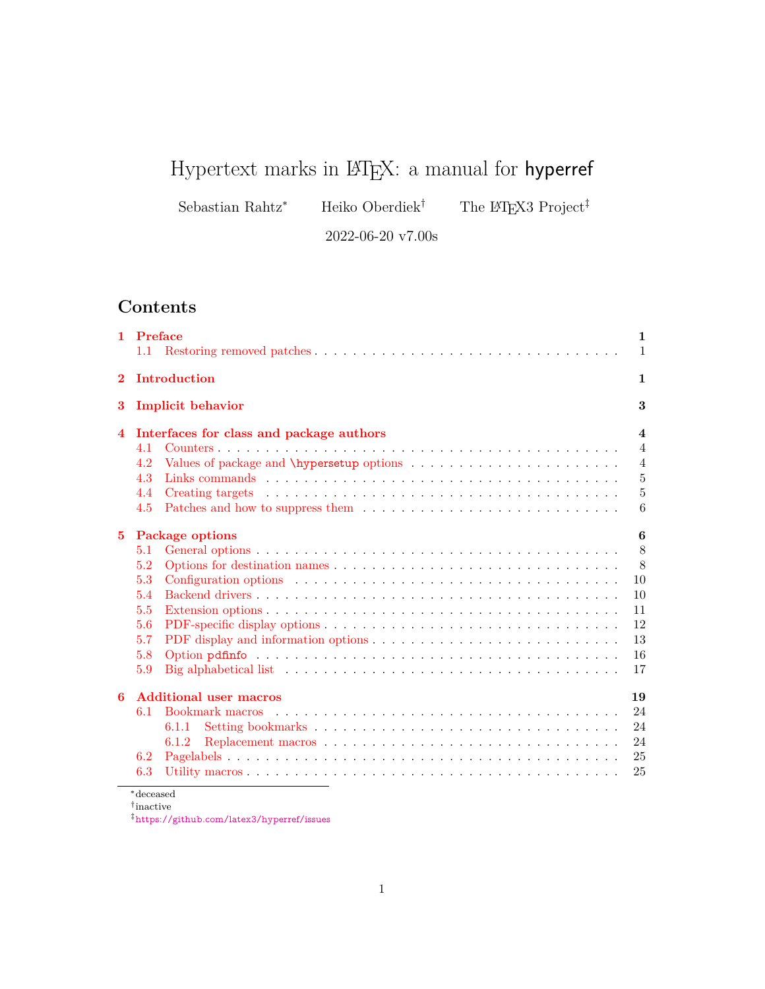# Hypertext marks in  $\mathbb{F}E[X: a$  manual for hyperref

Sebastian Rahtz\* Heiko Oberdiek<sup>†</sup> The LATEX3 Project<sup>‡</sup>

2022-06-20 v7.00s

## **Contents**

| 1.          | Preface           |                                                                                                                   | 1                       |  |  |  |  |  |  |
|-------------|-------------------|-------------------------------------------------------------------------------------------------------------------|-------------------------|--|--|--|--|--|--|
|             | 1.1               |                                                                                                                   | 1                       |  |  |  |  |  |  |
| $\bf{2}$    | Introduction<br>1 |                                                                                                                   |                         |  |  |  |  |  |  |
| 3           |                   | <b>Implicit behavior</b>                                                                                          | 3                       |  |  |  |  |  |  |
| 4           |                   | Interfaces for class and package authors                                                                          | $\overline{\mathbf{4}}$ |  |  |  |  |  |  |
|             | 4.1               |                                                                                                                   | $\overline{4}$          |  |  |  |  |  |  |
|             | 4.2               |                                                                                                                   | $\overline{4}$          |  |  |  |  |  |  |
|             | 4.3               |                                                                                                                   | $\bf 5$                 |  |  |  |  |  |  |
|             | 4.4               |                                                                                                                   | 5                       |  |  |  |  |  |  |
|             | 4.5               |                                                                                                                   | 6                       |  |  |  |  |  |  |
| $5^{\circ}$ |                   | <b>Package options</b>                                                                                            | 6                       |  |  |  |  |  |  |
|             | 5.1               |                                                                                                                   | 8                       |  |  |  |  |  |  |
|             | 5.2               |                                                                                                                   | 8                       |  |  |  |  |  |  |
|             | 5.3               |                                                                                                                   | 10                      |  |  |  |  |  |  |
|             | 5.4               |                                                                                                                   | 10                      |  |  |  |  |  |  |
|             | 5.5               |                                                                                                                   | 11                      |  |  |  |  |  |  |
|             | 5.6               |                                                                                                                   | 12                      |  |  |  |  |  |  |
|             | 5.7               |                                                                                                                   | 13                      |  |  |  |  |  |  |
|             | 5.8               |                                                                                                                   | 16                      |  |  |  |  |  |  |
|             | 5.9               | Big alphabetical list $\dots \dots \dots \dots \dots \dots \dots \dots \dots \dots \dots \dots \dots \dots \dots$ | 17                      |  |  |  |  |  |  |
| 6           |                   | <b>Additional user macros</b>                                                                                     | 19                      |  |  |  |  |  |  |
|             | 6.1               |                                                                                                                   | 24                      |  |  |  |  |  |  |
|             |                   | 6.1.1                                                                                                             | 24                      |  |  |  |  |  |  |
|             |                   | 6.1.2                                                                                                             | 24                      |  |  |  |  |  |  |
|             | 6.2               |                                                                                                                   | 25                      |  |  |  |  |  |  |
|             | 6.3               |                                                                                                                   | 25                      |  |  |  |  |  |  |

<sup>∗</sup>deceased † inactive

‡<https://github.com/latex3/hyperref/issues>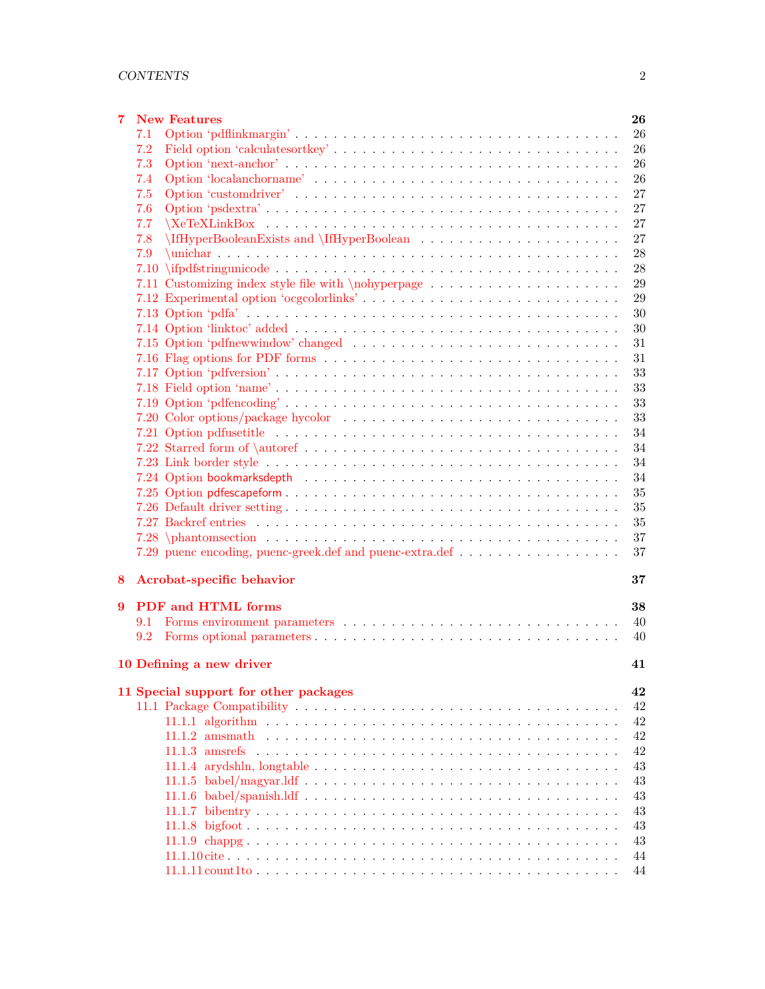| 7 |     | <b>New Features</b><br>26                      |
|---|-----|------------------------------------------------|
|   | 7.1 | 26                                             |
|   | 7.2 | 26                                             |
|   | 7.3 | 26                                             |
|   | 7.4 | 26                                             |
|   | 7.5 | 27                                             |
|   | 7.6 | 27                                             |
|   | 7.7 | 27                                             |
|   | 7.8 | 27                                             |
|   | 7.9 | 28                                             |
|   |     | 28                                             |
|   |     | 29                                             |
|   |     | 7.12 Experimental option 'ocgcolorlinks'<br>29 |
|   |     | 30                                             |
|   |     | 30                                             |
|   |     | 31                                             |
|   |     | 31                                             |
|   |     | 33                                             |
|   |     | 33                                             |
|   |     | 33                                             |
|   |     | 33                                             |
|   |     | 34                                             |
|   |     | 34                                             |
|   |     | 34                                             |
|   |     | 34                                             |
|   |     | 35                                             |
|   |     | 35                                             |
|   |     | 35                                             |
|   |     | 37                                             |
|   |     | 37                                             |
|   |     |                                                |
| 8 |     | Acrobat-specific behavior<br>37                |
|   |     |                                                |
| 9 |     | PDF and HTML forms<br>38                       |
|   | 9.1 | 40                                             |
|   | 9.2 | 40                                             |
|   |     | 10 Defining a new driver<br>41                 |
|   |     |                                                |
|   |     | 11 Special support for other packages<br>42    |
|   |     | 42                                             |
|   |     | 42                                             |
|   |     | 42                                             |
|   |     | 42                                             |
|   |     | 43                                             |
|   |     | 43                                             |
|   |     | 43                                             |
|   |     | 43                                             |
|   |     | 43                                             |
|   |     | 43                                             |
|   |     | 44                                             |
|   |     | 44                                             |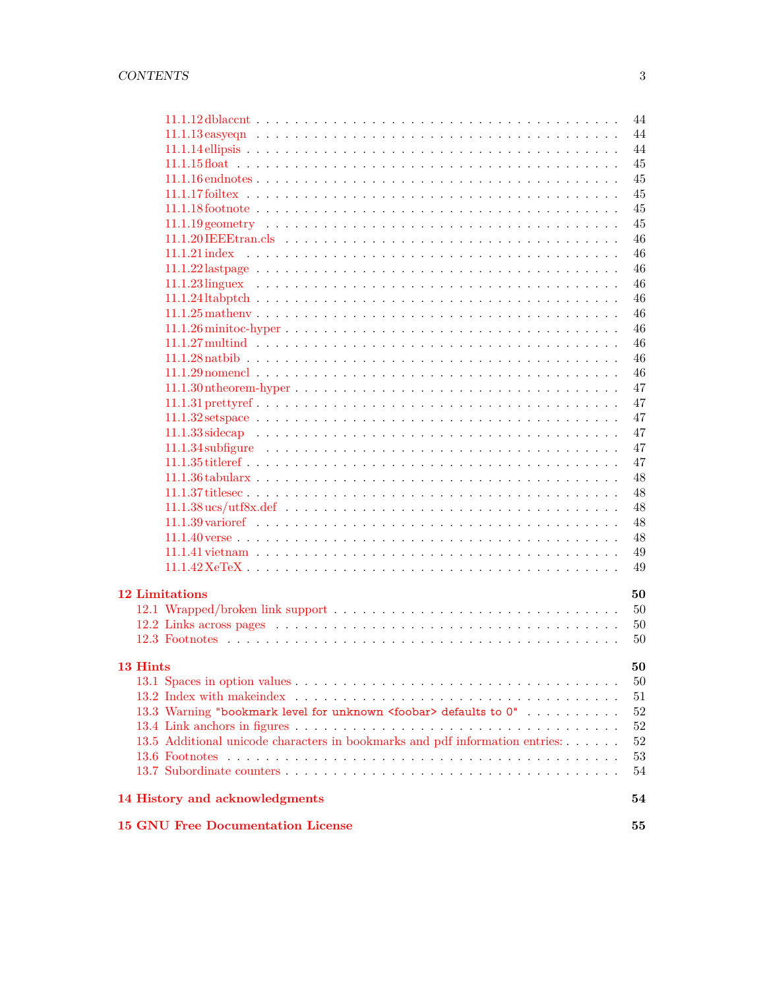|                       |                                                                              | 44       |
|-----------------------|------------------------------------------------------------------------------|----------|
|                       |                                                                              | 44       |
|                       |                                                                              | 44       |
|                       |                                                                              | 45       |
|                       |                                                                              | 45       |
|                       |                                                                              | 45       |
|                       |                                                                              | 45       |
|                       |                                                                              | 45       |
|                       |                                                                              | 46       |
|                       |                                                                              | 46       |
|                       |                                                                              | 46       |
|                       |                                                                              | 46       |
|                       |                                                                              | 46       |
|                       |                                                                              | 46       |
|                       |                                                                              | 46       |
|                       |                                                                              | 46       |
|                       |                                                                              | 46       |
|                       |                                                                              | 46       |
|                       |                                                                              | 47       |
|                       |                                                                              | 47       |
|                       |                                                                              | 47       |
|                       |                                                                              | 47       |
|                       |                                                                              | 47       |
|                       |                                                                              | 47       |
|                       |                                                                              | 48       |
|                       |                                                                              | 48       |
|                       |                                                                              | 48       |
|                       |                                                                              | 48       |
|                       |                                                                              | 48       |
|                       |                                                                              | 49       |
|                       |                                                                              | 49       |
|                       |                                                                              |          |
| <b>12 Limitations</b> |                                                                              | 50       |
|                       |                                                                              | 50       |
|                       |                                                                              | 50       |
|                       |                                                                              | 50       |
|                       |                                                                              |          |
| 13 Hints              |                                                                              | 50       |
|                       |                                                                              | 50       |
|                       |                                                                              | 51       |
|                       | 13.3 Warning "bookmark level for unknown <foobar> defaults to 0"</foobar>    | 52       |
|                       |                                                                              | 52       |
|                       | 13.5 Additional unicode characters in bookmarks and pdf information entries: | 52       |
|                       |                                                                              | 53<br>54 |
|                       |                                                                              |          |
|                       | 14 History and acknowledgments                                               | 54       |
|                       | <b>15 GNU Free Documentation License</b>                                     | 55       |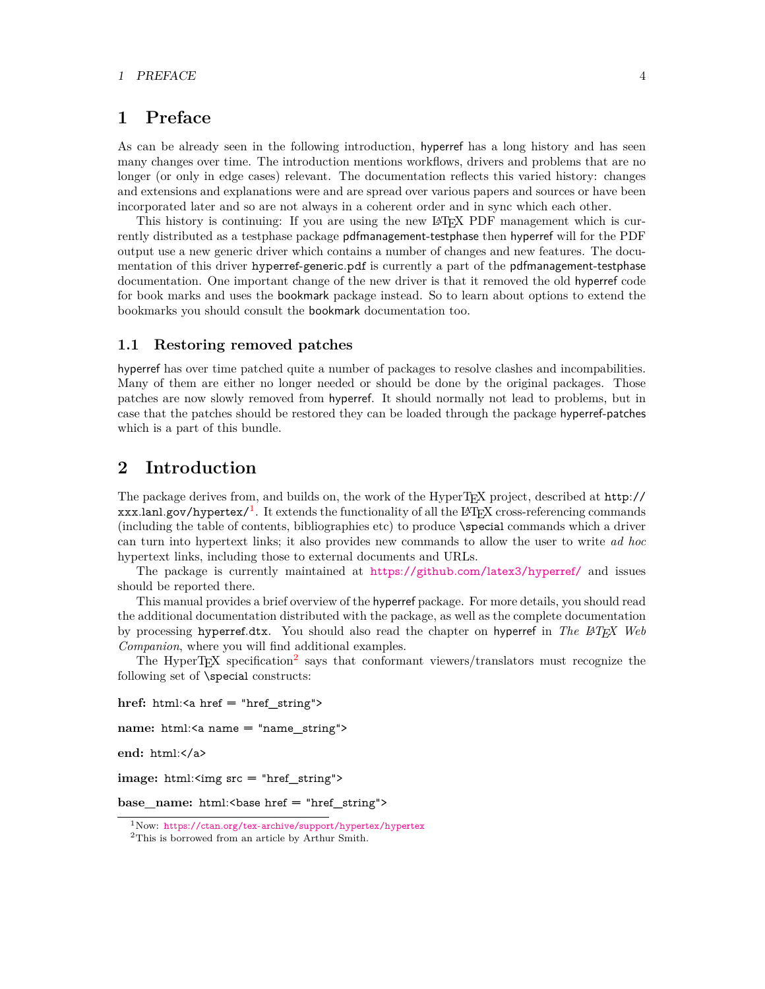## <span id="page-3-0"></span>**1 Preface**

As can be already seen in the following introduction, hyperref has a long history and has seen many changes over time. The introduction mentions workflows, drivers and problems that are no longer (or only in edge cases) relevant. The documentation reflects this varied history: changes and extensions and explanations were and are spread over various papers and sources or have been incorporated later and so are not always in a coherent order and in sync which each other.

This history is continuing: If you are using the new LATEX PDF management which is currently distributed as a testphase package pdfmanagement-testphase then hyperref will for the PDF output use a new generic driver which contains a number of changes and new features. The documentation of this driver hyperref-generic.pdf is currently a part of the pdfmanagement-testphase documentation. One important change of the new driver is that it removed the old hyperref code for book marks and uses the bookmark package instead. So to learn about options to extend the bookmarks you should consult the bookmark documentation too.

#### <span id="page-3-1"></span>**1.1 Restoring removed patches**

hyperref has over time patched quite a number of packages to resolve clashes and incompabilities. Many of them are either no longer needed or should be done by the original packages. Those patches are now slowly removed from hyperref. It should normally not lead to problems, but in case that the patches should be restored they can be loaded through the package hyperref-patches which is a part of this bundle.

## <span id="page-3-2"></span>**2 Introduction**

The package derives from, and builds on, the work of the HyperTEX project, described at http://  $xxx.lanl.gov/hypertext/$ <sup>[1](#page-3-3)</sup>. It extends the functionality of all the LAT<sub>E</sub>X cross-referencing commands (including the table of contents, bibliographies etc) to produce \special commands which a driver can turn into hypertext links; it also provides new commands to allow the user to write *ad hoc* hypertext links, including those to external documents and URLs.

The package is currently maintained at <https://github.com/latex3/hyperref/> and issues should be reported there.

This manual provides a brief overview of the hyperref package. For more details, you should read the additional documentation distributed with the package, as well as the complete documentation by processing hyperref.dtx. You should also read the chapter on hyperref in *The LATEX Web Companion*, where you will find additional examples.

The HyperT<sub>E</sub>X specification<sup>[2](#page-3-4)</sup> says that conformant viewers/translators must recognize the following set of \special constructs:

**href:** html:<a href = "href\_string">

**name:** html:<a name = "name\_string">

**end:** html:</a>

**image:** html:<img src = "href\_string">

base\_name: html:<br/>base href = "href\_string">

<span id="page-3-3"></span><sup>1</sup>Now: <https://ctan.org/tex-archive/support/hypertex/hypertex>

<span id="page-3-4"></span><sup>2</sup>This is borrowed from an article by Arthur Smith.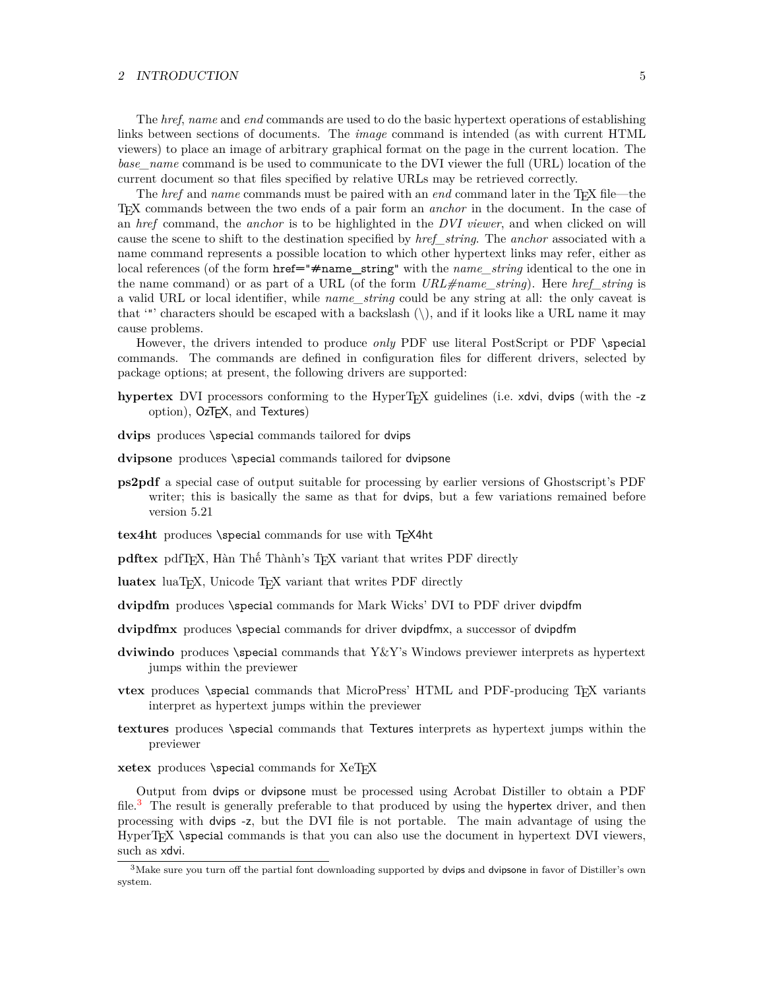#### 2 INTRODUCTION 5

The *href*, *name* and *end* commands are used to do the basic hypertext operations of establishing links between sections of documents. The *image* command is intended (as with current HTML viewers) to place an image of arbitrary graphical format on the page in the current location. The *base—name* command is be used to communicate to the DVI viewer the full (URL) location of the current document so that files specified by relative URLs may be retrieved correctly.

The *href* and *name* commands must be paired with an *end* command later in the TEX file—the TEX commands between the two ends of a pair form an *anchor* in the document. In the case of an *href* command, the *anchor* is to be highlighted in the *DVI viewer*, and when clicked on will cause the scene to shift to the destination specified by *href\_string*. The *anchor* associated with a name command represents a possible location to which other hypertext links may refer, either as local references (of the form href="#name\_string" with the *name\_string* identical to the one in the name command) or as part of a URL (of the form *URL#name\_string*). Here *href\_string* is a valid URL or local identifier, while *name\_string* could be any string at all: the only caveat is that '"' characters should be escaped with a backslash  $(\cdot)$ , and if it looks like a URL name it may cause problems.

However, the drivers intended to produce *only* PDF use literal PostScript or PDF \special commands. The commands are defined in configuration files for different drivers, selected by package options; at present, the following drivers are supported:

- **hypertex** DVI processors conforming to the HyperTEX guidelines (i.e. xdvi, dvips (with the -z option), OzTEX, and Textures)
- dvips produces \special commands tailored for dvips
- **dvipsone** produces \special commands tailored for dvipsone
- **ps2pdf** a special case of output suitable for processing by earlier versions of Ghostscript's PDF writer; this is basically the same as that for dvips, but a few variations remained before version 5.21
- tex4ht produces *\special commands* for use with T<sub>F</sub>X4ht

**pdftex** pdfT<sub>F</sub>X, Hàn Thế Thành's T<sub>F</sub>X variant that writes PDF directly

luatex luaT<sub>E</sub>X, Unicode T<sub>E</sub>X variant that writes PDF directly

**dvipdfm** produces \special commands for Mark Wicks' DVI to PDF driver dvipdfm

- **dvipdfmx** produces \special commands for driver dvipdfmx, a successor of dvipdfm
- **dviwindo** produces \special commands that Y&Y's Windows previewer interprets as hypertext jumps within the previewer
- **vtex** produces *\special commands that MicroPress' HTML and PDF-producing T<sub>E</sub>X variants* interpret as hypertext jumps within the previewer
- **textures** produces \special commands that Textures interprets as hypertext jumps within the previewer
- xetex produces *\special commands for XeTEX*

Output from dvips or dvipsone must be processed using Acrobat Distiller to obtain a PDF file.<sup>[3](#page-4-0)</sup> The result is generally preferable to that produced by using the hypertex driver, and then processing with dvips -z, but the DVI file is not portable. The main advantage of using the HyperT<sub>EX</sub> \special commands is that you can also use the document in hypertext DVI viewers, such as xdvi.

<span id="page-4-0"></span> $3$ Make sure you turn off the partial font downloading supported by dvips and dvipsone in favor of Distiller's own system.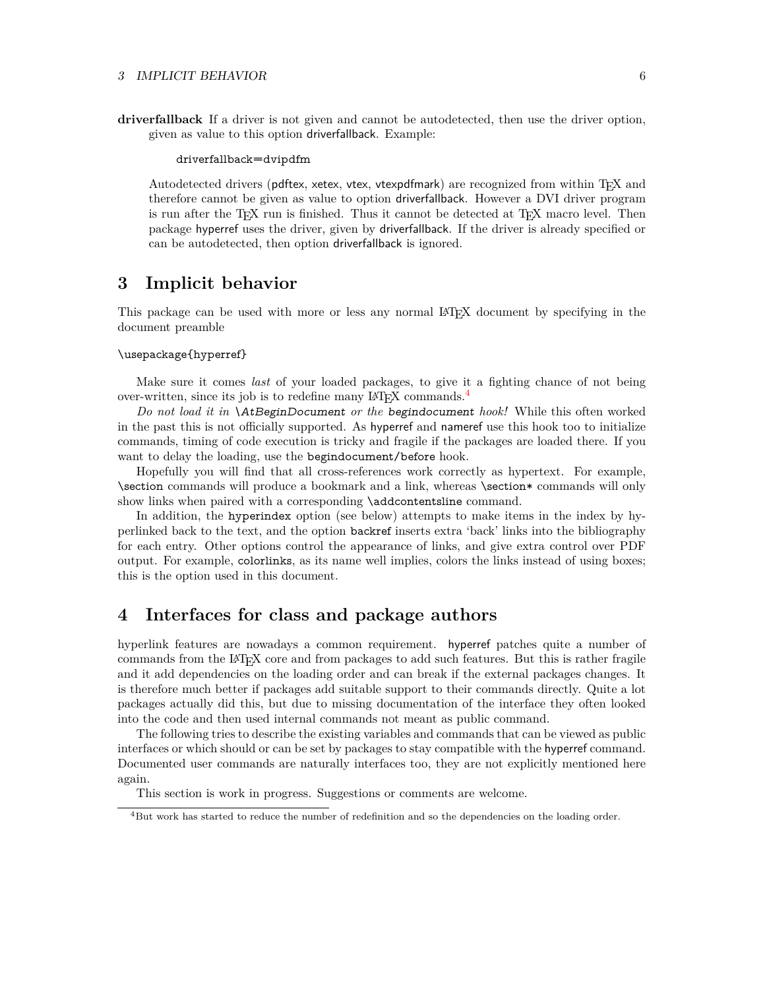#### 3 IMPLICIT BEHAVIOR 6

**driverfallback** If a driver is not given and cannot be autodetected, then use the driver option, given as value to this option driverfallback. Example:

driverfallback=dvipdfm

Autodetected drivers (pdftex, xetex, vtex, vtexpdfmark) are recognized from within TEX and therefore cannot be given as value to option driverfallback. However a DVI driver program is run after the T<sub>E</sub>X run is finished. Thus it cannot be detected at T<sub>E</sub>X macro level. Then package hyperref uses the driver, given by driverfallback. If the driver is already specified or can be autodetected, then option driverfallback is ignored.

## <span id="page-5-0"></span>**3 Implicit behavior**

This package can be used with more or less any normal LATEX document by specifying in the document preamble

#### \usepackage{hyperref}

Make sure it comes *last* of your loaded packages, to give it a fighting chance of not being over-written, since its job is to redefine many LAT<sub>EX</sub> commands.<sup>[4](#page-5-2)</sup>

*Do not load it in* \AtBeginDocument *or the* begindocument *hook!* While this often worked in the past this is not officially supported. As hyperref and nameref use this hook too to initialize commands, timing of code execution is tricky and fragile if the packages are loaded there. If you want to delay the loading, use the begindocument/before hook.

Hopefully you will find that all cross-references work correctly as hypertext. For example, \section commands will produce a bookmark and a link, whereas \section\* commands will only show links when paired with a corresponding \addcontentsline command.

In addition, the hyperindex option (see below) attempts to make items in the index by hyperlinked back to the text, and the option backref inserts extra 'back' links into the bibliography for each entry. Other options control the appearance of links, and give extra control over PDF output. For example, colorlinks, as its name well implies, colors the links instead of using boxes; this is the option used in this document.

## <span id="page-5-1"></span>**4 Interfaces for class and package authors**

hyperlink features are nowadays a common requirement. hyperref patches quite a number of commands from the LATEX core and from packages to add such features. But this is rather fragile and it add dependencies on the loading order and can break if the external packages changes. It is therefore much better if packages add suitable support to their commands directly. Quite a lot packages actually did this, but due to missing documentation of the interface they often looked into the code and then used internal commands not meant as public command.

The following tries to describe the existing variables and commands that can be viewed as public interfaces or which should or can be set by packages to stay compatible with the hyperref command. Documented user commands are naturally interfaces too, they are not explicitly mentioned here again.

This section is work in progress. Suggestions or comments are welcome.

<span id="page-5-2"></span><sup>4</sup>But work has started to reduce the number of redefinition and so the dependencies on the loading order.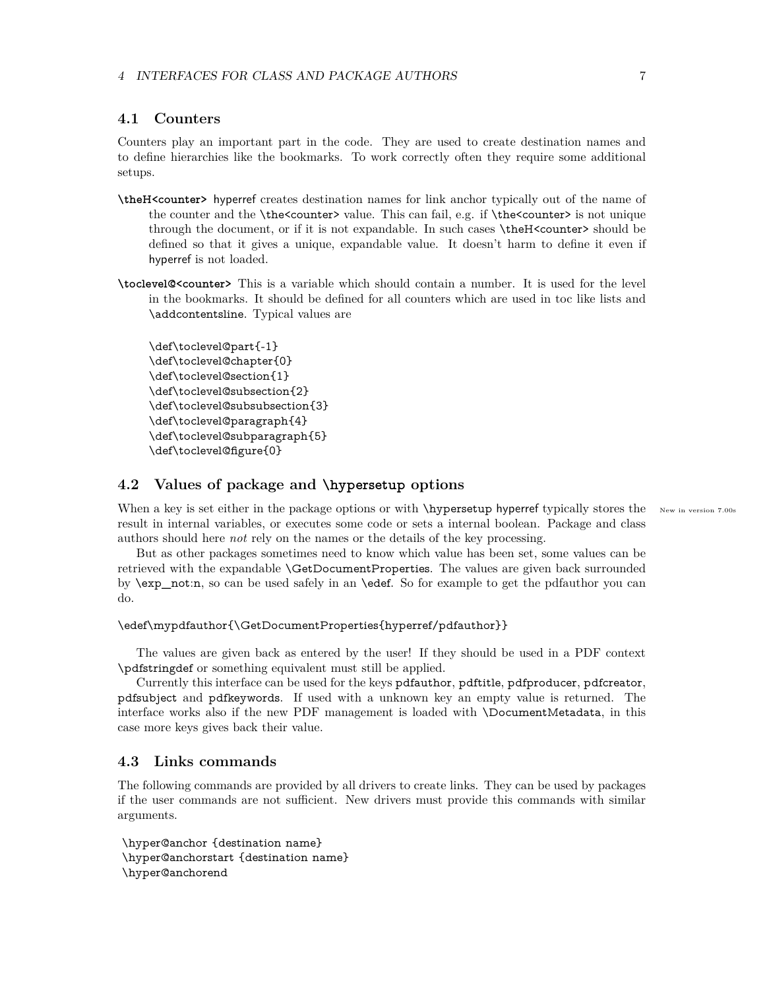#### <span id="page-6-0"></span>**4.1 Counters**

Counters play an important part in the code. They are used to create destination names and to define hierarchies like the bookmarks. To work correctly often they require some additional setups.

- **\theH<counter>** hyperref creates destination names for link anchor typically out of the name of the counter and the \the<counter> value. This can fail, e.g. if \the<counter> is not unique through the document, or if it is not expandable. In such cases \theH<counter> should be defined so that it gives a unique, expandable value. It doesn't harm to define it even if hyperref is not loaded.
- **\toclevel@<counter>** This is a variable which should contain a number. It is used for the level in the bookmarks. It should be defined for all counters which are used in toc like lists and \addcontentsline. Typical values are

```
\def\toclevel@part{-1}
\def\toclevel@chapter{0}
\def\toclevel@section{1}
\def\toclevel@subsection{2}
\def\toclevel@subsubsection{3}
\def\toclevel@paragraph{4}
\def\toclevel@subparagraph{5}
\def\toclevel@figure{0}
```
## <span id="page-6-1"></span>**4.2 Values of package and \hypersetup options**

When a key is set either in the package options or with  $\hbox{\tt \hbox{hypersetup}}$  hyperref typically stores the New in version 7.00s result in internal variables, or executes some code or sets a internal boolean. Package and class authors should here *not* rely on the names or the details of the key processing.

But as other packages sometimes need to know which value has been set, some values can be retrieved with the expandable \GetDocumentProperties. The values are given back surrounded by \exp\_not:n, so can be used safely in an \edef. So for example to get the pdfauthor you can do.

```
\edef\mypdfauthor{\GetDocumentProperties{hyperref/pdfauthor}}
```
The values are given back as entered by the user! If they should be used in a PDF context \pdfstringdef or something equivalent must still be applied.

Currently this interface can be used for the keys pdfauthor, pdftitle, pdfproducer, pdfcreator, pdfsubject and pdfkeywords. If used with a unknown key an empty value is returned. The interface works also if the new PDF management is loaded with \DocumentMetadata, in this case more keys gives back their value.

## <span id="page-6-2"></span>**4.3 Links commands**

The following commands are provided by all drivers to create links. They can be used by packages if the user commands are not sufficient. New drivers must provide this commands with similar arguments.

\hyper@anchor {destination name} \hyper@anchorstart {destination name} \hyper@anchorend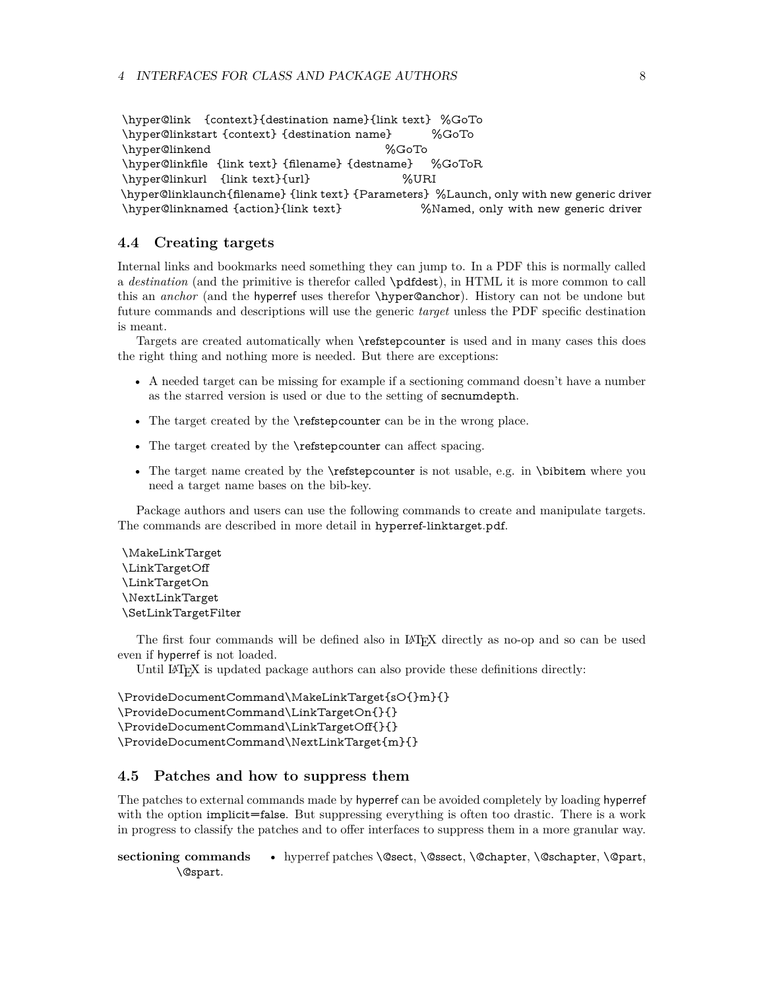```
\hyper@link {context}{destination name}{link text} %GoTo
\hyper@linkstart {context} {destination name} %GoTo
\hyper@linkend %GoTo
\hyper@linkfile {link text} {filename} {destname} %GoToR
\hyper@linkurl {link text}{url} %URI
\hyper@linklaunch{filename} {link text} {Parameters} %Launch, only with new generic driver
\hyper@linknamed {action}{link text} %Named, only with new generic driver
```
## <span id="page-7-0"></span>**4.4 Creating targets**

Internal links and bookmarks need something they can jump to. In a PDF this is normally called a *destination* (and the primitive is therefor called \pdfdest), in HTML it is more common to call this an *anchor* (and the hyperref uses therefor \hyper@anchor). History can not be undone but future commands and descriptions will use the generic *target* unless the PDF specific destination is meant.

Targets are created automatically when \refstepcounter is used and in many cases this does the right thing and nothing more is needed. But there are exceptions:

- A needed target can be missing for example if a sectioning command doesn't have a number as the starred version is used or due to the setting of secnumdepth.
- The target created by the **\refstepcounter** can be in the wrong place.
- The target created by the **\refstepcounter** can affect spacing.
- The target name created by the **\refstepcounter** is not usable, e.g. in **\bibitem** where you need a target name bases on the bib-key.

Package authors and users can use the following commands to create and manipulate targets. The commands are described in more detail in hyperref-linktarget.pdf.

\MakeLinkTarget \LinkTargetOff \LinkTargetOn \NextLinkTarget \SetLinkTargetFilter

The first four commands will be defined also in LATEX directly as no-op and so can be used even if hyperref is not loaded.

Until LAT<sub>EX</sub> is updated package authors can also provide these definitions directly:

```
\ProvideDocumentCommand\MakeLinkTarget{sO{}m}{}
\ProvideDocumentCommand\LinkTargetOn{}{}
\ProvideDocumentCommand\LinkTargetOff{}{}
\ProvideDocumentCommand\NextLinkTarget{m}{}
```
## <span id="page-7-1"></span>**4.5 Patches and how to suppress them**

The patches to external commands made by hyperref can be avoided completely by loading hyperref with the option implicit=false. But suppressing everything is often too drastic. There is a work in progress to classify the patches and to offer interfaces to suppress them in a more granular way.

sectioning commands • hyperref patches \@sect, \@ssect, \@chapter, \@schapter, \@part, \@spart.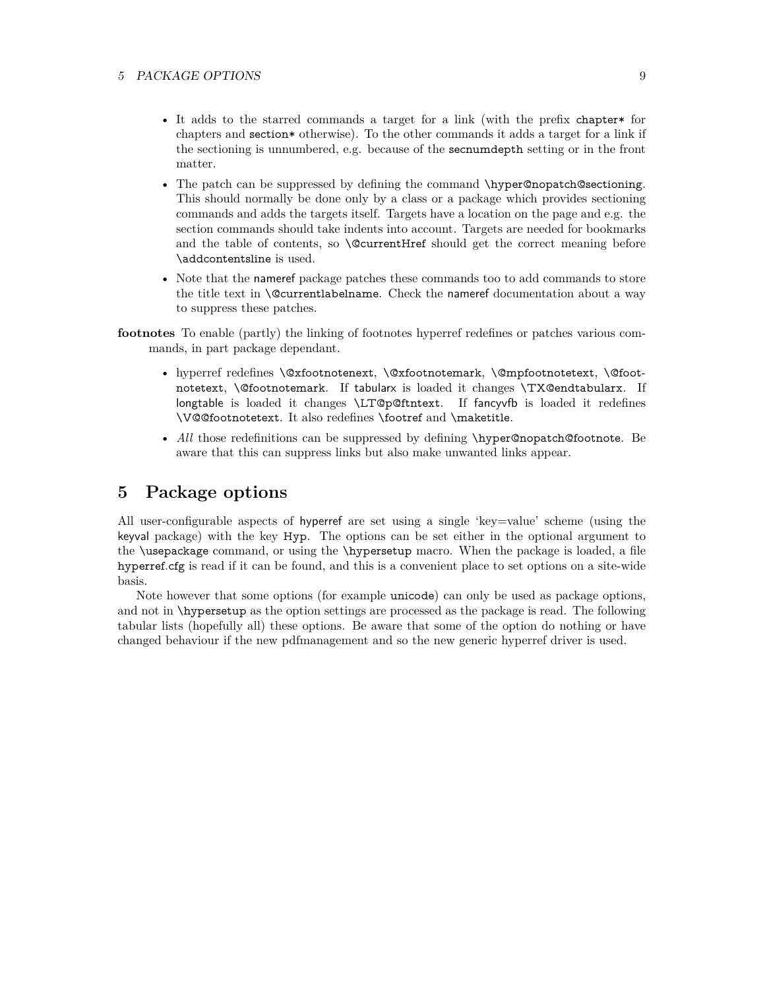- It adds to the starred commands a target for a link (with the prefix chapter\* for chapters and section\* otherwise). To the other commands it adds a target for a link if the sectioning is unnumbered, e.g. because of the secnumdepth setting or in the front matter.
- The patch can be suppressed by defining the command \hyper@nopatch@sectioning. This should normally be done only by a class or a package which provides sectioning commands and adds the targets itself. Targets have a location on the page and e.g. the section commands should take indents into account. Targets are needed for bookmarks and the table of contents, so **\@currentHref** should get the correct meaning before \addcontentsline is used.
- Note that the nameref package patches these commands too to add commands to store the title text in  $\text{Qcurrentlabeledname}.$  Check the nameref documentation about a way to suppress these patches.
- **footnotes** To enable (partly) the linking of footnotes hyperref redefines or patches various commands, in part package dependant.
	- hyperref redefines \@xfootnotenext, \@xfootnotemark, \@mpfootnotetext, \@footnotetext, \@footnotemark. If tabularx is loaded it changes \TX@endtabularx. If longtable is loaded it changes \LT@p@ftntext. If fancyvfb is loaded it redefines \V@@footnotetext. It also redefines \footref and \maketitle.
	- *All* those redefinitions can be suppressed by defining \hyper@nopatch@footnote. Be aware that this can suppress links but also make unwanted links appear.

## <span id="page-8-0"></span>**5 Package options**

All user-configurable aspects of hyperref are set using a single 'key=value' scheme (using the keyval package) with the key Hyp. The options can be set either in the optional argument to the \usepackage command, or using the \hypersetup macro. When the package is loaded, a file hyperref.cfg is read if it can be found, and this is a convenient place to set options on a site-wide basis.

Note however that some options (for example unicode) can only be used as package options, and not in \hypersetup as the option settings are processed as the package is read. The following tabular lists (hopefully all) these options. Be aware that some of the option do nothing or have changed behaviour if the new pdfmanagement and so the new generic hyperref driver is used.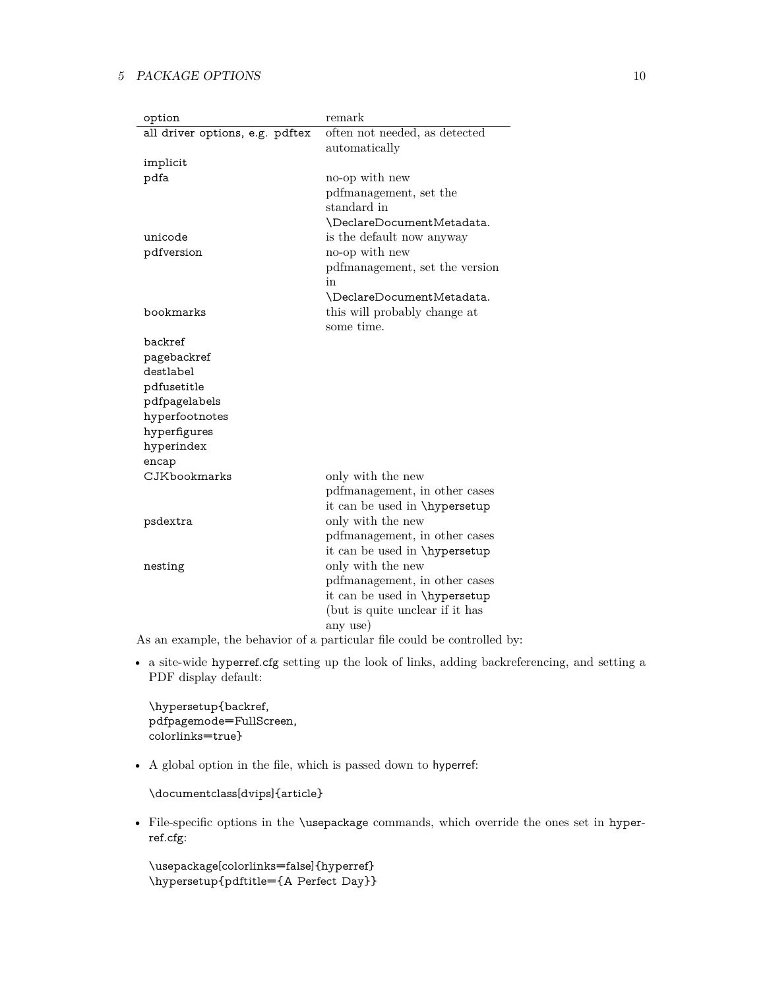| option                          | remark                               |
|---------------------------------|--------------------------------------|
| all driver options, e.g. pdftex | often not needed, as detected        |
|                                 | automatically                        |
| implicit                        |                                      |
| pdfa                            | no-op with new                       |
|                                 | pdfmanagement, set the               |
|                                 | standard in                          |
|                                 | \DeclareDocumentMetadata.            |
| unicode                         | is the default now anyway            |
| pdfversion                      | no-op with new                       |
|                                 | pdfmanagement, set the version       |
|                                 | in                                   |
|                                 | \DeclareDocumentMetadata.            |
| bookmarks                       | this will probably change at         |
|                                 | some time.                           |
| backref                         |                                      |
| pagebackref                     |                                      |
| destlabel                       |                                      |
| pdfusetitle                     |                                      |
| pdfpagelabels                   |                                      |
| hyperfootnotes                  |                                      |
| hyperfigures                    |                                      |
| hyperindex                      |                                      |
| encap                           |                                      |
| CJKbookmarks                    | only with the new                    |
|                                 | pdfmanagement, in other cases        |
|                                 | it can be used in \hypersetup        |
| psdextra                        | only with the new                    |
|                                 | pdfmanagement, in other cases        |
|                                 | it can be used in <i>\hypersetup</i> |
| nesting                         | only with the new                    |
|                                 | pdfmanagement, in other cases        |
|                                 | it can be used in \hypersetup        |
|                                 | (but is quite unclear if it has      |
|                                 | any use)                             |

As an example, the behavior of a particular file could be controlled by:

• a site-wide hyperref.cfg setting up the look of links, adding backreferencing, and setting a PDF display default:

\hypersetup{backref, pdfpagemode=FullScreen, colorlinks=true}

• A global option in the file, which is passed down to hyperref:

\documentclass[dvips]{article}

• File-specific options in the \usepackage commands, which override the ones set in hyperref.cfg:

```
\usepackage[colorlinks=false]{hyperref}
\hypersetup{pdftitle={A Perfect Day}}
```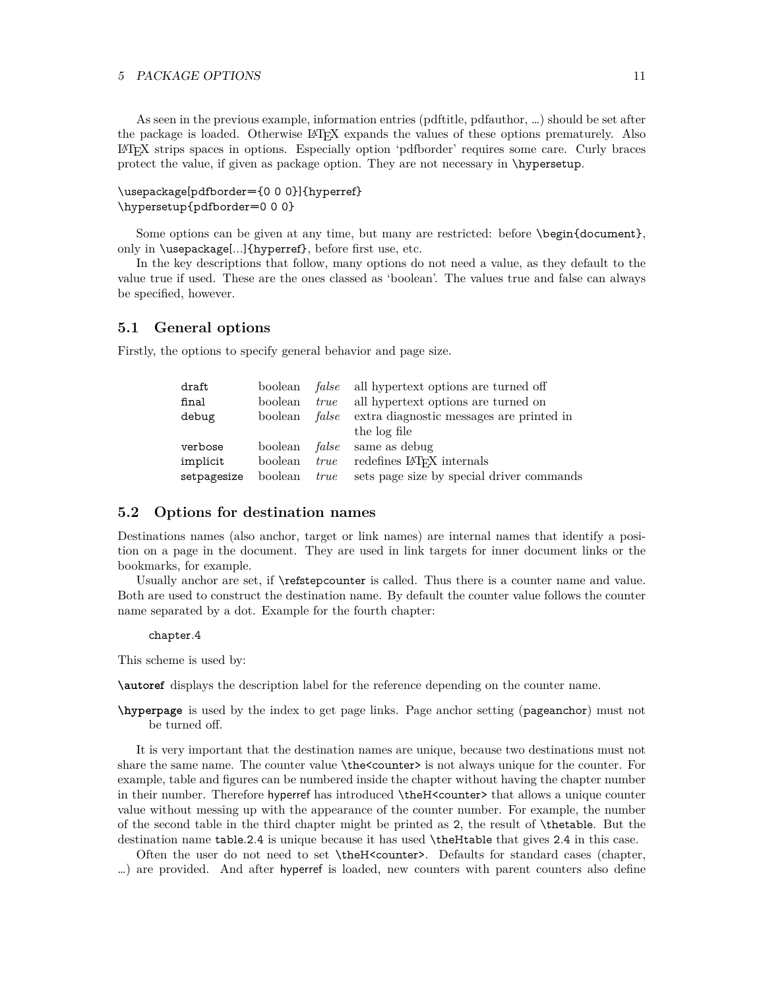As seen in the previous example, information entries (pdftitle, pdfauthor, …) should be set after the package is loaded. Otherwise LATEX expands the values of these options prematurely. Also LATEX strips spaces in options. Especially option 'pdfborder' requires some care. Curly braces protect the value, if given as package option. They are not necessary in \hypersetup.

### \usepackage[pdfborder={0 0 0}]{hyperref} \hypersetup{pdfborder=0 0 0}

Some options can be given at any time, but many are restricted: before \begin{document}, only in \usepackage[...]{hyperref}, before first use, etc.

In the key descriptions that follow, many options do not need a value, as they default to the value true if used. These are the ones classed as 'boolean'. The values true and false can always be specified, however.

#### <span id="page-10-0"></span>**5.1 General options**

Firstly, the options to specify general behavior and page size.

| draft       |         |      | boolean <i>false</i> all hypertext options are turned off |
|-------------|---------|------|-----------------------------------------------------------|
| final       | boolean | true | all hypertext options are turned on                       |
| debug       | boolean |      | <i>false</i> extra diagnostic messages are printed in     |
|             |         |      | the log file                                              |
| verbose     |         |      | boolean <i>false</i> same as debug                        |
| implicit    | boolean | true | redefines LAT <sub>F</sub> X internals                    |
| setpagesize | boolean | true | sets page size by special driver commands                 |

#### <span id="page-10-1"></span>**5.2 Options for destination names**

Destinations names (also anchor, target or link names) are internal names that identify a position on a page in the document. They are used in link targets for inner document links or the bookmarks, for example.

Usually anchor are set, if \refstepcounter is called. Thus there is a counter name and value. Both are used to construct the destination name. By default the counter value follows the counter name separated by a dot. Example for the fourth chapter:

#### chapter.4

This scheme is used by:

**\autoref** displays the description label for the reference depending on the counter name.

**\hyperpage** is used by the index to get page links. Page anchor setting (pageanchor) must not be turned off.

It is very important that the destination names are unique, because two destinations must not share the same name. The counter value  $\theta$  the counter is not always unique for the counter. For example, table and figures can be numbered inside the chapter without having the chapter number in their number. Therefore hyperref has introduced \theH<counter> that allows a unique counter value without messing up with the appearance of the counter number. For example, the number of the second table in the third chapter might be printed as 2, the result of \thetable. But the destination name table.2.4 is unique because it has used \theHtable that gives 2.4 in this case.

Often the user do not need to set \theH<counter>. Defaults for standard cases (chapter, …) are provided. And after hyperref is loaded, new counters with parent counters also define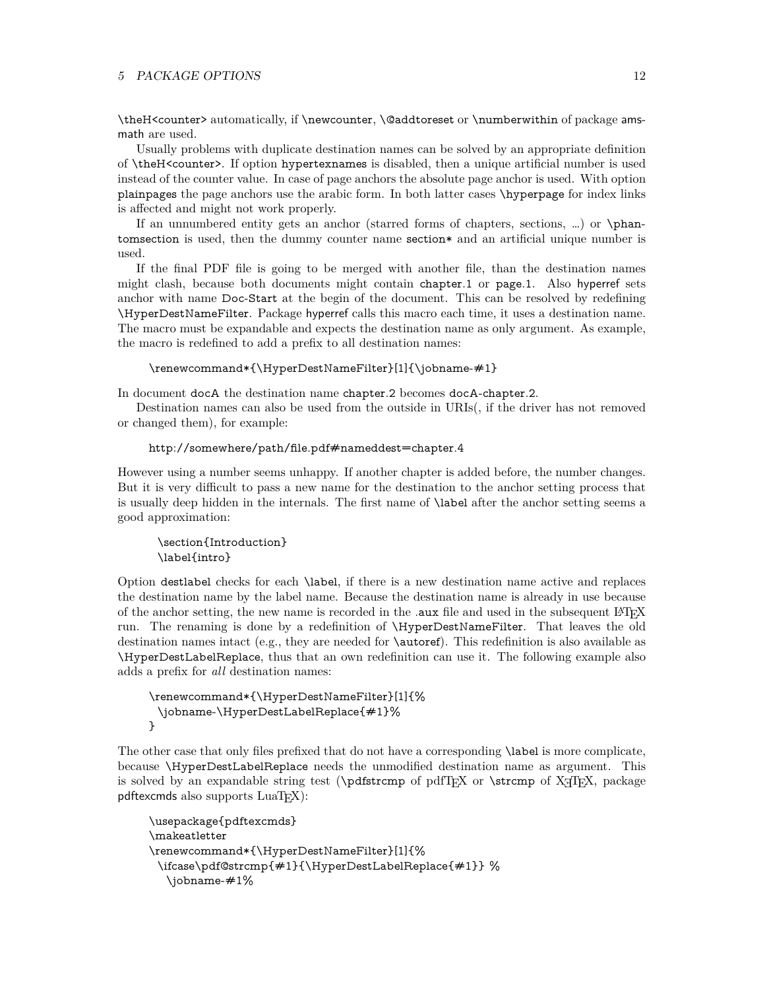\theH<counter> automatically, if \newcounter, \@addtoreset or \numberwithin of package amsmath are used.

Usually problems with duplicate destination names can be solved by an appropriate definition of \theH<counter>. If option hypertexnames is disabled, then a unique artificial number is used instead of the counter value. In case of page anchors the absolute page anchor is used. With option plainpages the page anchors use the arabic form. In both latter cases \hyperpage for index links is affected and might not work properly.

If an unnumbered entity gets an anchor (starred forms of chapters, sections, …) or \phantomsection is used, then the dummy counter name section\* and an artificial unique number is used.

If the final PDF file is going to be merged with another file, than the destination names might clash, because both documents might contain chapter.1 or page.1. Also hyperref sets anchor with name Doc-Start at the begin of the document. This can be resolved by redefining \HyperDestNameFilter. Package hyperref calls this macro each time, it uses a destination name. The macro must be expandable and expects the destination name as only argument. As example, the macro is redefined to add a prefix to all destination names:

#### \renewcommand\*{\HyperDestNameFilter}[1]{\jobname-#1}

In document docA the destination name chapter.2 becomes docA-chapter.2.

Destination names can also be used from the outside in URIs(, if the driver has not removed or changed them), for example:

#### http://somewhere/path/file.pdf#nameddest=chapter.4

However using a number seems unhappy. If another chapter is added before, the number changes. But it is very difficult to pass a new name for the destination to the anchor setting process that is usually deep hidden in the internals. The first name of \label after the anchor setting seems a good approximation:

```
\section{Introduction}
\label{intro}
```
Option destlabel checks for each \label, if there is a new destination name active and replaces the destination name by the label name. Because the destination name is already in use because of the anchor setting, the new name is recorded in the .**aux** file and used in the subsequent LAT<sub>E</sub>X run. The renaming is done by a redefinition of \HyperDestNameFilter. That leaves the old destination names intact (e.g., they are needed for \autoref). This redefinition is also available as \HyperDestLabelReplace, thus that an own redefinition can use it. The following example also adds a prefix for *all* destination names:

```
\renewcommand*{\HyperDestNameFilter}[1]{%
 \jobname-\HyperDestLabelReplace{#1}%
}
```
The other case that only files prefixed that do not have a corresponding \label is more complicate, because \HyperDestLabelReplace needs the unmodified destination name as argument. This is solved by an expandable string test ( $\Phi$ offstr $\epsilon$  of pdfTEX or  $\strut$ strcmp of X $\tau$ TEX, package pdftexcmds also supports LuaTFX):

```
\usepackage{pdftexcmds}
\makeatletter
\renewcommand*{\HyperDestNameFilter}[1]{%
 \ifcase\pdf@strcmp{#1}{\HyperDestLabelReplace{#1}} %
  \jobname-#1%
```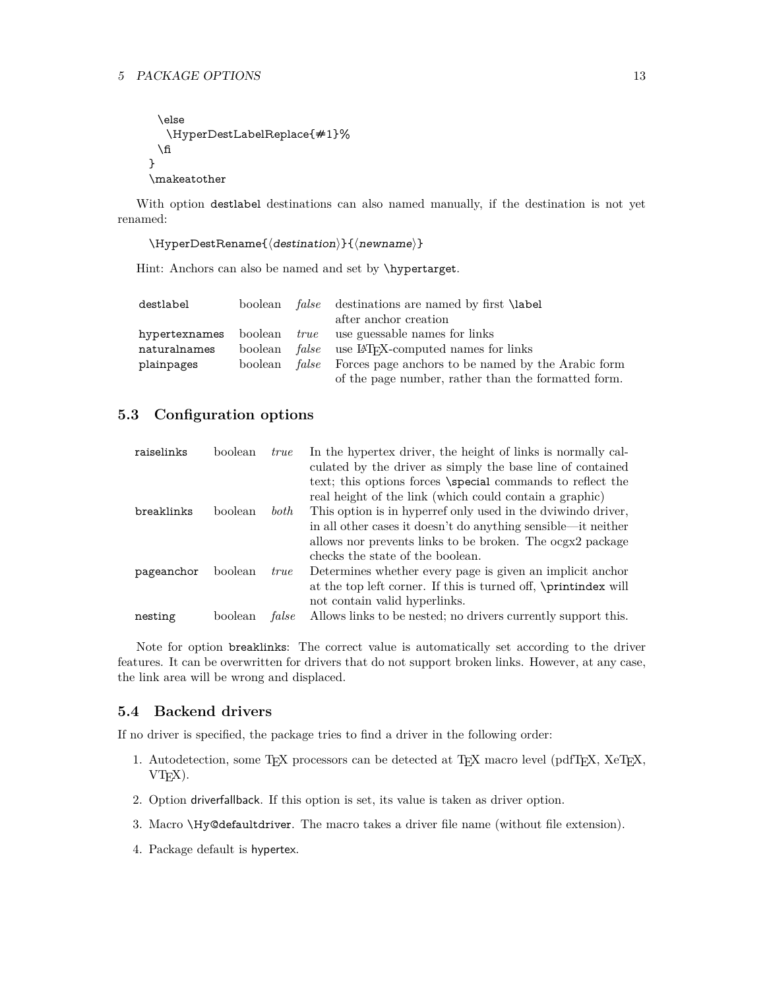```
\else
  \HyperDestLabelReplace{#1}%
 \fi
}
\makeatother
```
With option destlabel destinations can also named manually, if the destination is not yet renamed:

```
\HyperDestRename{\langle destination\rangle}{\langle newname\rangle}
```
Hint: Anchors can also be named and set by *\hypertarget*.

| destlabel    |  | boolean <i>false</i> destinations are named by first <b>\label</b>      |
|--------------|--|-------------------------------------------------------------------------|
|              |  | after anchor creation                                                   |
|              |  | hypertexnames boolean <i>true</i> use guessable names for links         |
| naturalnames |  | boolean <i>false</i> use LAT <sub>F</sub> X-computed names for links    |
| plainpages   |  | boolean <i>false</i> Forces page anchors to be named by the Arabic form |
|              |  | of the page number, rather than the formatted form.                     |

## <span id="page-12-0"></span>**5.3 Configuration options**

| raiselinks | boolean | <i>true</i> | In the hypertex driver, the height of links is normally cal-    |
|------------|---------|-------------|-----------------------------------------------------------------|
|            |         |             | culated by the driver as simply the base line of contained      |
|            |         |             | text; this options forces \special commands to reflect the      |
|            |         |             | real height of the link (which could contain a graphic)         |
| breaklinks | boolean | both        | This option is in hyperref only used in the dviwindo driver,    |
|            |         |             | in all other cases it doesn't do anything sensible—it neither   |
|            |         |             | allows nor prevents links to be broken. The ocgx2 package       |
|            |         |             | checks the state of the boolean.                                |
| pageanchor | boolean | <i>true</i> | Determines whether every page is given an implicit anchor       |
|            |         |             | at the top left corner. If this is turned off, \printindex will |
|            |         |             | not contain valid hyperlinks.                                   |
| nesting    | boolean | false       | Allows links to be nested; no drivers currently support this.   |

Note for option breaklinks: The correct value is automatically set according to the driver features. It can be overwritten for drivers that do not support broken links. However, at any case, the link area will be wrong and displaced.

#### <span id="page-12-1"></span>**5.4 Backend drivers**

If no driver is specified, the package tries to find a driver in the following order:

- 1. Autodetection, some TEX processors can be detected at TEX macro level (pdfTEX, XeTEX,  $VT<sub>E</sub>X$ ).
- 2. Option driverfallback. If this option is set, its value is taken as driver option.
- 3. Macro \Hy@defaultdriver. The macro takes a driver file name (without file extension).
- 4. Package default is hypertex.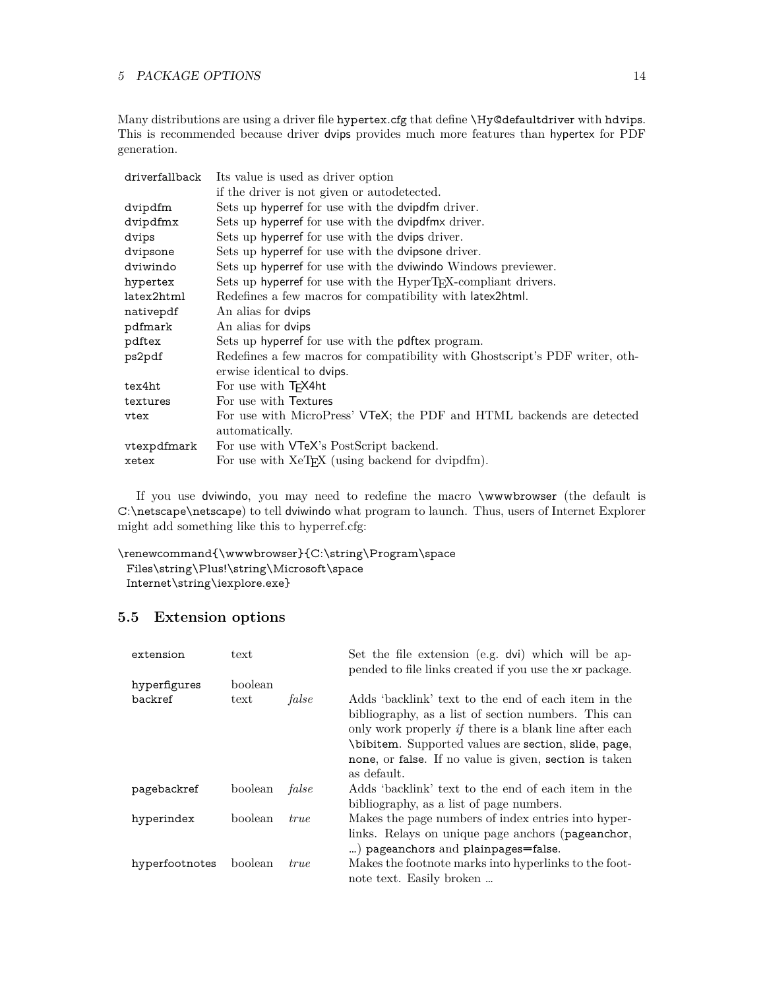Many distributions are using a driver file hypertex.cfg that define \Hy@defaultdriver with hdvips. This is recommended because driver dvips provides much more features than hypertex for PDF generation.

| driverfallback | Its value is used as driver option                                           |
|----------------|------------------------------------------------------------------------------|
|                | if the driver is not given or autodetected.                                  |
| dvipdfm        | Sets up hyperref for use with the dvipdfm driver.                            |
| dvipdfmx       | Sets up hyperref for use with the dvipdfmx driver.                           |
| dvips          | Sets up hyperref for use with the dvips driver.                              |
| dvipsone       | Sets up hyperref for use with the dvipsone driver.                           |
| dviwindo       | Sets up hyperref for use with the dviwindo Windows previewer.                |
| hypertex       | Sets up hyperref for use with the HyperT <sub>F</sub> X-compliant drivers.   |
| latex2html     | Redefines a few macros for compatibility with latex2html.                    |
| nativepdf      | An alias for dvips                                                           |
| pdfmark        | An alias for dvips                                                           |
| pdftex         | Sets up hyperref for use with the pdftex program.                            |
| ps2pdf         | Redefines a few macros for compatibility with Ghostscript's PDF writer, oth- |
|                | erwise identical to dvips.                                                   |
| tex4ht         | For use with T <sub>F</sub> X4ht                                             |
| textures       | For use with Textures                                                        |
| vtex           | For use with MicroPress' VTeX; the PDF and HTML backends are detected        |
|                | automatically.                                                               |
| vtexpdfmark    | For use with <b>VTeX</b> 's PostScript backend.                              |
| xetex          | For use with XeT <sub>F</sub> X (using backend for dvipdfm).                 |

If you use dviwindo, you may need to redefine the macro \wwwbrowser (the default is C:\netscape\netscape) to tell dviwindo what program to launch. Thus, users of Internet Explorer might add something like this to hyperref.cfg:

```
\renewcommand{\wwwbrowser}{C:\string\Program\space
 Files\string\Plus!\string\Microsoft\space
 Internet\string\iexplore.exe}
```
## <span id="page-13-0"></span>**5.5 Extension options**

| extension      | text    |             | Set the file extension (e.g. dvi) which will be ap-<br>pended to file links created if you use the xr package.                                                                                                                                                                                                |
|----------------|---------|-------------|---------------------------------------------------------------------------------------------------------------------------------------------------------------------------------------------------------------------------------------------------------------------------------------------------------------|
| hyperfigures   | boolean |             |                                                                                                                                                                                                                                                                                                               |
| backref        | text    | false       | Adds 'backlink' text to the end of each item in the<br>bibliography, as a list of section numbers. This can<br>only work properly <i>if</i> there is a blank line after each<br>\bibitem. Supported values are section, slide, page,<br>none, or false. If no value is given, section is taken<br>as default. |
| pagebackref    | boolean | false       | Adds 'backlink' text to the end of each item in the<br>bibliography, as a list of page numbers.                                                                                                                                                                                                               |
| hyperindex     | boolean | <i>true</i> | Makes the page numbers of index entries into hyper-<br>links. Relays on unique page anchors (pageanchor,<br>) pageanchors and plainpages=false.                                                                                                                                                               |
| hyperfootnotes | boolean | <i>true</i> | Makes the footnote marks into hyperlinks to the foot-<br>note text. Easily broken                                                                                                                                                                                                                             |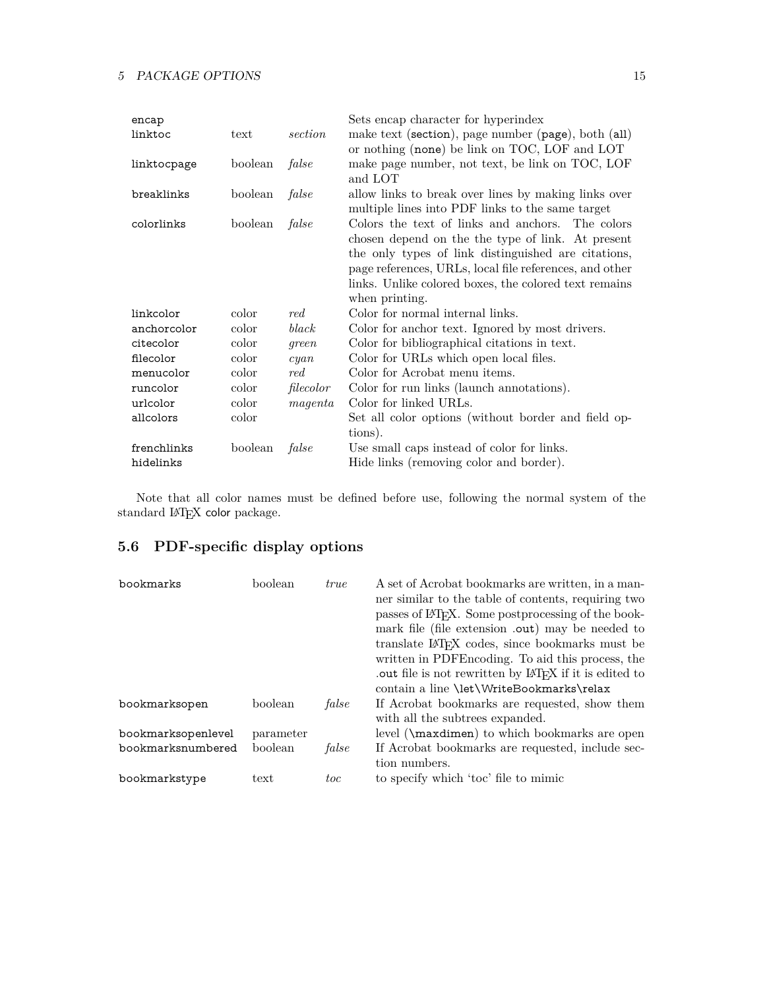| encap       |         |                          | Sets encap character for hyperindex                                                                                                                                                                                                                                                                |
|-------------|---------|--------------------------|----------------------------------------------------------------------------------------------------------------------------------------------------------------------------------------------------------------------------------------------------------------------------------------------------|
| linktoc     | text    | section                  | make text (section), page number (page), both (all)<br>or nothing (none) be link on TOC, LOF and LOT                                                                                                                                                                                               |
| linktocpage | boolean | false                    | make page number, not text, be link on TOC, LOF<br>and LOT                                                                                                                                                                                                                                         |
| breaklinks  | boolean | false                    | allow links to break over lines by making links over<br>multiple lines into PDF links to the same target                                                                                                                                                                                           |
| colorlinks  | boolean | false                    | Colors the text of links and anchors. The colors<br>chosen depend on the the type of link. At present<br>the only types of link distinguished are citations,<br>page references, URLs, local file references, and other<br>links. Unlike colored boxes, the colored text remains<br>when printing. |
| linkcolor   | color   | red                      | Color for normal internal links.                                                                                                                                                                                                                                                                   |
| anchorcolor | color   | black                    | Color for anchor text. Ignored by most drivers.                                                                                                                                                                                                                                                    |
| citecolor   | color   | green                    | Color for bibliographical citations in text.                                                                                                                                                                                                                                                       |
| filecolor   | color   | cyan                     | Color for URLs which open local files.                                                                                                                                                                                                                                                             |
| menucolor   | color   | $\mathop{red.}\nolimits$ | Color for Acrobat menu items.                                                                                                                                                                                                                                                                      |
| runcolor    | color   | filecolor                | Color for run links (launch annotations).                                                                                                                                                                                                                                                          |
| urlcolor    | color   | magenta                  | Color for linked URLs.                                                                                                                                                                                                                                                                             |
| allcolors   | color   |                          | Set all color options (without border and field op-                                                                                                                                                                                                                                                |
|             |         |                          | tions).                                                                                                                                                                                                                                                                                            |
| frenchlinks | boolean | false                    | Use small caps instead of color for links.                                                                                                                                                                                                                                                         |
| hidelinks   |         |                          | Hide links (removing color and border).                                                                                                                                                                                                                                                            |

Note that all color names must be defined before use, following the normal system of the standard IATEX color package.

## <span id="page-14-0"></span>**5.6 PDF-specific display options**

| bookmarks          | boolean   | <i>true</i> | A set of Acrobat bookmarks are written, in a man-<br>ner similar to the table of contents, requiring two<br>passes of LAT <sub>F</sub> X. Some postprocessing of the book-<br>mark file (file extension .out) may be needed to<br>translate LAT <sub>F</sub> X codes, since bookmarks must be<br>written in PDFE ncoding. To aid this process, the<br>out file is not rewritten by LAT <sub>F</sub> X if it is edited to<br>contain a line \let\WriteBookmarks\relax |
|--------------------|-----------|-------------|----------------------------------------------------------------------------------------------------------------------------------------------------------------------------------------------------------------------------------------------------------------------------------------------------------------------------------------------------------------------------------------------------------------------------------------------------------------------|
| bookmarksopen      | boolean   | false       | If Acrobat bookmarks are requested, show them<br>with all the subtrees expanded.                                                                                                                                                                                                                                                                                                                                                                                     |
| bookmarksopenlevel | parameter |             | level (\maxdimen) to which bookmarks are open                                                                                                                                                                                                                                                                                                                                                                                                                        |
| bookmarksnumbered  | boolean   | false       | If Acrobat bookmarks are requested, include sec-<br>tion numbers.                                                                                                                                                                                                                                                                                                                                                                                                    |
| bookmarkstype      | text      | toc         | to specify which 'toc' file to mimic                                                                                                                                                                                                                                                                                                                                                                                                                                 |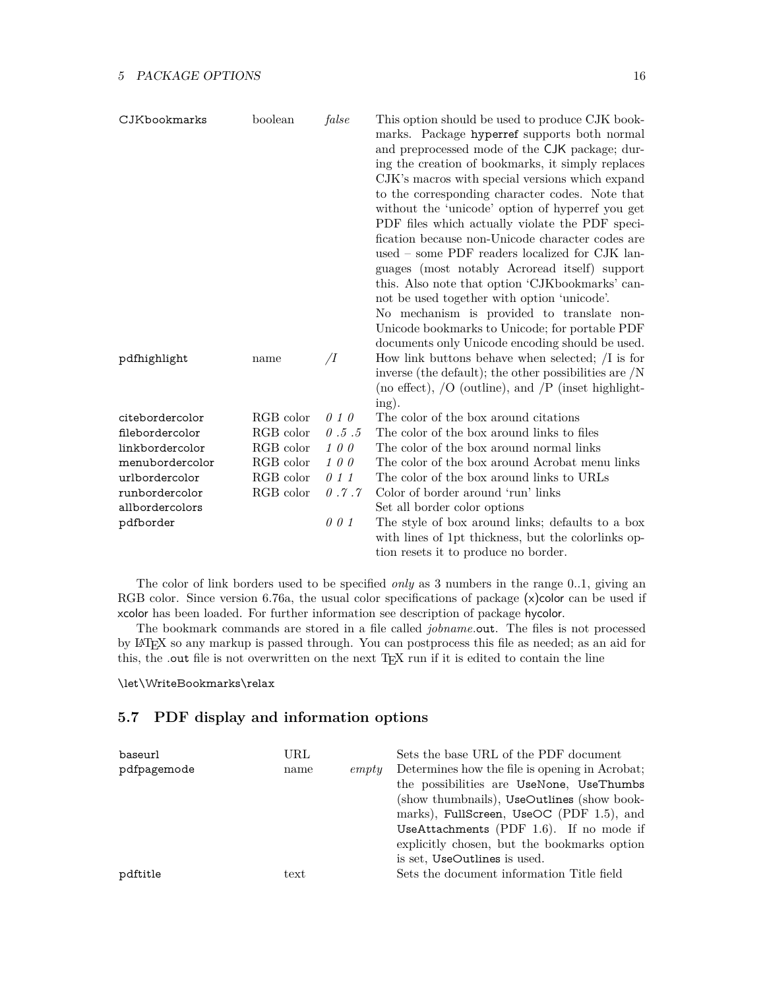| CJKbookmarks    | boolean   | false                | This option should be used to produce CJK book-<br>marks. Package hyperref supports both normal<br>and preprocessed mode of the CJK package; dur-<br>ing the creation of bookmarks, it simply replaces<br>CJK's macros with special versions which expand<br>to the corresponding character codes. Note that<br>without the 'unicode' option of hyperref you get<br>PDF files which actually violate the PDF speci-<br>fication because non-Unicode character codes are<br>used – some PDF readers localized for CJK lan-<br>guages (most notably Acroread itself) support<br>this. Also note that option 'CJKbookmarks' can-<br>not be used together with option 'unicode'. |
|-----------------|-----------|----------------------|------------------------------------------------------------------------------------------------------------------------------------------------------------------------------------------------------------------------------------------------------------------------------------------------------------------------------------------------------------------------------------------------------------------------------------------------------------------------------------------------------------------------------------------------------------------------------------------------------------------------------------------------------------------------------|
|                 |           |                      | No mechanism is provided to translate non-<br>Unicode bookmarks to Unicode; for portable PDF                                                                                                                                                                                                                                                                                                                                                                                                                                                                                                                                                                                 |
|                 |           |                      | documents only Unicode encoding should be used.                                                                                                                                                                                                                                                                                                                                                                                                                                                                                                                                                                                                                              |
| pdfhighlight    | name      | $\overline{\Lambda}$ | How link buttons behave when selected; $\overline{\phantom{a}}$ is for                                                                                                                                                                                                                                                                                                                                                                                                                                                                                                                                                                                                       |
|                 |           |                      | inverse (the default); the other possibilities are $/N$<br>(no effect), $/O$ (outline), and $/P$ (inset highlight-                                                                                                                                                                                                                                                                                                                                                                                                                                                                                                                                                           |
| citebordercolor | RGB color | 010                  | ing).<br>The color of the box around citations                                                                                                                                                                                                                                                                                                                                                                                                                                                                                                                                                                                                                               |
| filebordercolor | RGB color | 0.5.5                | The color of the box around links to files                                                                                                                                                                                                                                                                                                                                                                                                                                                                                                                                                                                                                                   |
| linkbordercolor | RGB color | 100                  | The color of the box around normal links                                                                                                                                                                                                                                                                                                                                                                                                                                                                                                                                                                                                                                     |
| menubordercolor | RGB color | $1\,0\,0$            | The color of the box around Acrobat menu links                                                                                                                                                                                                                                                                                                                                                                                                                                                                                                                                                                                                                               |
| urlbordercolor  | RGB color | 011                  | The color of the box around links to URLs                                                                                                                                                                                                                                                                                                                                                                                                                                                                                                                                                                                                                                    |
| runbordercolor  | RGB color | 0.7.7                | Color of border around 'run' links                                                                                                                                                                                                                                                                                                                                                                                                                                                                                                                                                                                                                                           |
| allbordercolors |           |                      | Set all border color options                                                                                                                                                                                                                                                                                                                                                                                                                                                                                                                                                                                                                                                 |
| pdfborder       |           | 001                  | The style of box around links; defaults to a box<br>with lines of 1pt thickness, but the colorlinks op-<br>tion resets it to produce no border.                                                                                                                                                                                                                                                                                                                                                                                                                                                                                                                              |

The color of link borders used to be specified *only* as 3 numbers in the range 0..1, giving an RGB color. Since version 6.76a, the usual color specifications of package (x)color can be used if xcolor has been loaded. For further information see description of package hycolor.

The bookmark commands are stored in a file called *jobname*.out. The files is not processed by LATEX so any markup is passed through. You can postprocess this file as needed; as an aid for this, the .out file is not overwritten on the next TEX run if it is edited to contain the line

#### \let\WriteBookmarks\relax

## <span id="page-15-0"></span>**5.7 PDF display and information options**

| baseurl     | URL              |       | Sets the base URL of the PDF document          |
|-------------|------------------|-------|------------------------------------------------|
| pdfpagemode | name             | empty | Determines how the file is opening in Acrobat: |
|             |                  |       | the possibilities are UseNone, UseThumbs       |
|             |                  |       | (show thumbnails), UseOutlines (show book-     |
|             |                  |       | marks), FullScreen, UseOC (PDF 1.5), and       |
|             |                  |       | UseAttachments (PDF $1.6$ ). If no mode if     |
|             |                  |       | explicitly chosen, but the bookmarks option    |
|             |                  |       | is set, UseOutlines is used.                   |
| pdftitle    | $texttext{text}$ |       | Sets the document information Title field      |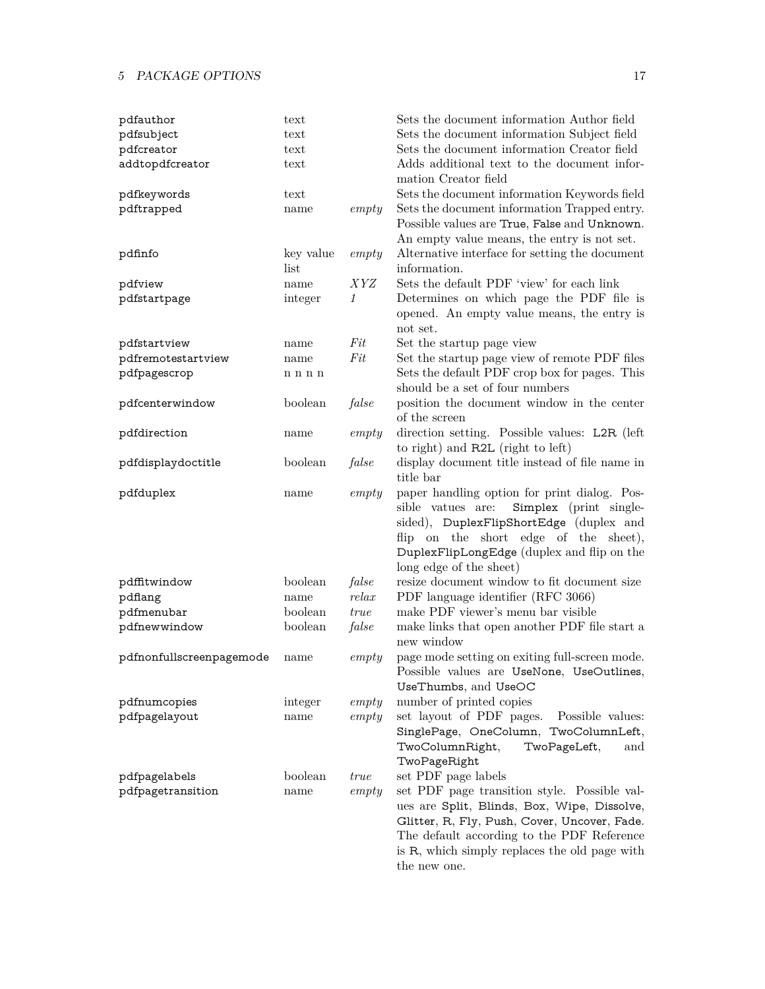| pdfauthor                | text              |            | Sets the document information Author field                                                                                                                                                                                                                 |
|--------------------------|-------------------|------------|------------------------------------------------------------------------------------------------------------------------------------------------------------------------------------------------------------------------------------------------------------|
| pdfsubject               | text              |            | Sets the document information Subject field                                                                                                                                                                                                                |
| pdfcreator               | text              |            | Sets the document information Creator field                                                                                                                                                                                                                |
| addtopdfcreator          | text              |            | Adds additional text to the document infor-<br>mation Creator field                                                                                                                                                                                        |
| pdfkeywords              | text              |            | Sets the document information Keywords field                                                                                                                                                                                                               |
| pdftrapped               | name              | empty      | Sets the document information Trapped entry.<br>Possible values are True, False and Unknown.<br>An empty value means, the entry is not set.                                                                                                                |
| pdfinfo                  | key value<br>list | empty      | Alternative interface for setting the document<br>information.                                                                                                                                                                                             |
| pdfview                  | name              | <i>XYZ</i> | Sets the default PDF 'view' for each link                                                                                                                                                                                                                  |
| pdfstartpage             | integer           | 1          | Determines on which page the PDF file is                                                                                                                                                                                                                   |
|                          |                   |            | opened. An empty value means, the entry is<br>not set.                                                                                                                                                                                                     |
| pdfstartview             | name              | $Fit$      | Set the startup page view                                                                                                                                                                                                                                  |
| pdfremotestartview       | name              | Fit        | Set the startup page view of remote PDF files                                                                                                                                                                                                              |
| pdfpagescrop             | n n n n           |            | Sets the default PDF crop box for pages. This<br>should be a set of four numbers                                                                                                                                                                           |
| pdfcenterwindow          | boolean           | false      | position the document window in the center<br>of the screen                                                                                                                                                                                                |
| pdfdirection             | name              | empty      | direction setting. Possible values: L2R (left)<br>to right) and R2L (right to left)                                                                                                                                                                        |
| pdfdisplaydoctitle       | boolean           | false      | display document title instead of file name in<br>title bar                                                                                                                                                                                                |
| pdfduplex                | name              | empty      | paper handling option for print dialog. Pos-<br>sible vatues are:<br>Simplex (print single-<br>sided), DuplexFlipShortEdge (duplex and<br>flip on the short edge of the sheet),<br>DuplexFlipLongEdge (duplex and flip on the<br>long edge of the sheet)   |
| pdffitwindow             | boolean           | false      | resize document window to fit document size                                                                                                                                                                                                                |
| pdflang                  | name              | relax      | PDF language identifier (RFC 3066)                                                                                                                                                                                                                         |
| pdfmenubar               | boolean           | true       | make PDF viewer's menu bar visible                                                                                                                                                                                                                         |
| pdfnewwindow             | boolean           | false      | make links that open another PDF file start a<br>new window                                                                                                                                                                                                |
| pdfnonfullscreenpagemode | name              | empty      | page mode setting on exiting full-screen mode.<br>Possible values are UseNone, UseOutlines,<br>UseThumbs, and UseOC                                                                                                                                        |
| pdfnumcopies             | integer           | empty      | number of printed copies                                                                                                                                                                                                                                   |
| pdfpagelayout            | name              | empty      | set layout of PDF pages.<br>Possible values:<br>SinglePage, OneColumn, TwoColumnLeft,<br>TwoColumnRight,<br>TwoPageLeft,<br>and<br>TwoPageRight                                                                                                            |
| pdfpagelabels            | boolean           | true       | set PDF page labels                                                                                                                                                                                                                                        |
| pdfpagetransition        | name              | empty      | set PDF page transition style. Possible val-<br>ues are Split, Blinds, Box, Wipe, Dissolve,<br>Glitter, R, Fly, Push, Cover, Uncover, Fade.<br>The default according to the PDF Reference<br>is R, which simply replaces the old page with<br>the new one. |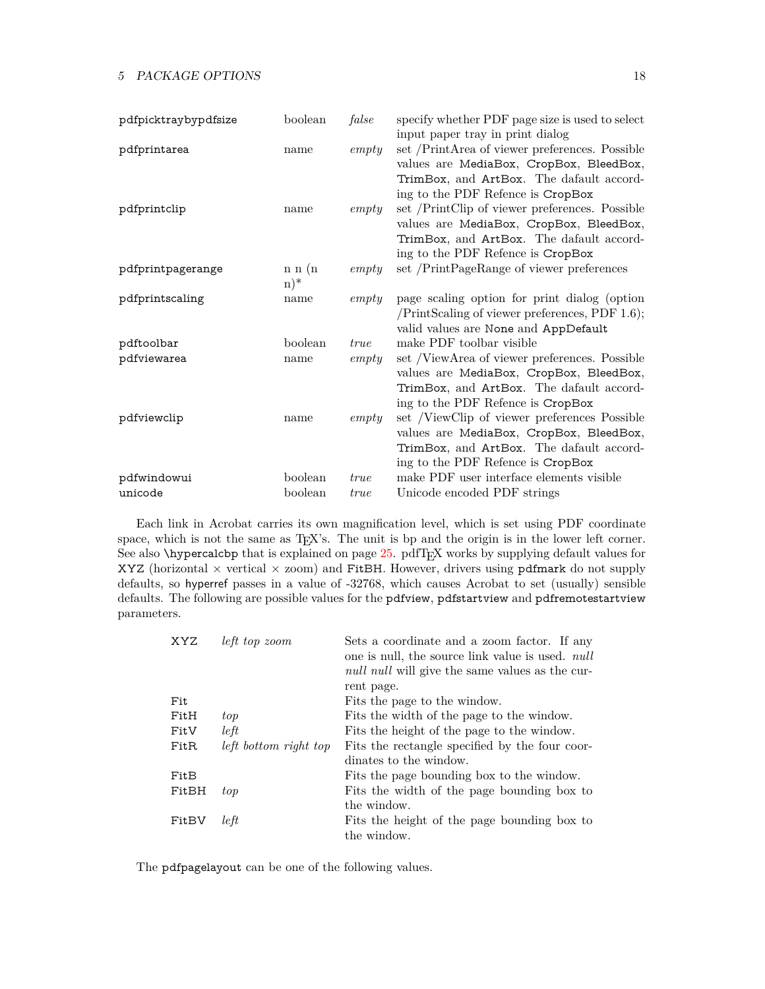| pdfpicktraybypdfsize | boolean | false       | specify whether PDF page size is used to select  |
|----------------------|---------|-------------|--------------------------------------------------|
|                      |         |             | input paper tray in print dialog                 |
| pdfprintarea         | name    | empty       | set /PrintArea of viewer preferences. Possible   |
|                      |         |             | values are MediaBox, CropBox, BleedBox,          |
|                      |         |             | TrimBox, and ArtBox. The dafault accord-         |
|                      |         |             | ing to the PDF Refence is CropBox                |
| pdfprintclip         | name    | empty       | set /PrintClip of viewer preferences. Possible   |
|                      |         |             | values are MediaBox, CropBox, BleedBox,          |
|                      |         |             | TrimBox, and ArtBox. The dafault accord-         |
|                      |         |             | ing to the PDF Refence is CropBox                |
| pdfprintpagerange    | n n (n) | empty       | set /PrintPageRange of viewer preferences        |
|                      | $(n)^*$ |             |                                                  |
| pdfprintscaling      | name    | empty       | page scaling option for print dialog (option     |
|                      |         |             | $/PrintScaling of viewer preferences, PDF 1.6);$ |
|                      |         |             | valid values are None and AppDefault             |
| pdftoolbar           | boolean | true        | make PDF toolbar visible                         |
| pdfviewarea          | name    | empty       | set /ViewArea of viewer preferences. Possible    |
|                      |         |             | values are MediaBox, CropBox, BleedBox,          |
|                      |         |             | TrimBox, and ArtBox. The dafault accord-         |
|                      |         |             | ing to the PDF Refence is CropBox                |
| pdfviewclip          | name    | empty       | set /ViewClip of viewer preferences Possible     |
|                      |         |             | values are MediaBox, CropBox, BleedBox,          |
|                      |         |             | TrimBox, and ArtBox. The dafault accord-         |
|                      |         |             | ing to the PDF Refence is CropBox                |
| pdfwindowui          | boolean | true        | make PDF user interface elements visible         |
| unicode              | boolean | <i>true</i> | Unicode encoded PDF strings                      |

Each link in Acrobat carries its own magnification level, which is set using PDF coordinate space, which is not the same as T<sub>E</sub>X's. The unit is bp and the origin is in the lower left corner. See also \hypercalcbp that is explained on page [25.](#page-27-1) pdfTEX works by supplying default values for XYZ (horizontal  $\times$  vertical  $\times$  zoom) and FitBH. However, drivers using pdfmark do not supply defaults, so hyperref passes in a value of -32768, which causes Acrobat to set (usually) sensible defaults. The following are possible values for the pdfview, pdfstartview and pdfremotestartview parameters.

| XYZ              | left top zoom         | Sets a coordinate and a zoom factor. If any<br>one is null, the source link value is used. <i>null</i><br><i>null null</i> will give the same values as the cur- |
|------------------|-----------------------|------------------------------------------------------------------------------------------------------------------------------------------------------------------|
|                  |                       | rent page.                                                                                                                                                       |
| Fit              |                       | Fits the page to the window.                                                                                                                                     |
| FitH             | top                   | Fits the width of the page to the window.                                                                                                                        |
| FitV             | left                  | Fits the height of the page to the window.                                                                                                                       |
| Fit <sub>R</sub> | left bottom right top | Fits the rectangle specified by the four coor-                                                                                                                   |
|                  |                       | dinates to the window.                                                                                                                                           |
| FitB             |                       | Fits the page bounding box to the window.                                                                                                                        |
| FitBH            | top                   | Fits the width of the page bounding box to                                                                                                                       |
|                  |                       | the window.                                                                                                                                                      |
| FitBV            | left                  | Fits the height of the page bounding box to                                                                                                                      |
|                  |                       | the window.                                                                                                                                                      |

The pdfpagelayout can be one of the following values.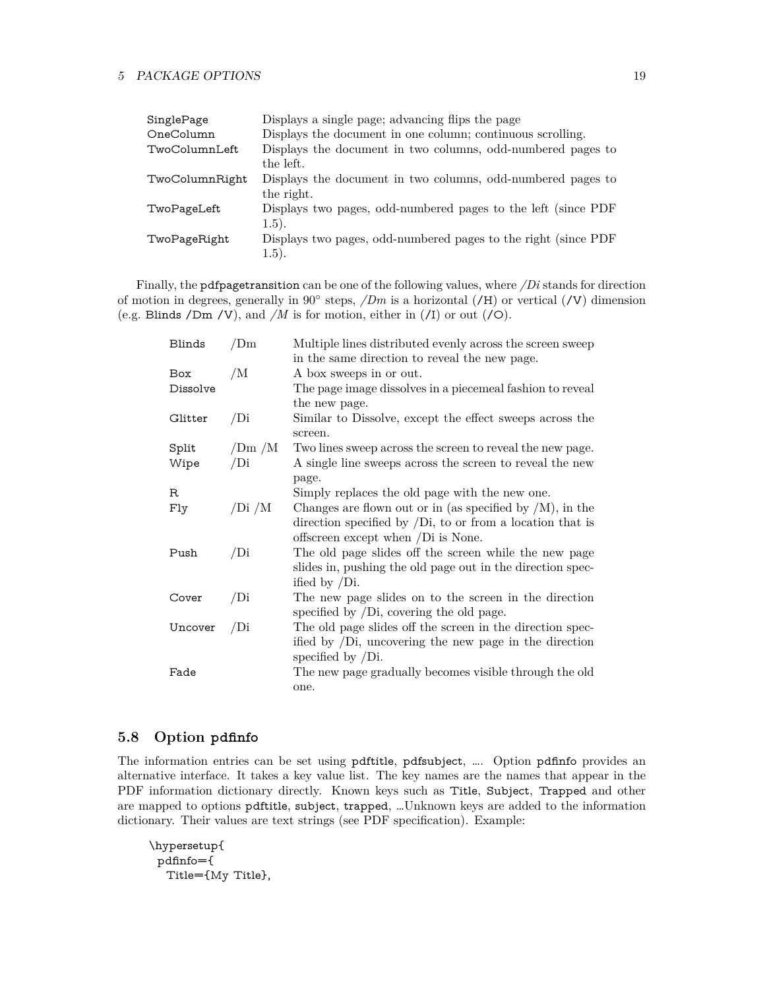| SinglePage     | Displays a single page; advancing flips the page               |
|----------------|----------------------------------------------------------------|
| OneColumn      | Displays the document in one column; continuous scrolling.     |
| TwoColumnLeft  | Displays the document in two columns, odd-numbered pages to    |
|                | the left.                                                      |
| TwoColumnRight | Displays the document in two columns, odd-numbered pages to    |
|                | the right.                                                     |
| TwoPageLeft    | Displays two pages, odd-numbered pages to the left (since PDF  |
|                | (1.5).                                                         |
| TwoPageRight   | Displays two pages, odd-numbered pages to the right (since PDF |
|                | (1.5).                                                         |

Finally, the pdfpagetransition can be one of the following values, where */Di* stands for direction of motion in degrees, generally in 90<sup>°</sup> steps, */Dm* is a horizontal (**/H**) or vertical (**/V**) dimension (e.g. Blinds /Dm /V), and */M* is for motion, either in (/I) or out (/O).

| Blinds     | /Dm    | Multiple lines distributed evenly across the screen sweep                                                     |
|------------|--------|---------------------------------------------------------------------------------------------------------------|
|            |        | in the same direction to reveal the new page.                                                                 |
| <b>Box</b> | /M     | A box sweeps in or out.                                                                                       |
| Dissolve   |        | The page image dissolves in a piecemeal fashion to reveal                                                     |
|            |        | the new page.                                                                                                 |
| Glitter    | /Di    | Similar to Dissolve, except the effect sweeps across the<br>screen.                                           |
| Split      | /Dm/M  | Two lines sweep across the screen to reveal the new page.                                                     |
| Wipe       | /Di    | A single line sweeps across the screen to reveal the new                                                      |
|            |        | page.                                                                                                         |
| $_{\rm R}$ |        | Simply replaces the old page with the new one.                                                                |
| Fly        | /Di /M | Changes are flown out or in (as specified by $/M$ ), in the                                                   |
|            |        | direction specified by $\overline{D}$ , to or from a location that is                                         |
|            |        | offscreen except when /Di is None.                                                                            |
| Push       | /Di    | The old page slides off the screen while the new page                                                         |
|            |        | slides in, pushing the old page out in the direction spec-                                                    |
|            |        | ified by $/Di$ .                                                                                              |
| Cover      | /Di    | The new page slides on to the screen in the direction<br>specified by $\overline{D}$ , covering the old page. |
| Uncover    | /Di    | The old page slides off the screen in the direction spec-                                                     |
|            |        | ified by $\overline{D}$ , uncovering the new page in the direction<br>specified by $/Di$ .                    |
| Fade       |        | The new page gradually becomes visible through the old                                                        |
|            |        | one.                                                                                                          |

### <span id="page-18-0"></span>**5.8 Option pdfinfo**

The information entries can be set using pdftitle, pdfsubject, …. Option pdfinfo provides an alternative interface. It takes a key value list. The key names are the names that appear in the PDF information dictionary directly. Known keys such as Title, Subject, Trapped and other are mapped to options pdftitle, subject, trapped, …Unknown keys are added to the information dictionary. Their values are text strings (see PDF specification). Example:

```
\hypersetup{
 pdfinfo={
  Title={My Title},
```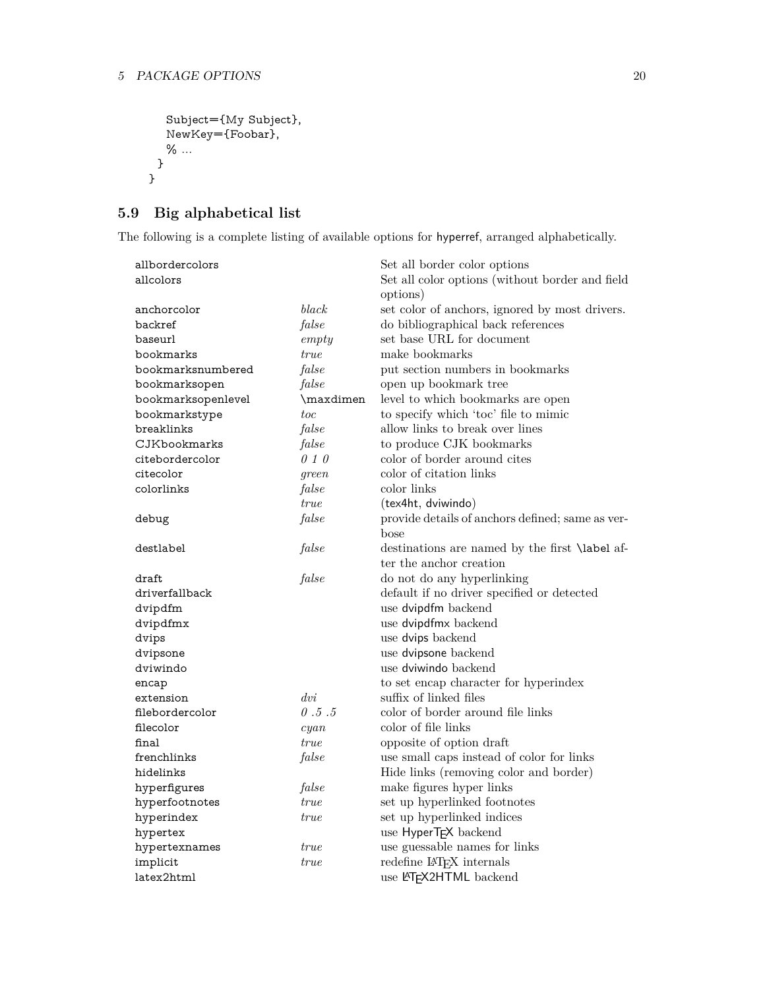```
Subject={My Subject},
  NewKey={Foobar},
  % ...
 }
}
```
## <span id="page-19-0"></span>**5.9 Big alphabetical list**

The following is a complete listing of available options for hyperref, arranged alphabetically.

| allbordercolors    |                 | Set all border color options                          |
|--------------------|-----------------|-------------------------------------------------------|
| allcolors          |                 | Set all color options (without border and field       |
|                    |                 | options)                                              |
| anchorcolor        | black           | set color of anchors, ignored by most drivers.        |
| backref            | false           | do bibliographical back references                    |
| baseurl            | empty           | set base URL for document                             |
| bookmarks          | true            | make bookmarks                                        |
| bookmarksnumbered  | false           | put section numbers in bookmarks                      |
| bookmarksopen      | false           | open up bookmark tree                                 |
| bookmarksopenlevel | \maxdimen       | level to which bookmarks are open                     |
| bookmarkstype      | toc             | to specify which 'toc' file to mimic                  |
| breaklinks         | false           | allow links to break over lines                       |
| CJKbookmarks       | false           | to produce CJK bookmarks                              |
| citebordercolor    | 010             | color of border around cites                          |
| citecolor          | green           | color of citation links                               |
| colorlinks         | false           | color links                                           |
|                    | <i>true</i>     | (tex4ht, dviwindo)                                    |
| debug              | false           | provide details of anchors defined; same as ver-      |
|                    |                 | bose                                                  |
| destlabel          | false           | destinations are named by the first <b>\label</b> af- |
|                    |                 | ter the anchor creation                               |
| draft              | false           | do not do any hyperlinking                            |
| driverfallback     |                 | default if no driver specified or detected            |
| dvipdfm            |                 | use dvipdfm backend                                   |
| dvipdfmx           |                 | use dvipdfmx backend                                  |
| dvips              |                 | use dvips backend                                     |
| dvipsone           |                 | use dvipsone backend                                  |
| dviwindo           |                 | use dviwindo backend                                  |
| encap              |                 | to set encap character for hyperindex                 |
| extension          | $\frac{dv}{dt}$ | suffix of linked files                                |
| filebordercolor    | 0.5.5           | color of border around file links                     |
| filecolor          | cyan            | color of file links                                   |
| final              | <i>true</i>     | opposite of option draft                              |
| frenchlinks        | false           | use small caps instead of color for links             |
| hidelinks          |                 | Hide links (removing color and border)                |
| hyperfigures       | false           | make figures hyper links                              |
| hyperfootnotes     | true            | set up hyperlinked footnotes                          |
| hyperindex         | true            | set up hyperlinked indices                            |
| hypertex           |                 | use HyperTEX backend                                  |
| hypertexnames      | true            | use guessable names for links                         |
| implicit           | <i>true</i>     | redefine IAT <sub>F</sub> X internals                 |
| latex2html         |                 | use LATEX2HTML backend                                |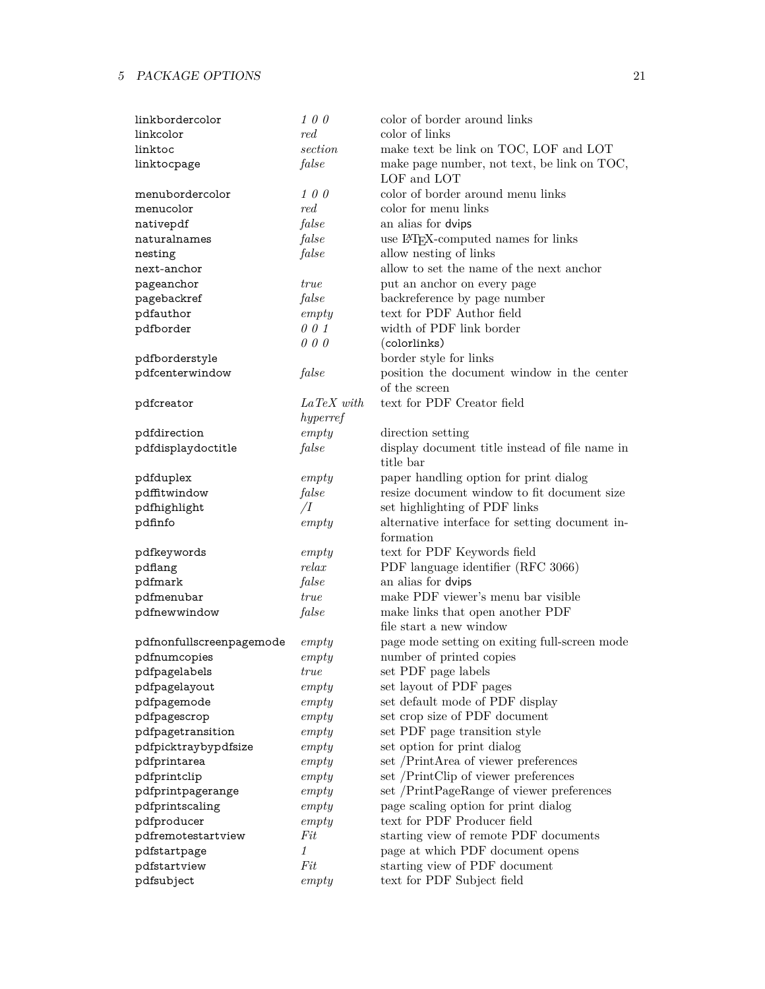| linkbordercolor          | 100            | color of border around links                    |
|--------------------------|----------------|-------------------------------------------------|
| linkcolor                | red            | color of links                                  |
| linktoc                  | section        | make text be link on TOC, LOF and LOT           |
| linktocpage              | false          | make page number, not text, be link on TOC,     |
|                          |                | LOF and LOT                                     |
| menubordercolor          | 100            | color of border around menu links               |
| menucolor                | red            | color for menu links                            |
| nativepdf                | false          | an alias for dvips                              |
| naturalnames             | false          | use IAT <sub>E</sub> X-computed names for links |
| nesting                  | false          | allow nesting of links                          |
| next-anchor              |                | allow to set the name of the next anchor        |
| pageanchor               | <i>true</i>    | put an anchor on every page                     |
| pagebackref              | false          | backreference by page number                    |
| pdfauthor                | empty          | text for PDF Author field                       |
| pdfborder                | 001            | width of PDF link border                        |
|                          | 000            | (colorlinks)                                    |
| pdfborderstyle           |                | border style for links                          |
| pdfcenterwindow          | false          | position the document window in the center      |
|                          |                | of the screen                                   |
| pdfcreator               | $LaTeX$ with   | text for PDF Creator field                      |
|                          | hyperref       |                                                 |
| pdfdirection             | empty          | direction setting                               |
| pdfdisplaydoctitle       | false          | display document title instead of file name in  |
|                          |                | title bar                                       |
| pdfduplex                | empty          | paper handling option for print dialog          |
| pdffitwindow             | false          | resize document window to fit document size     |
| pdfhighlight             | $\overline{I}$ | set highlighting of PDF links                   |
| pdfinfo                  | empty          | alternative interface for setting document in-  |
|                          |                | formation                                       |
| pdfkeywords              | empty          | text for PDF Keywords field                     |
| pdflang                  | relax          | PDF language identifier (RFC 3066)              |
| pdfmark                  | false          | an alias for dvips                              |
| pdfmenubar               | true           | make PDF viewer's menu bar visible              |
| pdfnewwindow             | false          | make links that open another PDF                |
|                          |                | file start a new window                         |
| pdfnonfullscreenpagemode | empty          | page mode setting on exiting full-screen mode   |
| pdfnumcopies             | empty          | number of printed copies                        |
| pdfpagelabels            | $true$         | set PDF page labels                             |
| pdfpagelayout            | empty          | set layout of PDF pages                         |
| pdfpagemode              | empty          | set default mode of PDF display                 |
| pdfpagescrop             | empty          | set crop size of PDF document                   |
| pdfpagetransition        | empty          | set PDF page transition style                   |
| pdfpicktraybypdfsize     | empty          | set option for print dialog                     |
| pdfprintarea             | empty          | set /PrintArea of viewer preferences            |
| pdfprintclip             | empty          | set /PrintClip of viewer preferences            |
| pdfprintpagerange        | empty          | set /PrintPageRange of viewer preferences       |
| pdfprintscaling          | empty          | page scaling option for print dialog            |
| pdfproducer              | empty          | text for PDF Producer field                     |
| pdfremotestartview       | Fit            | starting view of remote PDF documents           |
| pdfstartpage             | 1              | page at which PDF document opens                |
| pdfstartview             | Fit            | starting view of PDF document                   |
| pdfsubject               | empty          | text for PDF Subject field                      |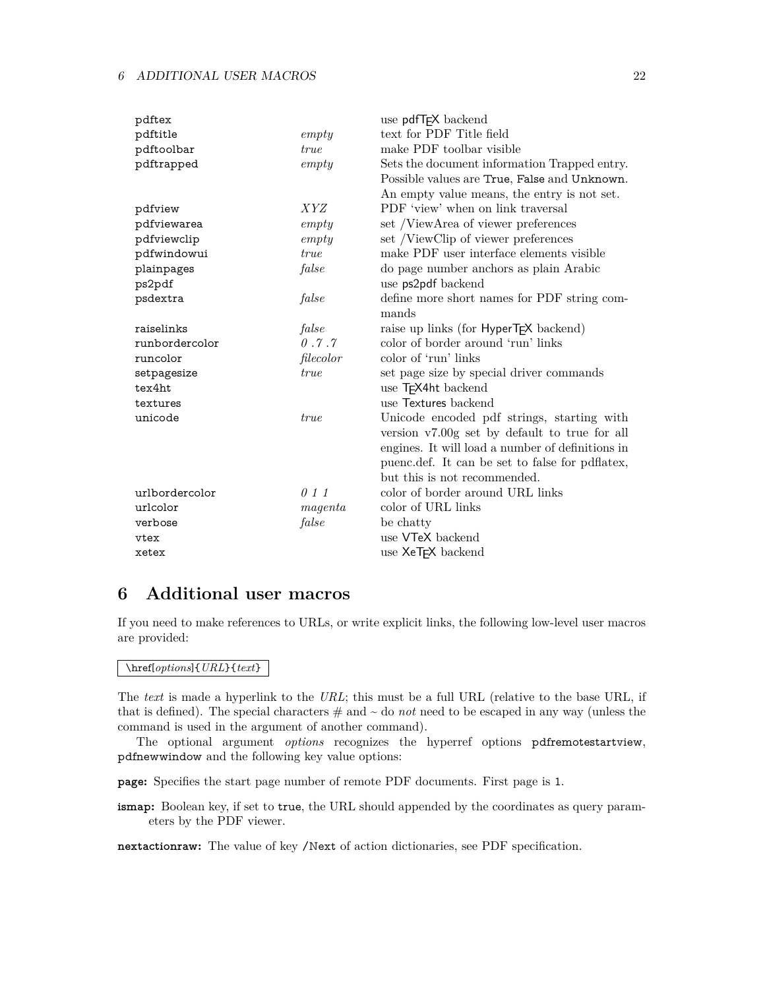| pdftex         |             | use pdfT <sub>F</sub> X backend                    |
|----------------|-------------|----------------------------------------------------|
| pdftitle       | empty       | text for PDF Title field                           |
| pdftoolbar     | true        | make PDF toolbar visible                           |
| pdftrapped     | empty       | Sets the document information Trapped entry.       |
|                |             | Possible values are True, False and Unknown.       |
|                |             | An empty value means, the entry is not set.        |
| pdfview        | <i>XYZ</i>  | PDF 'view' when on link traversal                  |
| pdfviewarea    | empty       | set /ViewArea of viewer preferences                |
| pdfviewclip    | empty       | set /ViewClip of viewer preferences                |
| pdfwindowui    | true        | make PDF user interface elements visible           |
| plainpages     | false       | do page number anchors as plain Arabic             |
| ps2pdf         |             | use ps2pdf backend                                 |
| psdextra       | false       | define more short names for PDF string com-        |
|                |             | mands                                              |
| raiselinks     | false       | raise up links (for HyperT <sub>F</sub> X backend) |
| runbordercolor | 0.7.7       | color of border around 'run' links                 |
| runcolor       | filecolor   | color of 'run' links                               |
| setpagesize    | <i>true</i> | set page size by special driver commands           |
| tex4ht         |             | use T <sub>F</sub> X4ht backend                    |
| textures       |             | use Textures backend                               |
| unicode        | <i>true</i> | Unicode encoded pdf strings, starting with         |
|                |             | version v7.00g set by default to true for all      |
|                |             | engines. It will load a number of definitions in   |
|                |             | puenc.def. It can be set to false for pdflatex,    |
|                |             | but this is not recommended.                       |
| urlbordercolor | 011         | color of border around URL links                   |
| urlcolor       | magenta     | color of URL links                                 |
| verbose        | false       | be chatty                                          |
| vtex           |             | use VTeX backend                                   |
| xetex          |             | use XeT <sub>F</sub> X backend                     |

## <span id="page-21-0"></span>**6 Additional user macros**

If you need to make references to URLs, or write explicit links, the following low-level user macros are provided:

#### \href[*options*]{*URL*}{*text*}

The *text* is made a hyperlink to the *URL*; this must be a full URL (relative to the base URL, if that is defined). The special characters  $\#$  and  $\sim$  do *not* need to be escaped in any way (unless the command is used in the argument of another command).

The optional argument *options* recognizes the hyperref options pdfremotestartview, pdfnewwindow and the following key value options:

**page:** Specifies the start page number of remote PDF documents. First page is 1.

**ismap:** Boolean key, if set to true, the URL should appended by the coordinates as query parameters by the PDF viewer.

**nextactionraw:** The value of key /Next of action dictionaries, see PDF specification.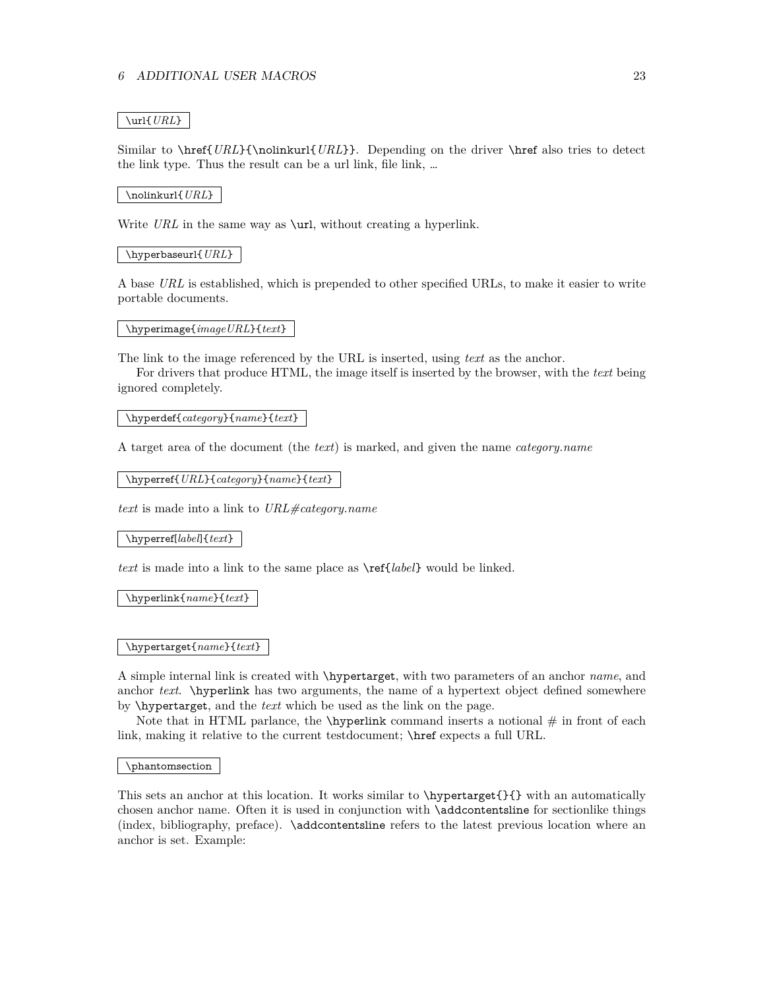#### \url{*URL*}

Similar to \href{*URL*}{\nolinkurl{*URL*}}. Depending on the driver \href also tries to detect the link type. Thus the result can be a url link, file link, …

#### \nolinkurl{*URL*}

Write *URL* in the same way as **\url**, without creating a hyperlink.

#### \hyperbaseurl{*URL*}

A base *URL* is established, which is prepended to other specified URLs, to make it easier to write portable documents.

#### \hyperimage{*imageURL*}{*text*}

The link to the image referenced by the URL is inserted, using *text* as the anchor.

For drivers that produce HTML, the image itself is inserted by the browser, with the *text* being ignored completely.

#### \hyperdef{*category*}{*name*}{*text*}

A target area of the document (the *text*) is marked, and given the name *category.name*

\hyperref{*URL*}{*category*}{*name*}{*text*}

*text* is made into a link to *URL#category.name*

\hyperref[*label*]{*text*}

*text* is made into a link to the same place as \ref{*label*} would be linked.

\hyperlink{*name*}{*text*}

#### \hypertarget{*name*}{*text*}

A simple internal link is created with \hypertarget, with two parameters of an anchor *name*, and anchor *text*. \hyperlink has two arguments, the name of a hypertext object defined somewhere by \hypertarget, and the *text* which be used as the link on the page.

Note that in HTML parlance, the  $\hbar$  vertical command inserts a notional  $\#$  in front of each link, making it relative to the current testdocument; \href expects a full URL.

\phantomsection

This sets an anchor at this location. It works similar to \hypertarget{}{} with an automatically chosen anchor name. Often it is used in conjunction with \addcontentsline for sectionlike things (index, bibliography, preface). \addcontentsline refers to the latest previous location where an anchor is set. Example: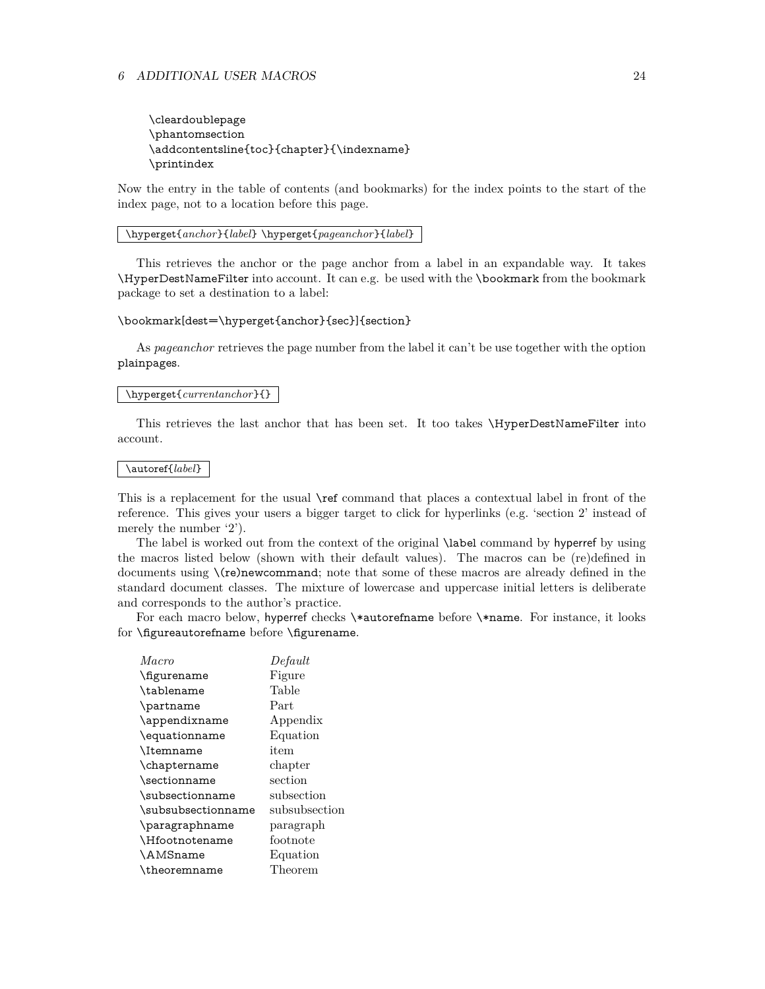\cleardoublepage \phantomsection \addcontentsline{toc}{chapter}{\indexname} \printindex

Now the entry in the table of contents (and bookmarks) for the index points to the start of the index page, not to a location before this page.

\hyperget{*anchor*}{*label*} \hyperget{*pageanchor*}{*label*}

This retrieves the anchor or the page anchor from a label in an expandable way. It takes \HyperDestNameFilter into account. It can e.g. be used with the \bookmark from the bookmark package to set a destination to a label:

#### \bookmark[dest=\hyperget{anchor}{sec}]{section}

As *pageanchor* retrieves the page number from the label it can't be use together with the option plainpages.

#### \hyperget{*currentanchor*}{}

This retrieves the last anchor that has been set. It too takes \HyperDestNameFilter into account.

#### \autoref{*label*}

This is a replacement for the usual \ref command that places a contextual label in front of the reference. This gives your users a bigger target to click for hyperlinks (e.g. 'section 2' instead of merely the number '2').

The label is worked out from the context of the original \label command by hyperref by using the macros listed below (shown with their default values). The macros can be (re)defined in documents using \(re)newcommand; note that some of these macros are already defined in the standard document classes. The mixture of lowercase and uppercase initial letters is deliberate and corresponds to the author's practice.

For each macro below, hyperref checks \\*autorefname before \\*name. For instance, it looks for \figureautorefname before \figurename.

| Macro              | Default            |
|--------------------|--------------------|
| \figurename        | Figure             |
| \tablename         | Table              |
| \partname          | Part               |
| \appendixname      | Appendix           |
| \equationname      | Equation           |
| <b>\Itemname</b>   | item               |
| \chaptername       | chapter            |
| \sectionname       | $\mathrm{section}$ |
| \subsectionname    | subsection         |
| \subsubsectionname | subsubsection      |
| \paragraphname     | paragraph          |
| \Hfootnotename     | footnote           |
| <b>\AMSname</b>    | Equation           |
| \theoremname       | Theorem            |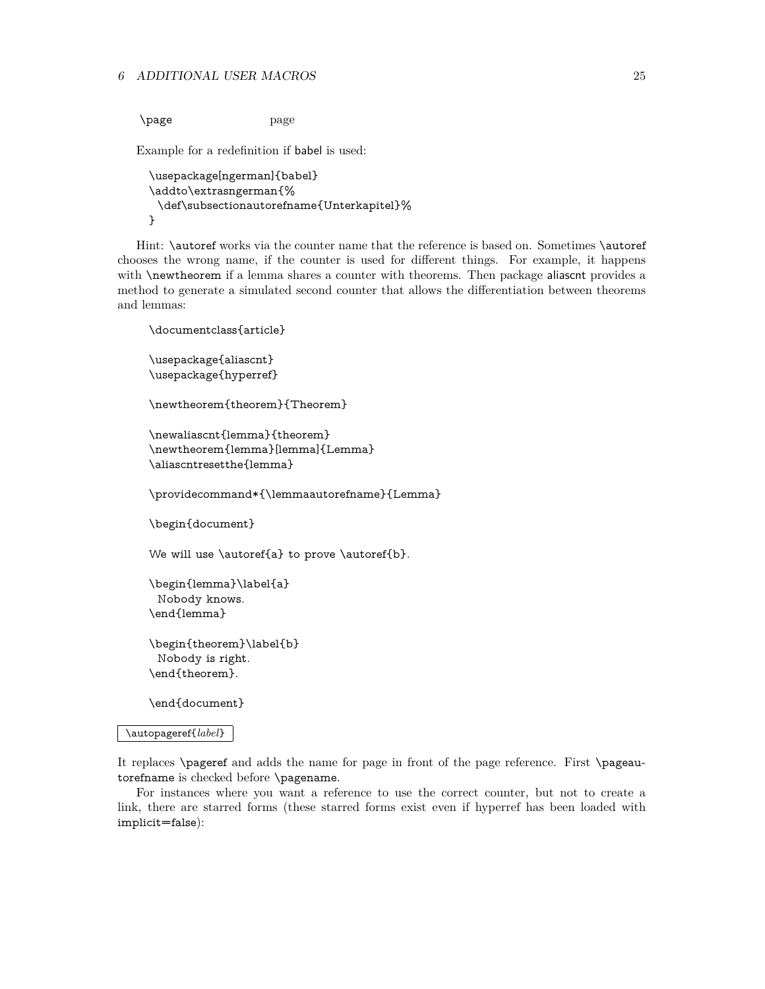\page page

Example for a redefinition if babel is used:

```
\usepackage[ngerman]{babel}
\addto\extrasngerman{%
 \def\subsectionautorefname{Unterkapitel}%
}
```
Hint: \autoref works via the counter name that the reference is based on. Sometimes \autoref chooses the wrong name, if the counter is used for different things. For example, it happens with **\newtheorem** if a lemma shares a counter with theorems. Then package aliascnt provides a method to generate a simulated second counter that allows the differentiation between theorems and lemmas:

```
\documentclass{article}
\usepackage{aliascnt}
\usepackage{hyperref}
\newtheorem{theorem}{Theorem}
\newaliascnt{lemma}{theorem}
\newtheorem{lemma}[lemma]{Lemma}
\aliascntresetthe{lemma}
\providecommand*{\lemmaautorefname}{Lemma}
\begin{document}
We will use \autoref{a} to prove \autoref{b}.
\begin{lemma}\label{a}
 Nobody knows.
\end{lemma}
\begin{theorem}\label{b}
 Nobody is right.
\end{theorem}.
```
\end{document}

#### \autopageref{*label*}

It replaces \pageref and adds the name for page in front of the page reference. First \pageautorefname is checked before \pagename.

For instances where you want a reference to use the correct counter, but not to create a link, there are starred forms (these starred forms exist even if hyperref has been loaded with implicit=false):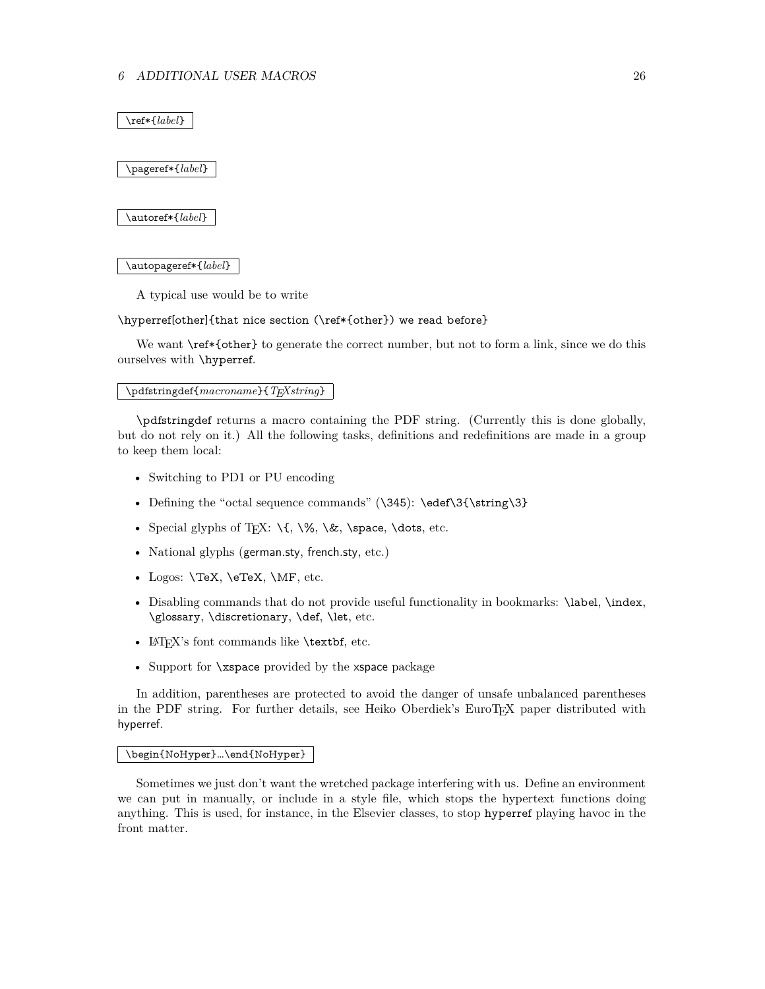\ref\*{*label*}

\pageref\*{*label*}

\autoref\*{*label*}

\autopageref\*{*label*}

A typical use would be to write

\hyperref[other]{that nice section (\ref\*{other}) we read before}

We want  $\ref*{other}$  to generate the correct number, but not to form a link, since we do this ourselves with \hyperref.

\pdfstringdef{*macroname*}{*TEXstring*}

\pdfstringdef returns a macro containing the PDF string. (Currently this is done globally, but do not rely on it.) All the following tasks, definitions and redefinitions are made in a group to keep them local:

- Switching to PD1 or PU encoding
- Defining the "octal sequence commands"  $(\345)$ :  $\edef\3{\string\3}$
- Special glyphs of T<sub>E</sub>X:  $\{\sqrt{}, \&, \$  space, \dots, etc.
- National glyphs (german.sty, french.sty, etc.)
- Logos: **\TeX, \eTeX, \MF**, etc.
- Disabling commands that do not provide useful functionality in bookmarks: \label, \index, \glossary, \discretionary, \def, \let, etc.
- LAT<sub>F</sub>X's font commands like **\textbf**, etc.
- Support for \xspace provided by the xspace package

In addition, parentheses are protected to avoid the danger of unsafe unbalanced parentheses in the PDF string. For further details, see Heiko Oberdiek's EuroTEX paper distributed with hyperref.

#### \begin{NoHyper}…\end{NoHyper}

Sometimes we just don't want the wretched package interfering with us. Define an environment we can put in manually, or include in a style file, which stops the hypertext functions doing anything. This is used, for instance, in the Elsevier classes, to stop hyperref playing havoc in the front matter.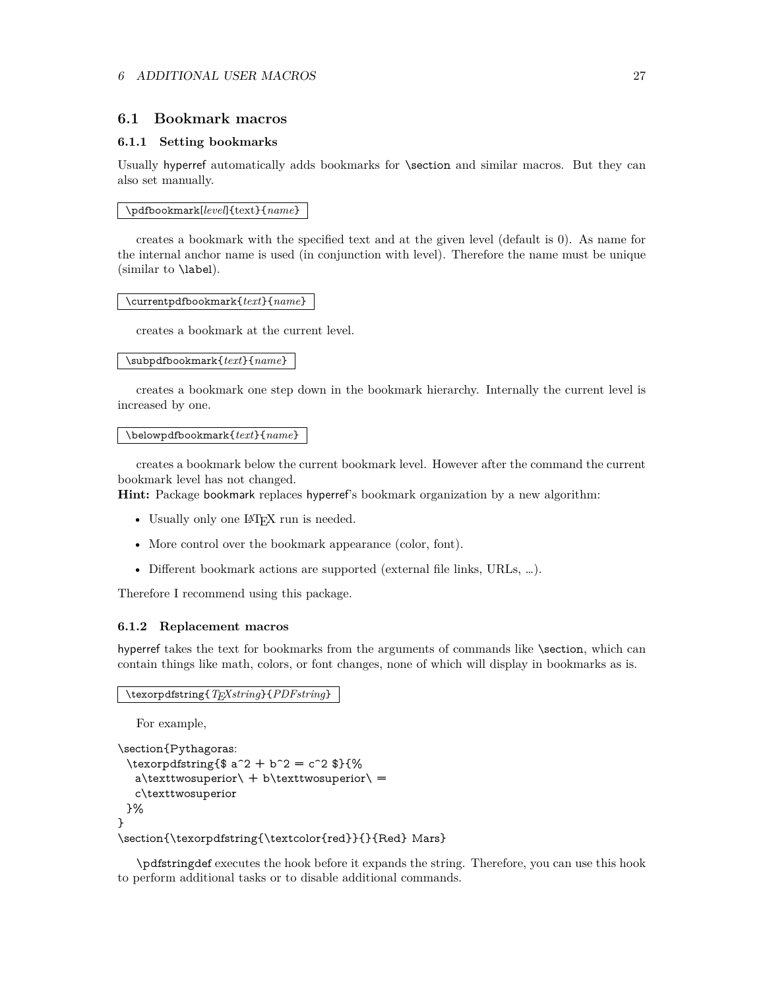#### <span id="page-26-0"></span>**6.1 Bookmark macros**

#### <span id="page-26-1"></span>**6.1.1 Setting bookmarks**

Usually hyperref automatically adds bookmarks for \section and similar macros. But they can also set manually.

\pdfbookmark[*level*]{text}{*name*}

creates a bookmark with the specified text and at the given level (default is 0). As name for the internal anchor name is used (in conjunction with level). Therefore the name must be unique (similar to \label).

\currentpdfbookmark{*text*}{*name*}

creates a bookmark at the current level.

#### \subpdfbookmark{*text*}{*name*}

creates a bookmark one step down in the bookmark hierarchy. Internally the current level is increased by one.

#### \belowpdfbookmark{*text*}{*name*}

creates a bookmark below the current bookmark level. However after the command the current bookmark level has not changed.

**Hint:** Package bookmark replaces hyperref's bookmark organization by a new algorithm:

- Usually only one LAT<sub>EX</sub> run is needed.
- More control over the bookmark appearance (color, font).
- Different bookmark actions are supported (external file links, URLs, …).

Therefore I recommend using this package.

#### <span id="page-26-2"></span>**6.1.2 Replacement macros**

hyperref takes the text for bookmarks from the arguments of commands like \section, which can contain things like math, colors, or font changes, none of which will display in bookmarks as is.

\texorpdfstring{*TEXstring*}{*PDFstring*}

For example,

```
\section{Pythagoras:
 \texorpdfstring{$ a^2 + b^2 = c^2 $}{%
  a\text{two superior} + b\text{two superior} =c\texttwosuperior
 }%
}
\section{\texorpdfstring{\textcolor{red}}{}{Red} Mars}
```
\pdfstringdef executes the hook before it expands the string. Therefore, you can use this hook to perform additional tasks or to disable additional commands.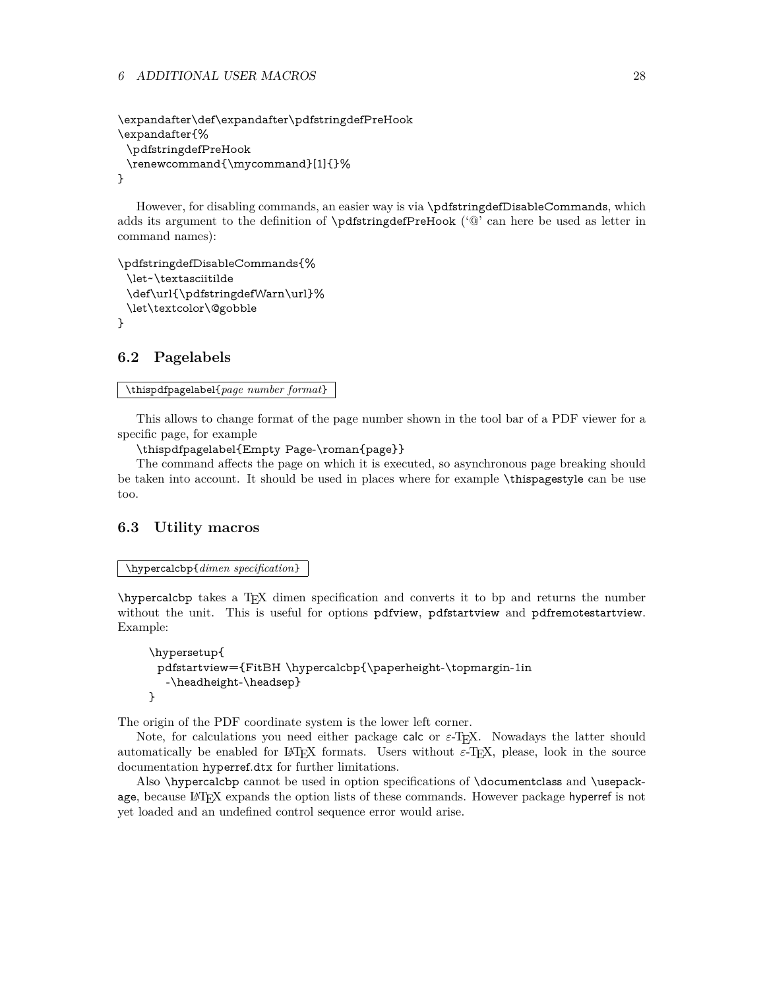#### 6 ADDITIONAL USER MACROS 28

```
\expandafter\def\expandafter\pdfstringdefPreHook
\expandafter{%
 \pdfstringdefPreHook
 \renewcommand{\mycommand}[1]{}%
}
```
However, for disabling commands, an easier way is via \pdfstringdefDisableCommands, which adds its argument to the definition of \pdfstringdefPreHook ('@' can here be used as letter in command names):

```
\pdfstringdefDisableCommands{%
 \let~\textasciitilde
 \def\url{\pdfstringdefWarn\url}%
 \let\textcolor\@gobble
}
```
## <span id="page-27-0"></span>**6.2 Pagelabels**

```
\thispdfpagelabel{page number format}
```
This allows to change format of the page number shown in the tool bar of a PDF viewer for a specific page, for example

\thispdfpagelabel{Empty Page-\roman{page}}

The command affects the page on which it is executed, so asynchronous page breaking should be taken into account. It should be used in places where for example \thispagestyle can be use too.

## <span id="page-27-1"></span>**6.3 Utility macros**

\hypercalcbp{*dimen specification*}

\hypercalcbp takes a TEX dimen specification and converts it to bp and returns the number without the unit. This is useful for options pdfview, pdfstartview and pdfremotestartview. Example:

```
\hypersetup{
 pdfstartview={FitBH \hypercalcbp{\paperheight-\topmargin-1in
  -\headheight-\headsep}
}
```
The origin of the PDF coordinate system is the lower left corner.

Note, for calculations you need either package calc or  $\varepsilon$ -T<sub>F</sub>X. Nowadays the latter should automatically be enabled for LATEX formats. Users without  $\varepsilon$ -TEX, please, look in the source documentation hyperref.dtx for further limitations.

Also \hypercalcbp cannot be used in option specifications of \documentclass and \usepackage, because LATEX expands the option lists of these commands. However package hyperref is not yet loaded and an undefined control sequence error would arise.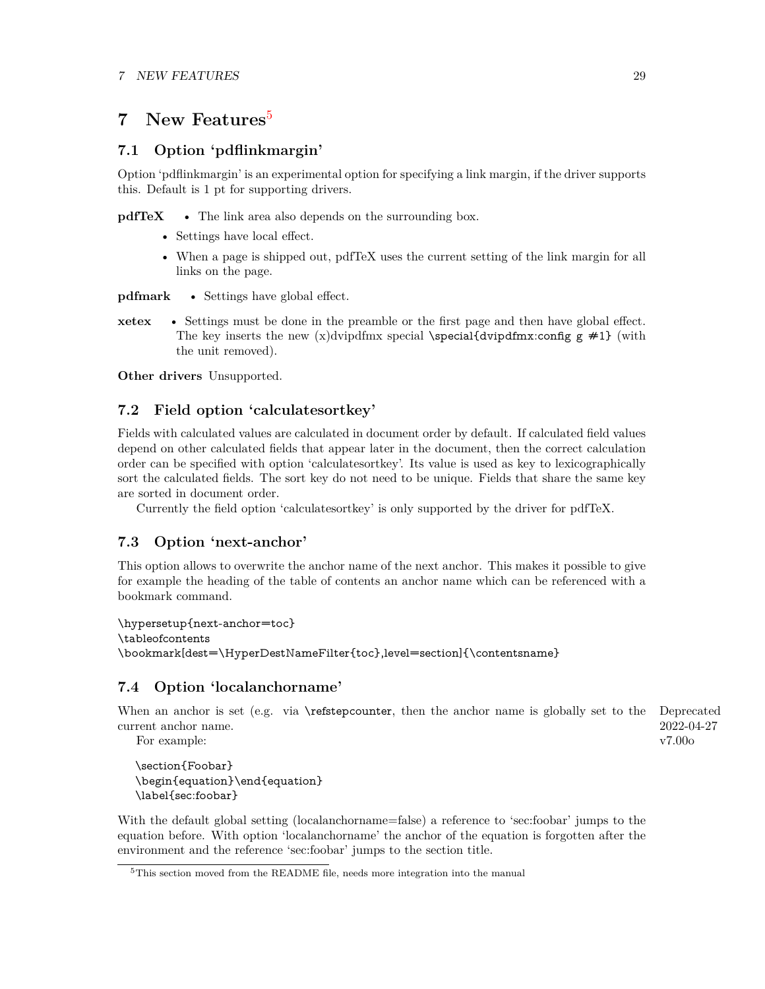## <span id="page-28-0"></span>**7 New Features**[5](#page-28-5)

## <span id="page-28-1"></span>**7.1 Option 'pdflinkmargin'**

Option 'pdflinkmargin' is an experimental option for specifying a link margin, if the driver supports this. Default is 1 pt for supporting drivers.

**pdfTeX** • The link area also depends on the surrounding box.

- Settings have local effect.
- When a page is shipped out, pdfTeX uses the current setting of the link margin for all links on the page.

**pdfmark** • Settings have global effect.

**xetex** • Settings must be done in the preamble or the first page and then have global effect. The key inserts the new (x)dvipdfmx special \special{dvipdfmx:config  $g \neq 1$ } (with the unit removed).

**Other drivers** Unsupported.

## <span id="page-28-2"></span>**7.2 Field option 'calculatesortkey'**

Fields with calculated values are calculated in document order by default. If calculated field values depend on other calculated fields that appear later in the document, then the correct calculation order can be specified with option 'calculatesortkey'. Its value is used as key to lexicographically sort the calculated fields. The sort key do not need to be unique. Fields that share the same key are sorted in document order.

Currently the field option 'calculatesortkey' is only supported by the driver for pdfTeX.

## <span id="page-28-3"></span>**7.3 Option 'next-anchor'**

This option allows to overwrite the anchor name of the next anchor. This makes it possible to give for example the heading of the table of contents an anchor name which can be referenced with a bookmark command.

\hypersetup{next-anchor=toc} \tableofcontents \bookmark[dest=\HyperDestNameFilter{toc},level=section]{\contentsname}

## <span id="page-28-4"></span>**7.4 Option 'localanchorname'**

When an anchor is set (e.g. via \refstepcounter, then the anchor name is globally set to the Deprecated 2022-04-27 v7.00o current anchor name.

For example:

\section{Foobar} \begin{equation}\end{equation} \label{sec:foobar}

With the default global setting (localanchorname=false) a reference to 'sec:foobar' jumps to the equation before. With option 'localanchorname' the anchor of the equation is forgotten after the environment and the reference 'sec:foobar' jumps to the section title.

<span id="page-28-5"></span><sup>5</sup>This section moved from the README file, needs more integration into the manual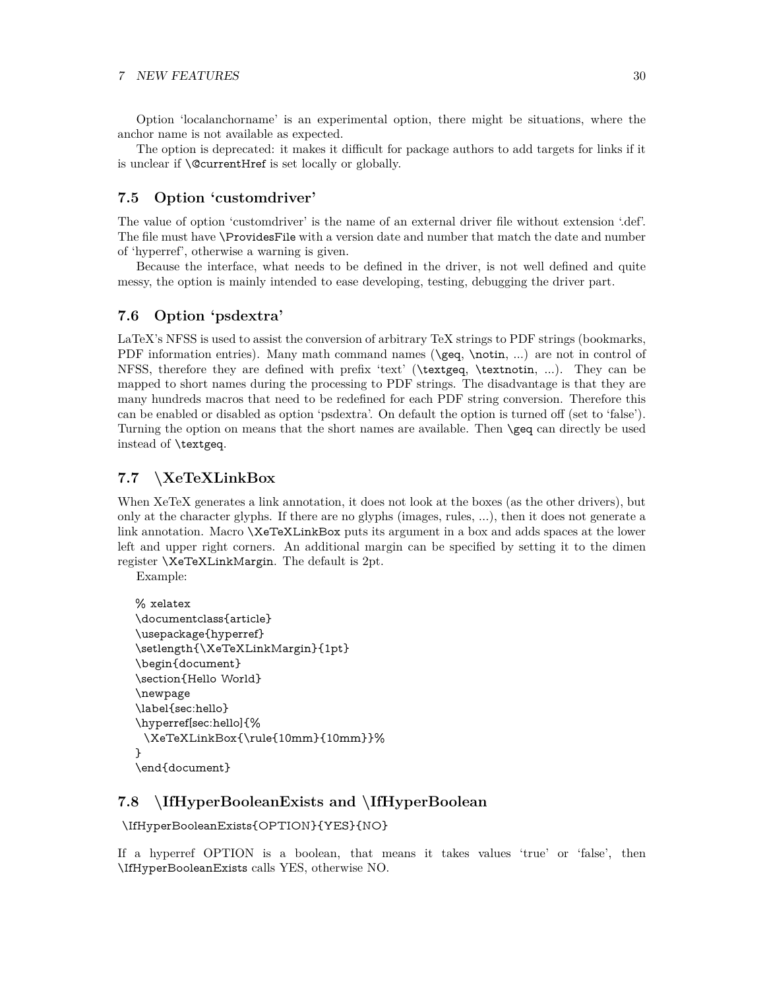Option 'localanchorname' is an experimental option, there might be situations, where the anchor name is not available as expected.

The option is deprecated: it makes it difficult for package authors to add targets for links if it is unclear if \@currentHref is set locally or globally.

## <span id="page-29-0"></span>**7.5 Option 'customdriver'**

The value of option 'customdriver' is the name of an external driver file without extension '.def'. The file must have \ProvidesFile with a version date and number that match the date and number of 'hyperref', otherwise a warning is given.

Because the interface, what needs to be defined in the driver, is not well defined and quite messy, the option is mainly intended to ease developing, testing, debugging the driver part.

## <span id="page-29-1"></span>**7.6 Option 'psdextra'**

LaTeX's NFSS is used to assist the conversion of arbitrary TeX strings to PDF strings (bookmarks, PDF information entries). Many math command names (\geq, \notin, ...) are not in control of NFSS, therefore they are defined with prefix 'text' (\textgeq, \textnotin, ...). They can be mapped to short names during the processing to PDF strings. The disadvantage is that they are many hundreds macros that need to be redefined for each PDF string conversion. Therefore this can be enabled or disabled as option 'psdextra'. On default the option is turned off (set to 'false'). Turning the option on means that the short names are available. Then \geq can directly be used instead of \textgeq.

## <span id="page-29-2"></span>**7.7 \XeTeXLinkBox**

When XeTeX generates a link annotation, it does not look at the boxes (as the other drivers), but only at the character glyphs. If there are no glyphs (images, rules, ...), then it does not generate a link annotation. Macro **\XeTeXLinkBox** puts its argument in a box and adds spaces at the lower left and upper right corners. An additional margin can be specified by setting it to the dimen register \XeTeXLinkMargin. The default is 2pt.

Example:

```
% xelatex
\documentclass{article}
\usepackage{hyperref}
\setlength{\XeTeXLinkMargin}{1pt}
\begin{document}
\section{Hello World}
\newpage
\label{sec:hello}
\hyperref[sec:hello]{%
 \XeTeXLinkBox{\rule{10mm}{10mm}}%
}
\end{document}
```
## <span id="page-29-3"></span>**7.8 \IfHyperBooleanExists and \IfHyperBoolean**

```
\IfHyperBooleanExists{OPTION}{YES}{NO}
```
If a hyperref OPTION is a boolean, that means it takes values 'true' or 'false', then \IfHyperBooleanExists calls YES, otherwise NO.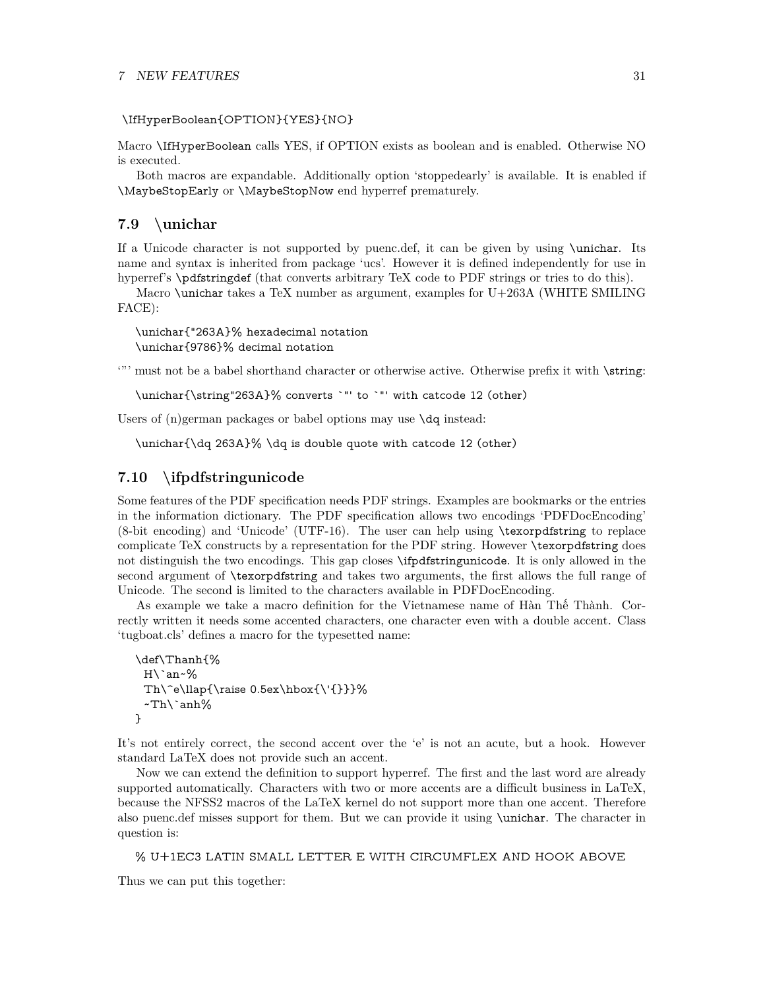#### \IfHyperBoolean{OPTION}{YES}{NO}

Macro \IfHyperBoolean calls YES, if OPTION exists as boolean and is enabled. Otherwise NO is executed.

Both macros are expandable. Additionally option 'stoppedearly' is available. It is enabled if \MaybeStopEarly or \MaybeStopNow end hyperref prematurely.

### <span id="page-30-0"></span>**7.9 \unichar**

If a Unicode character is not supported by puenc.def, it can be given by using \unichar. Its name and syntax is inherited from package 'ucs'. However it is defined independently for use in hyperref's \pdfstringdef (that converts arbitrary TeX code to PDF strings or tries to do this).

Macro \unichar takes a TeX number as argument, examples for U+263A (WHITE SMILING FACE):

\unichar{"263A}% hexadecimal notation \unichar{9786}% decimal notation

'"' must not be a babel shorthand character or otherwise active. Otherwise prefix it with \string:

\unichar{\string"263A}% converts `"' to `"' with catcode 12 (other)

Users of (n)german packages or babel options may use  $\text{d}q$  instead:

\unichar{\dq 263A}% \dq is double quote with catcode 12 (other)

## <span id="page-30-1"></span>**7.10 \ifpdfstringunicode**

Some features of the PDF specification needs PDF strings. Examples are bookmarks or the entries in the information dictionary. The PDF specification allows two encodings 'PDFDocEncoding' (8-bit encoding) and 'Unicode' (UTF-16). The user can help using \texorpdfstring to replace complicate TeX constructs by a representation for the PDF string. However \texorpdfstring does not distinguish the two encodings. This gap closes \ifpdfstringunicode. It is only allowed in the second argument of \texorpdfstring and takes two arguments, the first allows the full range of Unicode. The second is limited to the characters available in PDFDocEncoding.

As example we take a macro definition for the Vietnamese name of Hàn Thế Thành. Correctly written it needs some accented characters, one character even with a double accent. Class 'tugboat.cls' defines a macro for the typesetted name:

```
\def\Thanh{%
 H\`an~%
 Th\^e\llbracket \text{0.5ex\hbox{hbox}(\{''}\}.\~\text{Th}\anh%}
```
It's not entirely correct, the second accent over the 'e' is not an acute, but a hook. However standard LaTeX does not provide such an accent.

Now we can extend the definition to support hyperref. The first and the last word are already supported automatically. Characters with two or more accents are a difficult business in LaTeX, because the NFSS2 macros of the LaTeX kernel do not support more than one accent. Therefore also puenc.def misses support for them. But we can provide it using \unichar. The character in question is:

% U+1EC3 LATIN SMALL LETTER E WITH CIRCUMFLEX AND HOOK ABOVE

Thus we can put this together: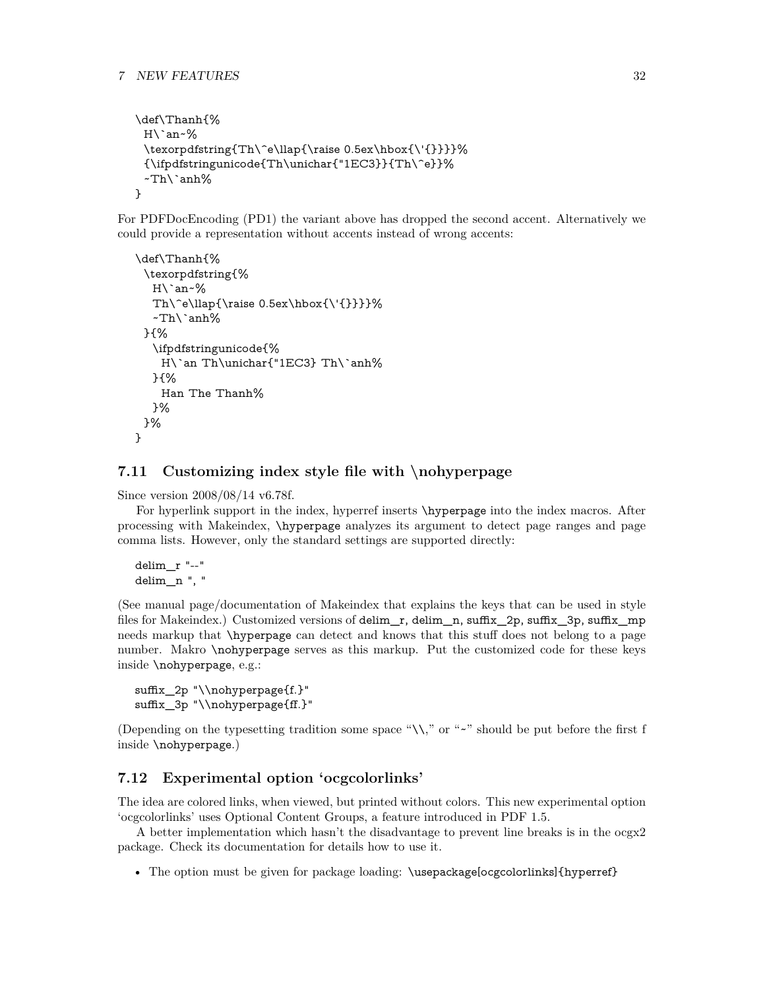```
\def\Thanh{%
 H\`an~%
 \texorpdfstring{Th\^e\llap{\raise 0.5ex\hbox{\'{}}}}%
 {\ifpdfstringunicode{Th\unichar{"1EC3}}{Th\^e}}%
 ~Th\`anh%
}
```
For PDFDocEncoding (PD1) the variant above has dropped the second accent. Alternatively we could provide a representation without accents instead of wrong accents:

```
\def\Thanh{%
 \texorpdfstring{%
  H\`an~%
  Th\^e\llap{\raise 0.5ex\hbox{\'{}}}}%
  ~\text{Th}\anh%}{%
  \ifpdfstringunicode{%
    H\`an Th\unichar{"1EC3} Th\`anh%
  }{%
    Han The Thanh%
  }%
 }%
}
```
### <span id="page-31-0"></span>**7.11 Customizing index style file with \nohyperpage**

Since version 2008/08/14 v6.78f.

For hyperlink support in the index, hyperref inserts \hyperpage into the index macros. After processing with Makeindex, \hyperpage analyzes its argument to detect page ranges and page comma lists. However, only the standard settings are supported directly:

```
delim_r "--"
delim_n ", "
```
(See manual page/documentation of Makeindex that explains the keys that can be used in style files for Makeindex.) Customized versions of delim\_r, delim\_n, suffix\_2p, suffix\_3p, suffix\_mp needs markup that \hyperpage can detect and knows that this stuff does not belong to a page number. Makro \nohyperpage serves as this markup. Put the customized code for these keys inside \nohyperpage, e.g.:

```
suffix_2p "\\nohyperpage{f.}"
suffix_3p "\\nohyperpage{ff.}"
```
(Depending on the typesetting tradition some space " $\setminus\setminus$ " or "~" should be put before the first f inside \nohyperpage.)

### <span id="page-31-1"></span>**7.12 Experimental option 'ocgcolorlinks'**

The idea are colored links, when viewed, but printed without colors. This new experimental option 'ocgcolorlinks' uses Optional Content Groups, a feature introduced in PDF 1.5.

A better implementation which hasn't the disadvantage to prevent line breaks is in the ocgx2 package. Check its documentation for details how to use it.

• The option must be given for package loading: \usepackage[ocgcolorlinks]{hyperref}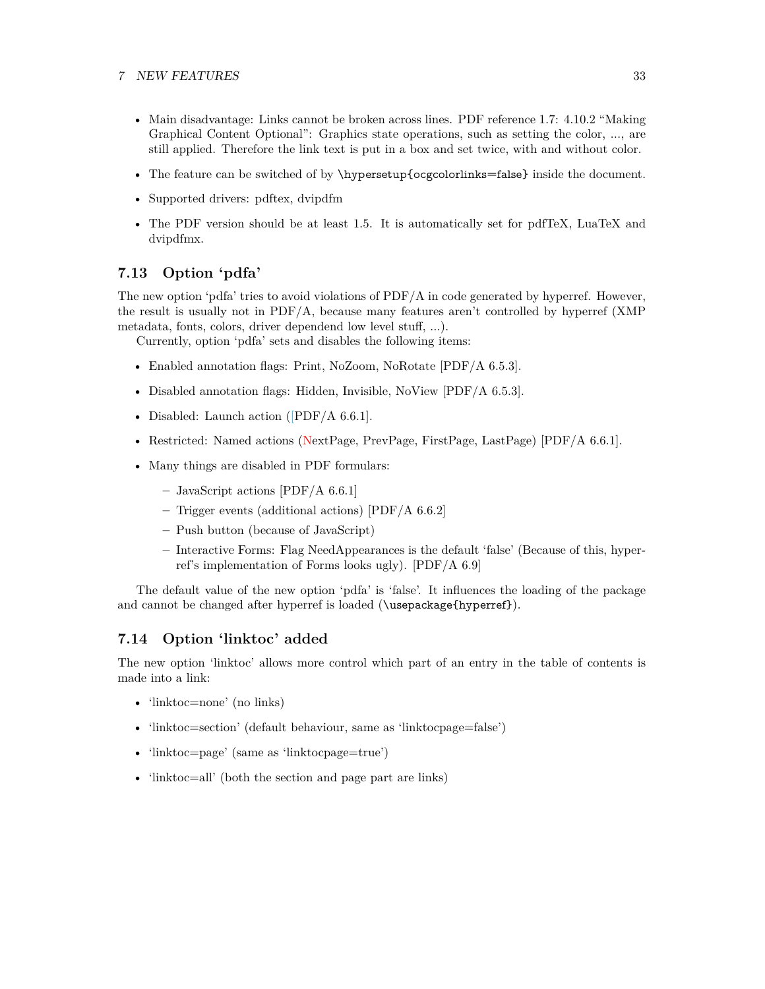#### 7 NEW FEATURES 33

- Main disadvantage: Links cannot be broken across lines. PDF reference 1.7: 4.10.2 "Making Graphical Content Optional": Graphics state operations, such as setting the color, ..., are still applied. Therefore the link text is put in a box and set twice, with and without color.
- The feature can be switched of by \hypersetup{ocgcolorlinks=false} inside the document.
- Supported drivers: pdftex, dvipdfm
- The PDF version should be at least 1.5. It is automatically set for pdfTeX, LuaTeX and dvipdfmx.

## <span id="page-32-0"></span>**7.13 Option 'pdfa'**

The new option 'pdfa' tries to avoid violations of PDF/A in code generated by hyperref. However, the result is usually not in PDF/A, because many features aren't controlled by hyperref (XMP metadata, fonts, colors, driver dependend low level stuff, ...).

Currently, option 'pdfa' sets and disables the following items:

- Enabled annotation flags: Print, NoZoom, NoRotate [PDF/A 6.5.3].
- Disabled annotation flags: Hidden, Invisible, NoView [PDF/A 6.5.3].
- Disabled: Launch action ([PDF/A 6.6.1].
- Restricted: Named actions (NextPage, PrevPage, FirstPage, LastPage) [PDF/A 6.6.1].
- Many things are disabled in PDF formulars:
	- **–** JavaScript actions [PDF/A 6.6.1]
	- **–** Trigger events (additional actions) [PDF/A 6.6.2]
	- **–** Push button (because of JavaScript)
	- **–** Interactive Forms: Flag NeedAppearances is the default 'false' (Because of this, hyperref's implementation of Forms looks ugly). [PDF/A 6.9]

The default value of the new option 'pdfa' is 'false'. It influences the loading of the package and cannot be changed after hyperref is loaded (\usepackage{hyperref}).

## <span id="page-32-1"></span>**7.14 Option 'linktoc' added**

The new option 'linktoc' allows more control which part of an entry in the table of contents is made into a link:

- 'linktoc=none' (no links)
- 'linktoc=section' (default behaviour, same as 'linktocpage=false')
- 'linktoc=page' (same as 'linktocpage=true')
- 'linktoc=all' (both the section and page part are links)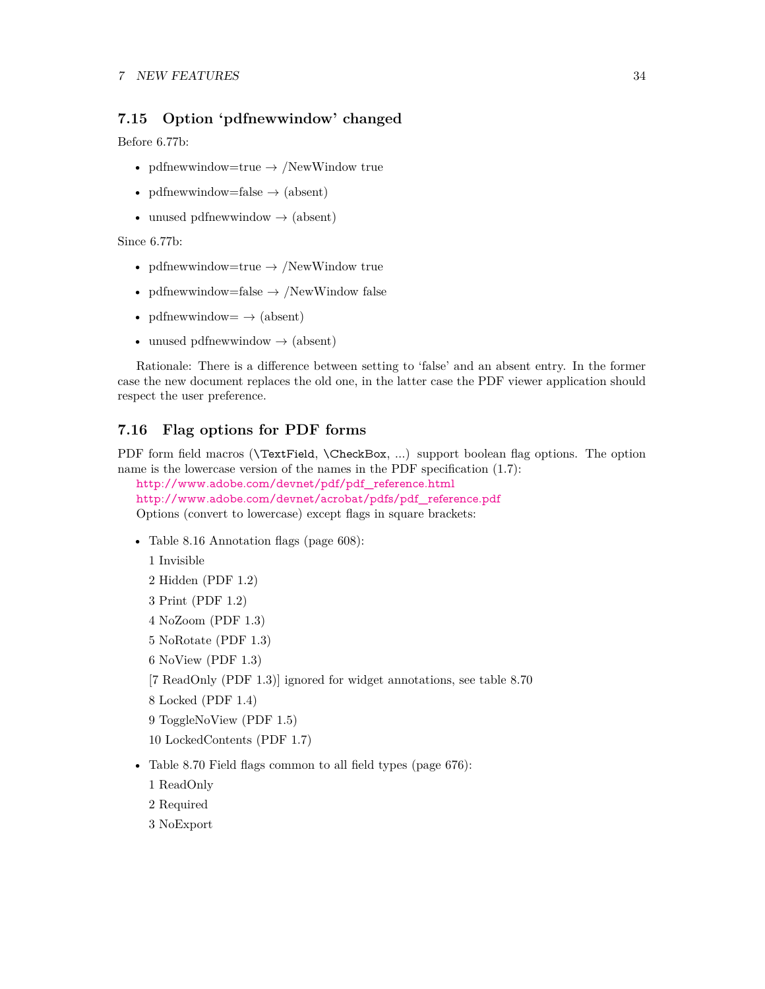## <span id="page-33-0"></span>**7.15 Option 'pdfnewwindow' changed**

Before 6.77b:

- pdfnewwindow=true  $\rightarrow$  /NewWindow true
- pdfnewwindow=false  $\rightarrow$  (absent)
- unused pdfnewwindow  $\rightarrow$  (absent)

Since 6.77b:

- pdfnewwindow=true  $\rightarrow$  /NewWindow true
- pdfnewwindow=false  $\rightarrow$  /NewWindow false
- pdfnewwindow=  $\rightarrow$  (absent)
- unused pdfnewwindow  $\rightarrow$  (absent)

Rationale: There is a difference between setting to 'false' and an absent entry. In the former case the new document replaces the old one, in the latter case the PDF viewer application should respect the user preference.

## <span id="page-33-1"></span>**7.16 Flag options for PDF forms**

PDF form field macros (**\TextField, \CheckBox, ...**) support boolean flag options. The option name is the lowercase version of the names in the PDF specification (1.7):

[http://www.adobe.com/devnet/pdf/pdf\\_reference.html](http://www.adobe.com/devnet/pdf/pdf_reference.html) [http://www.adobe.com/devnet/acrobat/pdfs/pdf\\_reference.pdf](http://www.adobe.com/devnet/acrobat/pdfs/pdf_reference.pdf) Options (convert to lowercase) except flags in square brackets:

• Table 8.16 Annotation flags (page 608):

1 Invisible 2 Hidden (PDF 1.2)

- 3 Print (PDF 1.2)
- 4 NoZoom (PDF 1.3)
- 5 NoRotate (PDF 1.3)
- 6 NoView (PDF 1.3)

[7 ReadOnly (PDF 1.3)] ignored for widget annotations, see table 8.70

8 Locked (PDF 1.4)

9 ToggleNoView (PDF 1.5)

10 LockedContents (PDF 1.7)

- Table 8.70 Field flags common to all field types (page 676):
	- 1 ReadOnly
	- 2 Required
	- 3 NoExport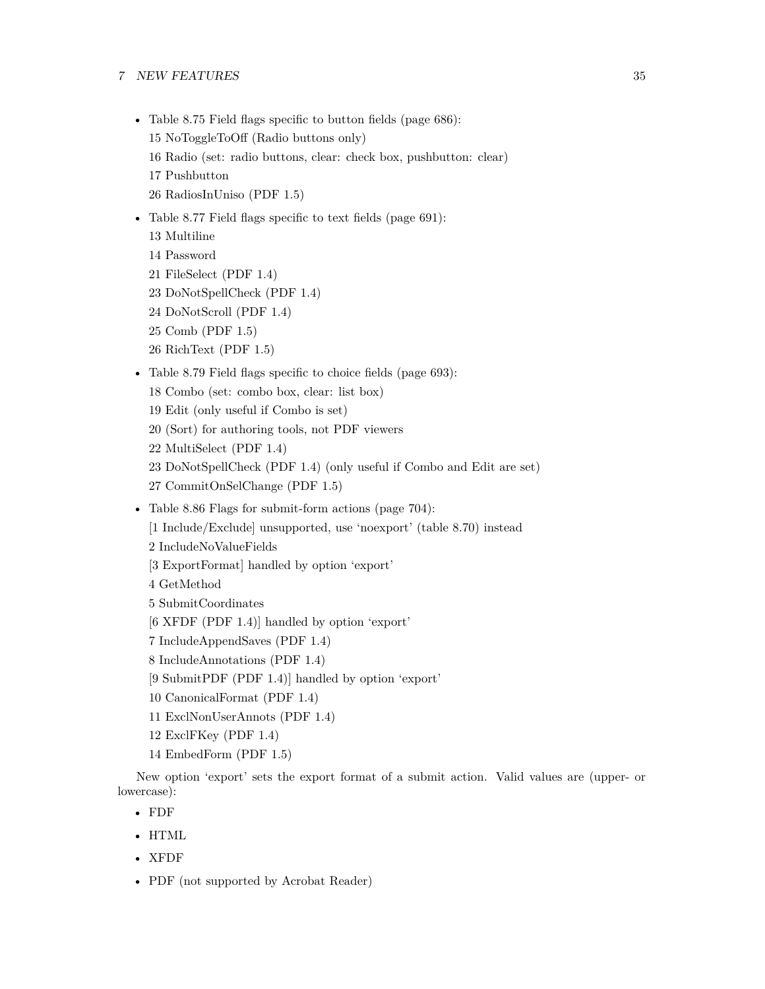#### 7 NEW FEATURES 35

- Table 8.75 Field flags specific to button fields (page 686): 15 NoToggleToOff (Radio buttons only) 16 Radio (set: radio buttons, clear: check box, pushbutton: clear) 17 Pushbutton 26 RadiosInUniso (PDF 1.5)
- Table 8.77 Field flags specific to text fields (page 691):
	- 13 Multiline 14 Password 21 FileSelect (PDF 1.4) 23 DoNotSpellCheck (PDF 1.4) 24 DoNotScroll (PDF 1.4) 25 Comb (PDF 1.5) 26 RichText (PDF 1.5)
- Table 8.79 Field flags specific to choice fields (page 693):
	- 18 Combo (set: combo box, clear: list box)
	- 19 Edit (only useful if Combo is set)
	- 20 (Sort) for authoring tools, not PDF viewers
	- 22 MultiSelect (PDF 1.4)
	- 23 DoNotSpellCheck (PDF 1.4) (only useful if Combo and Edit are set)
	- 27 CommitOnSelChange (PDF 1.5)
- Table 8.86 Flags for submit-form actions (page 704): [1 Include/Exclude] unsupported, use 'noexport' (table 8.70) instead 2 IncludeNoValueFields [3 ExportFormat] handled by option 'export' 4 GetMethod 5 SubmitCoordinates [6 XFDF (PDF 1.4)] handled by option 'export' 7 IncludeAppendSaves (PDF 1.4)
	- 8 IncludeAnnotations (PDF 1.4)
	- [9 SubmitPDF (PDF 1.4)] handled by option 'export'
	- 10 CanonicalFormat (PDF 1.4)
	- 11 ExclNonUserAnnots (PDF 1.4)
	- 12 ExclFKey (PDF 1.4)
	- 14 EmbedForm (PDF 1.5)

New option 'export' sets the export format of a submit action. Valid values are (upper- or lowercase):

- FDF
- HTML
- XFDF
- PDF (not supported by Acrobat Reader)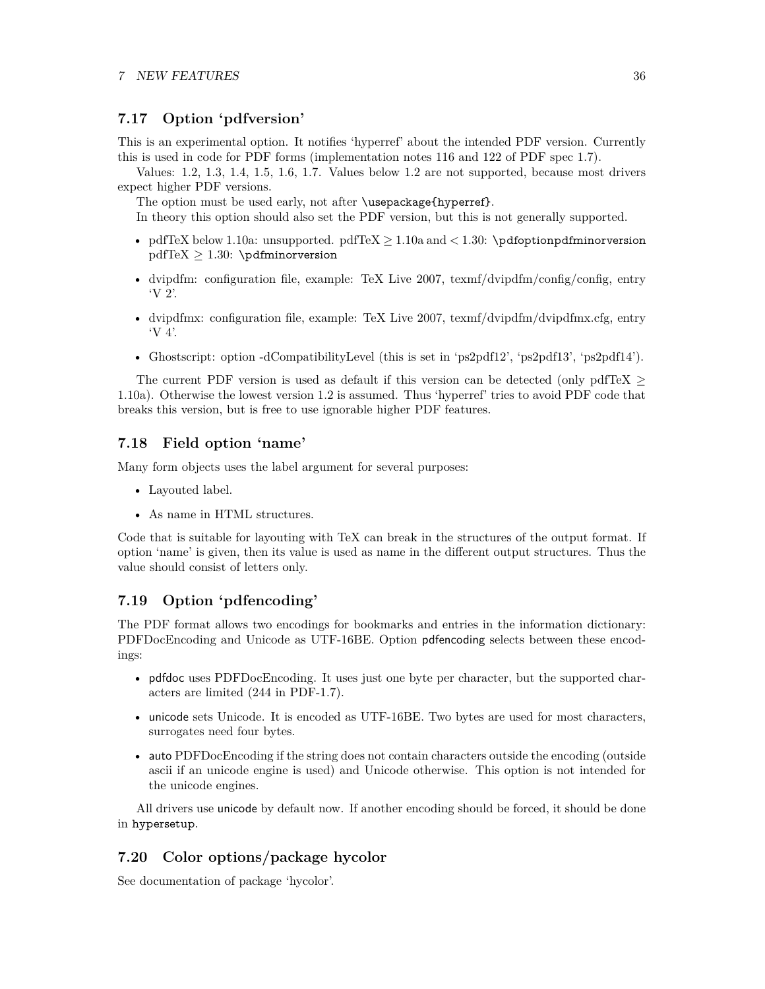## <span id="page-35-0"></span>**7.17 Option 'pdfversion'**

This is an experimental option. It notifies 'hyperref' about the intended PDF version. Currently this is used in code for PDF forms (implementation notes 116 and 122 of PDF spec 1.7).

Values: 1.2, 1.3, 1.4, 1.5, 1.6, 1.7. Values below 1.2 are not supported, because most drivers expect higher PDF versions.

The option must be used early, not after \usepackage{hyperref}.

In theory this option should also set the PDF version, but this is not generally supported.

- pdfTeX below 1.10a: unsupported. pdfTeX  $\geq 1.10$ a and  $\lt 1.30$ : \pdfoptionpdfminorversion  $pdfTeX \geq 1.30$ : \pdfminorversion
- dvipdfm: configuration file, example: TeX Live 2007, texmf/dvipdfm/config/config, entry 'V 2'.
- dvipdfmx: configuration file, example: TeX Live 2007, texmf/dvipdfm/dvipdfmx.cfg, entry 'V 4'.
- Ghostscript: option -dCompatibilityLevel (this is set in 'ps2pdf12', 'ps2pdf13', 'ps2pdf14').

The current PDF version is used as default if this version can be detected (only pdfTeX  $\geq$ 1.10a). Otherwise the lowest version 1.2 is assumed. Thus 'hyperref' tries to avoid PDF code that breaks this version, but is free to use ignorable higher PDF features.

### <span id="page-35-1"></span>**7.18 Field option 'name'**

Many form objects uses the label argument for several purposes:

- Layouted label.
- As name in HTML structures.

Code that is suitable for layouting with TeX can break in the structures of the output format. If option 'name' is given, then its value is used as name in the different output structures. Thus the value should consist of letters only.

## <span id="page-35-2"></span>**7.19 Option 'pdfencoding'**

The PDF format allows two encodings for bookmarks and entries in the information dictionary: PDFDocEncoding and Unicode as UTF-16BE. Option pdfencoding selects between these encodings:

- pdfdoc uses PDFDocEncoding. It uses just one byte per character, but the supported characters are limited (244 in PDF-1.7).
- unicode sets Unicode. It is encoded as UTF-16BE. Two bytes are used for most characters, surrogates need four bytes.
- auto PDFDocEncoding if the string does not contain characters outside the encoding (outside ascii if an unicode engine is used) and Unicode otherwise. This option is not intended for the unicode engines.

All drivers use unicode by default now. If another encoding should be forced, it should be done in hypersetup.

## <span id="page-35-3"></span>**7.20 Color options/package hycolor**

See documentation of package 'hycolor'.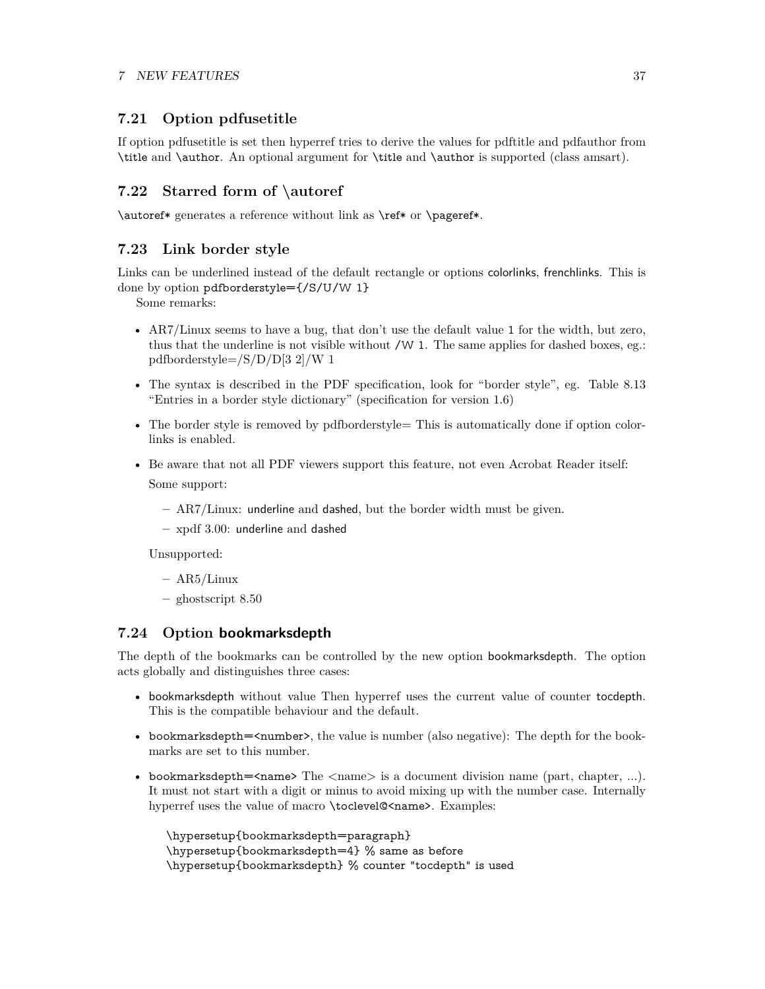## <span id="page-36-0"></span>**7.21 Option pdfusetitle**

If option pdfusetitle is set then hyperref tries to derive the values for pdftitle and pdfauthor from \title and \author. An optional argument for \title and \author is supported (class amsart).

## <span id="page-36-1"></span>**7.22 Starred form of \autoref**

\autoref\* generates a reference without link as \ref\* or \pageref\*.

## <span id="page-36-2"></span>**7.23 Link border style**

Links can be underlined instead of the default rectangle or options colorlinks, frenchlinks. This is done by option pdfborderstyle={/S/U/W 1}

Some remarks:

- AR7/Linux seems to have a bug, that don't use the default value 1 for the width, but zero, thus that the underline is not visible without  $/W$  1. The same applies for dashed boxes, eg.: pdfborderstyle=/S/D/D[3 2]/W 1
- The syntax is described in the PDF specification, look for "border style", eg. Table 8.13 "Entries in a border style dictionary" (specification for version 1.6)
- The border style is removed by pdfborderstyle= This is automatically done if option colorlinks is enabled.
- Be aware that not all PDF viewers support this feature, not even Acrobat Reader itself: Some support:
	- **–** AR7/Linux: underline and dashed, but the border width must be given.
	- **–** xpdf 3.00: underline and dashed

Unsupported:

- **–** AR5/Linux
- **–** ghostscript 8.50

## <span id="page-36-3"></span>**7.24 Option bookmarksdepth**

The depth of the bookmarks can be controlled by the new option bookmarksdepth. The option acts globally and distinguishes three cases:

- bookmarksdepth without value Then hyperref uses the current value of counter tocdepth. This is the compatible behaviour and the default.
- bookmarksdepth= $\langle$ number>, the value is number (also negative): The depth for the bookmarks are set to this number.
- bookmarksdepth= $\langle$ name> The  $\langle$ name> is a document division name (part, chapter, ...). It must not start with a digit or minus to avoid mixing up with the number case. Internally hyperref uses the value of macro \toclevel@<name>. Examples:

```
\hypersetup{bookmarksdepth=paragraph}
\hypersetup{bookmarksdepth=4} % same as before
\hypersetup{bookmarksdepth} % counter "tocdepth" is used
```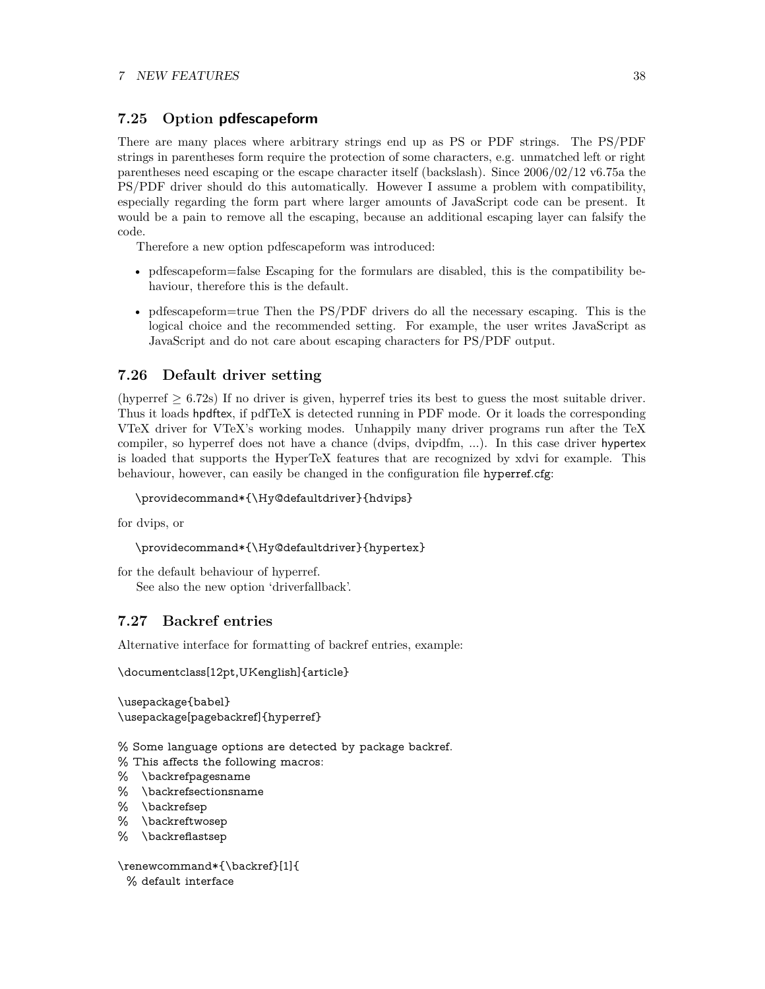## <span id="page-37-0"></span>**7.25 Option pdfescapeform**

There are many places where arbitrary strings end up as PS or PDF strings. The PS/PDF strings in parentheses form require the protection of some characters, e.g. unmatched left or right parentheses need escaping or the escape character itself (backslash). Since 2006/02/12 v6.75a the PS/PDF driver should do this automatically. However I assume a problem with compatibility, especially regarding the form part where larger amounts of JavaScript code can be present. It would be a pain to remove all the escaping, because an additional escaping layer can falsify the code.

Therefore a new option pdfescapeform was introduced:

- pdfescapeform=false Escaping for the formulars are disabled, this is the compatibility behaviour, therefore this is the default.
- pdfescapeform=true Then the PS/PDF drivers do all the necessary escaping. This is the logical choice and the recommended setting. For example, the user writes JavaScript as JavaScript and do not care about escaping characters for PS/PDF output.

## <span id="page-37-1"></span>**7.26 Default driver setting**

(hyperref  $\geq 6.72$ s) If no driver is given, hyperref tries its best to guess the most suitable driver. Thus it loads hpdftex, if pdfTeX is detected running in PDF mode. Or it loads the corresponding VTeX driver for VTeX's working modes. Unhappily many driver programs run after the TeX compiler, so hyperref does not have a chance (dvips, dvipdfm, ...). In this case driver hypertex is loaded that supports the HyperTeX features that are recognized by xdvi for example. This behaviour, however, can easily be changed in the configuration file hyperref.cfg:

```
\providecommand*{\Hy@defaultdriver}{hdvips}
```
for dvips, or

```
\providecommand*{\Hy@defaultdriver}{hypertex}
```

```
for the default behaviour of hyperref.
   See also the new option 'driverfallback'.
```
## <span id="page-37-2"></span>**7.27 Backref entries**

Alternative interface for formatting of backref entries, example:

\documentclass[12pt,UKenglish]{article}

\usepackage{babel} \usepackage[pagebackref]{hyperref}

% Some language options are detected by package backref.

% This affects the following macros:

- % \backrefpagesname
- % \backrefsectionsname
- % \backrefsep
- % \backreftwosep
- % \backreflastsep

\renewcommand\*{\backref}[1]{

% default interface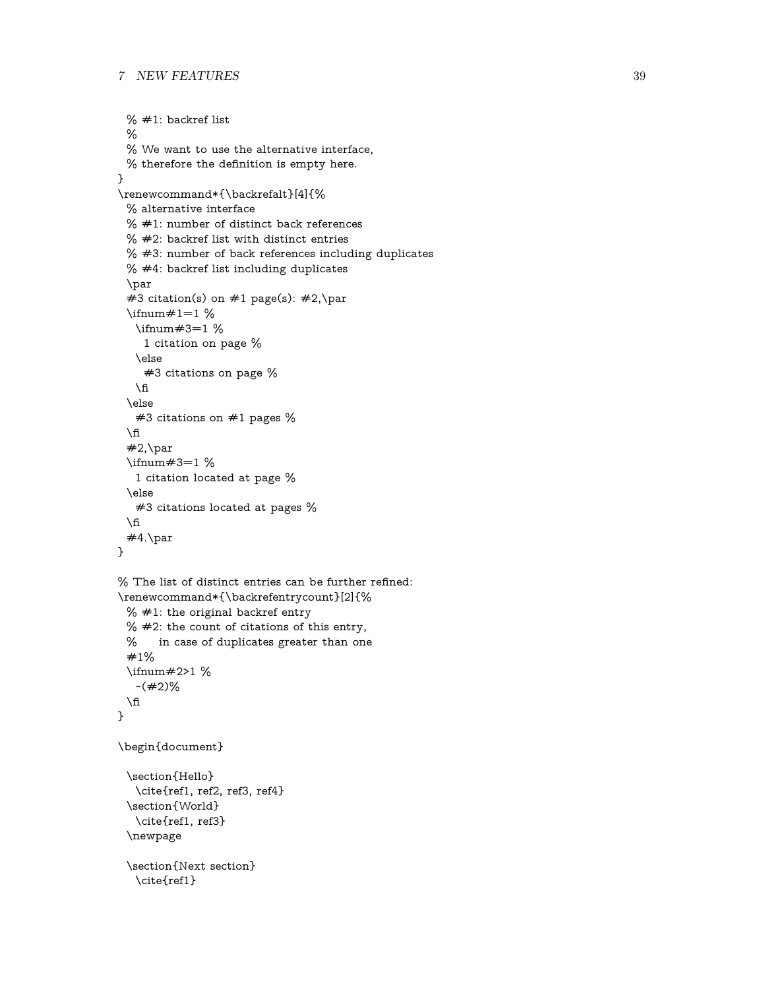```
% \neq 1: backref list
 %
 % We want to use the alternative interface,
 % therefore the definition is empty here.
}
\renewcommand*{\backrefalt}[4]{%
 % alternative interface
 % #1: number of distinct back references% #2: backref list with distinct entries
 % #3: number of back references including duplicates
 % #4: backref list including duplicates
 \par
 #3 citation(s) on #1 page(s): #2, \par
 \in#1=1 %
   \ifnum#3=1 %
    1 citation on page %
   \else
    #3 citations on page %
   \fi
 \else
   #3 citations on #1 pages %
 \ln#2, \parbox{600}{$\geq$}\ifnum#3=1 %
   1 citation located at page %
 \else
   #3 citations located at pages %
 \ln#4.\par
}
\% The list of distinct entries can be further refined:
\renewcommand*{\backrefentrycount}[2]{%
 % #1: the original backref entry
 % #2: the count of citations of this entry,
 % in case of duplicates greater than one
 #1%
 \ifnum#2>1 %
   -(\#2)\%\sqrt{n}}
\begin{document}
 \section{Hello}
   \cite{ref1, ref2, ref3, ref4}
 \section{World}
   \cite{ref1, ref3}
 \newpage
 \section{Next section}
   \cite{ref1}
```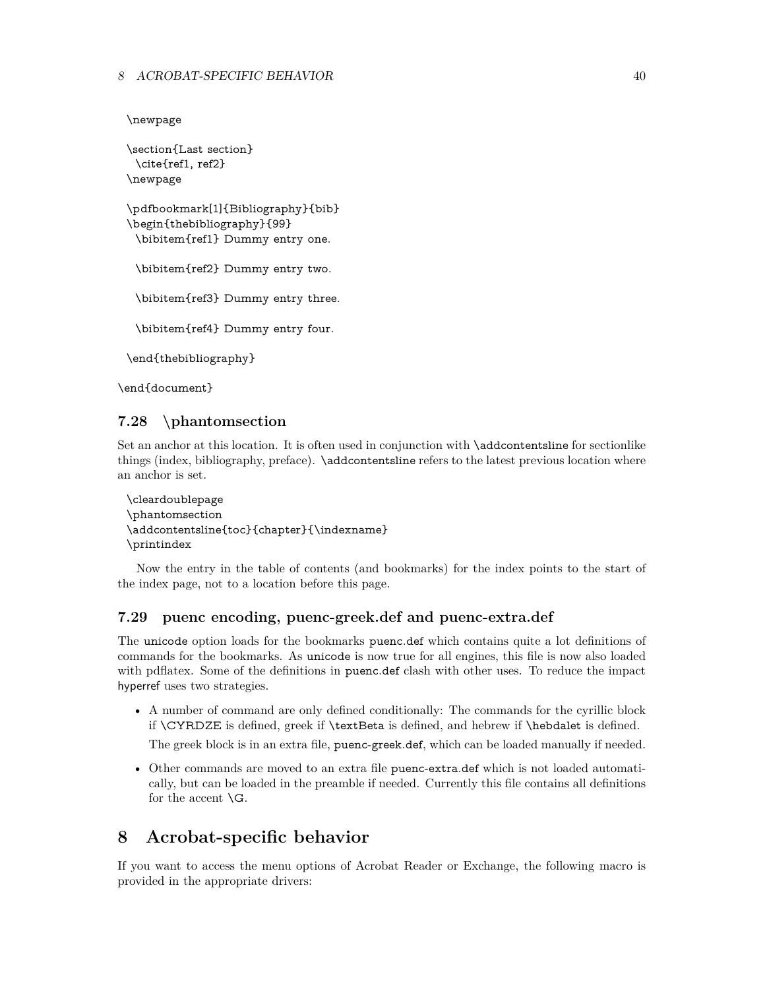```
\newpage
```

```
\section{Last section}
 \cite{ref1, ref2}
\newpage
\pdfbookmark[1]{Bibliography}{bib}
\begin{thebibliography}{99}
 \bibitem{ref1} Dummy entry one.
 \bibitem{ref2} Dummy entry two.
 \bibitem{ref3} Dummy entry three.
 \bibitem{ref4} Dummy entry four.
\end{thebibliography}
```
\end{document}

## <span id="page-39-0"></span>**7.28 \phantomsection**

Set an anchor at this location. It is often used in conjunction with \addcontentsline for sectionlike things (index, bibliography, preface). \addcontentsline refers to the latest previous location where an anchor is set.

```
\cleardoublepage
\phantomsection
\addcontentsline{toc}{chapter}{\indexname}
\printindex
```
Now the entry in the table of contents (and bookmarks) for the index points to the start of the index page, not to a location before this page.

## <span id="page-39-1"></span>**7.29 puenc encoding, puenc-greek.def and puenc-extra.def**

The unicode option loads for the bookmarks puenc.def which contains quite a lot definitions of commands for the bookmarks. As unicode is now true for all engines, this file is now also loaded with pdflatex. Some of the definitions in puenc.def clash with other uses. To reduce the impact hyperref uses two strategies.

• A number of command are only defined conditionally: The commands for the cyrillic block if \CYRDZE is defined, greek if \textBeta is defined, and hebrew if \hebdalet is defined.

The greek block is in an extra file, puenc-greek.def, which can be loaded manually if needed.

• Other commands are moved to an extra file puenc-extra.def which is not loaded automatically, but can be loaded in the preamble if needed. Currently this file contains all definitions for the accent  $\setminus G$ .

## <span id="page-39-2"></span>**8 Acrobat-specific behavior**

If you want to access the menu options of Acrobat Reader or Exchange, the following macro is provided in the appropriate drivers: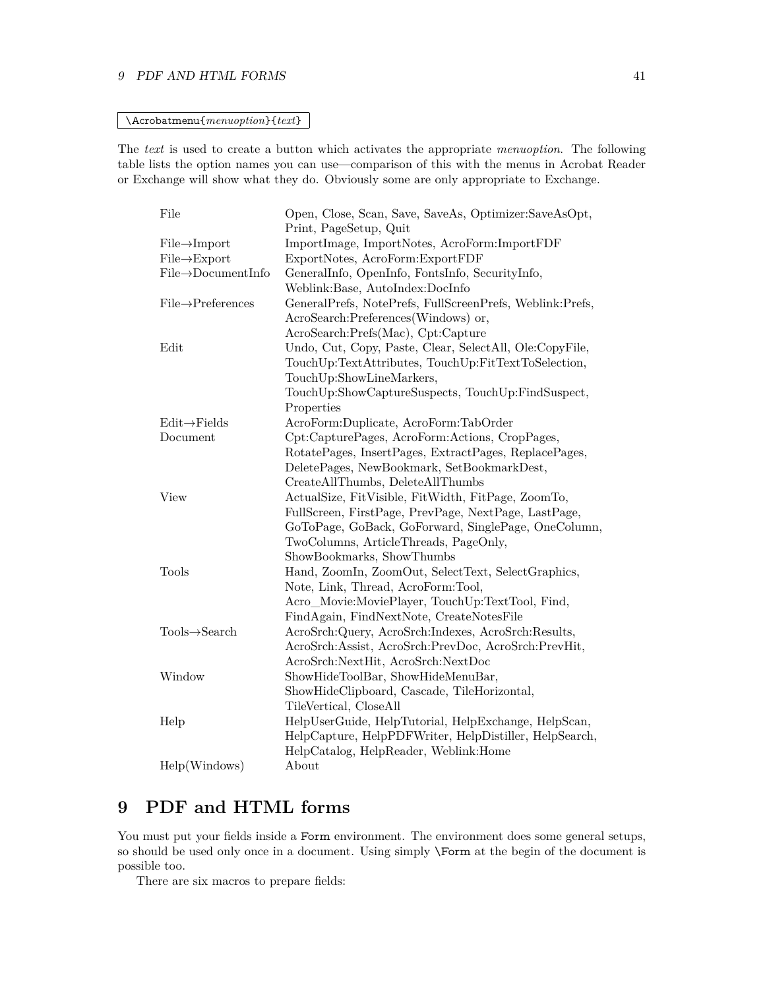#### 9 PDF AND HTML FORMS 41

#### \Acrobatmenu{*menuoption*}{*text*}

The *text* is used to create a button which activates the appropriate *menuoption*. The following table lists the option names you can use—comparison of this with the menus in Acrobat Reader or Exchange will show what they do. Obviously some are only appropriate to Exchange.

| File                            | Open, Close, Scan, Save, SaveAs, Optimizer:SaveAsOpt,    |
|---------------------------------|----------------------------------------------------------|
|                                 | Print, PageSetup, Quit                                   |
| $File \rightarrow Import$       | ImportImage, ImportNotes, AcroForm:ImportFDF             |
| $File \rightarrow Expert$       | ExportNotes, AcroForm:ExportFDF                          |
| $File \rightarrow DocumentInfo$ | GeneralInfo, OpenInfo, FontsInfo, SecurityInfo,          |
|                                 | Weblink:Base, AutoIndex:DocInfo                          |
| $File \rightarrow$ Preferences  | GeneralPrefs, NotePrefs, FullScreenPrefs, Weblink:Prefs, |
|                                 | AcroSearch:Preferences(Windows) or,                      |
|                                 | AcroSearch:Prefs(Mac), Cpt:Capture                       |
| Edit                            | Undo, Cut, Copy, Paste, Clear, SelectAll, Ole:CopyFile,  |
|                                 | TouchUp:TextAttributes, TouchUp:FitTextToSelection,      |
|                                 | TouchUp:ShowLineMarkers,                                 |
|                                 | TouchUp:ShowCaptureSuspects, TouchUp:FindSuspect,        |
|                                 | Properties                                               |
| $Edit \rightarrow Fields$       | AcroForm:Duplicate, AcroForm:TabOrder                    |
| Document                        | Cpt:CapturePages, AcroForm:Actions, CropPages,           |
|                                 | RotatePages, InsertPages, ExtractPages, ReplacePages,    |
|                                 | DeletePages, NewBookmark, SetBookmarkDest,               |
|                                 | CreateAllThumbs, DeleteAllThumbs                         |
| View                            | ActualSize, FitVisible, FitWidth, FitPage, ZoomTo,       |
|                                 | FullScreen, FirstPage, PrevPage, NextPage, LastPage,     |
|                                 | GoToPage, GoBack, GoForward, SinglePage, OneColumn,      |
|                                 | TwoColumns, ArticleThreads, PageOnly,                    |
|                                 | ShowBookmarks, ShowThumbs                                |
| Tools                           | Hand, ZoomIn, ZoomOut, SelectText, SelectGraphics,       |
|                                 | Note, Link, Thread, AcroForm:Tool,                       |
|                                 | Acro_Movie:MoviePlayer, TouchUp:TextTool, Find,          |
|                                 | FindAgain, FindNextNote, CreateNotesFile                 |
| $Tools \rightarrow Search$      | AcroSrch:Query, AcroSrch:Indexes, AcroSrch:Results,      |
|                                 | AcroSrch:Assist, AcroSrch:PrevDoc, AcroSrch:PrevHit,     |
|                                 | AcroSrch:NextHit, AcroSrch:NextDoc                       |
| Window                          | ShowHideToolBar, ShowHideMenuBar,                        |
|                                 | ShowHideClipboard, Cascade, TileHorizontal,              |
|                                 | TileVertical, CloseAll                                   |
| Help                            | HelpUserGuide, HelpTutorial, HelpExchange, HelpScan,     |
|                                 | HelpCapture, HelpPDFWriter, HelpDistiller, HelpSearch,   |
|                                 | HelpCatalog, HelpReader, Weblink:Home                    |
| Help(Windows)                   | About                                                    |

## <span id="page-40-0"></span>**9 PDF and HTML forms**

You must put your fields inside a Form environment. The environment does some general setups, so should be used only once in a document. Using simply \Form at the begin of the document is possible too.

There are six macros to prepare fields: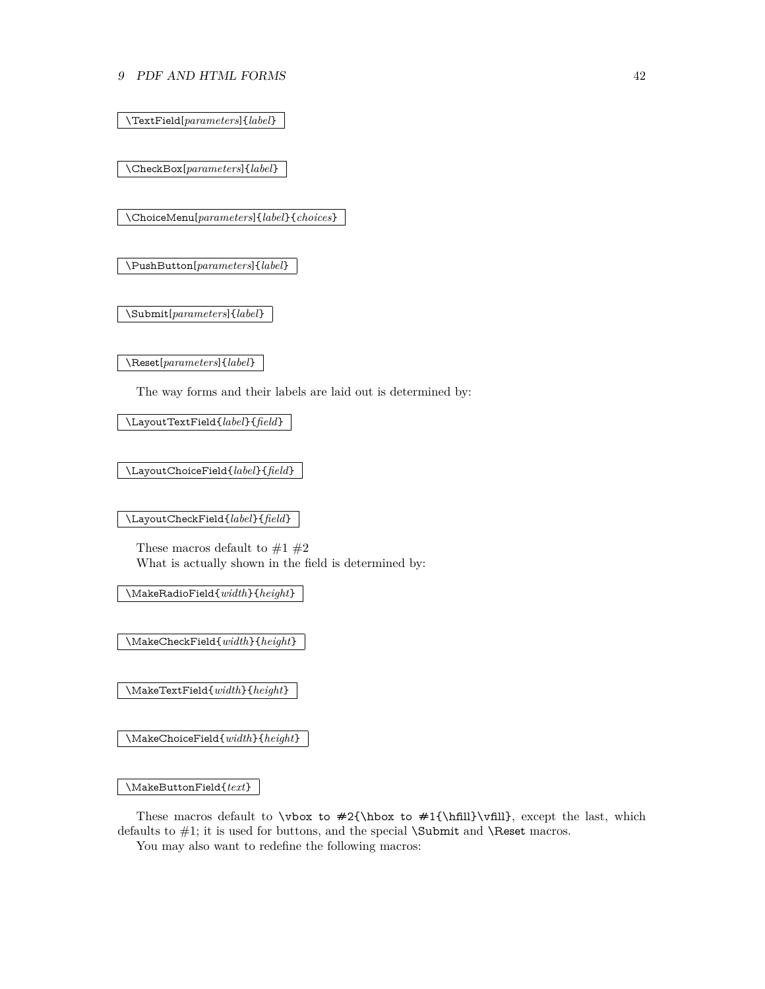#### 9 PDF AND HTML FORMS 42

\TextField[*parameters*]{*label*}

\CheckBox[*parameters*]{*label*}

\ChoiceMenu[*parameters*]{*label*}{*choices*}

\PushButton[*parameters*]{*label*}

\Submit[*parameters*]{*label*}

\Reset[*parameters*]{*label*}

The way forms and their labels are laid out is determined by:

\LayoutTextField{*label*}{*field*}

\LayoutChoiceField{*label*}{*field*}

\LayoutCheckField{*label*}{*field*}

These macros default to  $\#1$   $\#2$ What is actually shown in the field is determined by:

\MakeRadioField{*width*}{*height*}

\MakeCheckField{*width*}{*height*}

\MakeTextField{*width*}{*height*}

\MakeChoiceField{*width*}{*height*}

\MakeButtonField{*text*}

These macros default to  $\forall x \in #2{\hbox{fill}}\vfill$ , except the last, which defaults to  $\#1$ ; it is used for buttons, and the special **\Submit** and **\Reset** macros.

You may also want to redefine the following macros: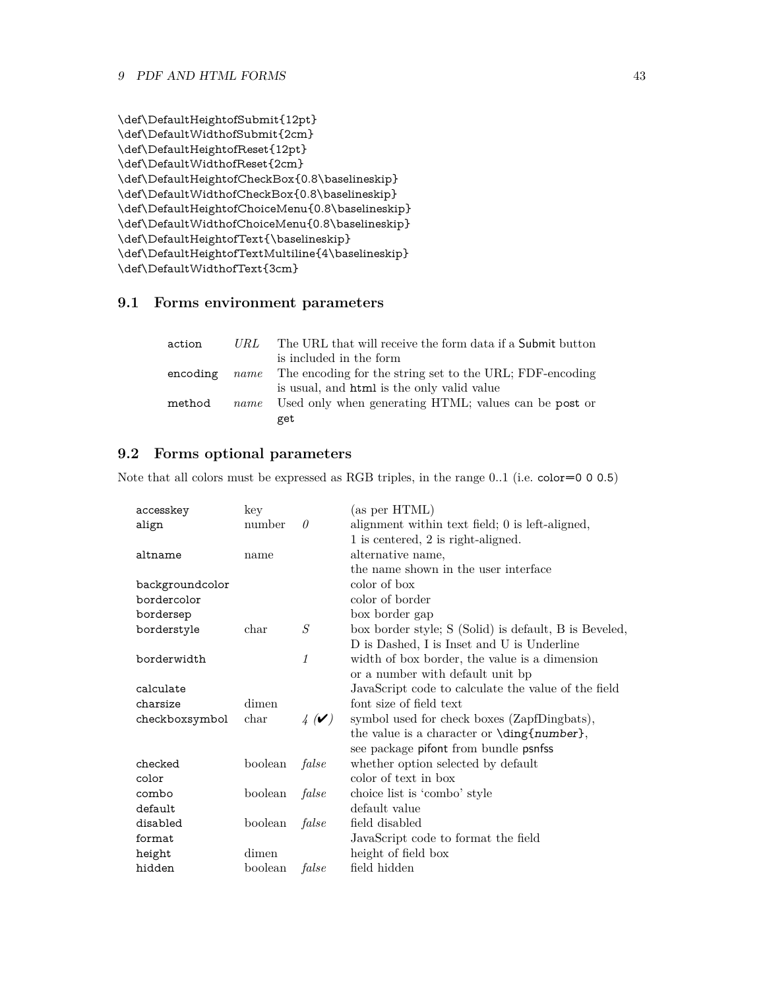```
\def\DefaultHeightofSubmit{12pt}
\def\DefaultWidthofSubmit{2cm}
\def\DefaultHeightofReset{12pt}
\def\DefaultWidthofReset{2cm}
\def\DefaultHeightofCheckBox{0.8\baselineskip}
\def\DefaultWidthofCheckBox{0.8\baselineskip}
\def\DefaultHeightofChoiceMenu{0.8\baselineskip}
\def\DefaultWidthofChoiceMenu{0.8\baselineskip}
\def\DefaultHeightofText{\baselineskip}
\def\DefaultHeightofTextMultiline{4\baselineskip}
\def\DefaultWidthofText{3cm}
```
## <span id="page-42-0"></span>**9.1 Forms environment parameters**

| action   | URL  | The URL that will receive the form data if a Submit button           |
|----------|------|----------------------------------------------------------------------|
|          |      | is included in the form                                              |
| encoding |      | <i>name</i> The encoding for the string set to the URL; FDF-encoding |
|          |      | is usual, and html is the only valid value                           |
| method   | name | Used only when generating HTML; values can be post or                |
|          |      | get                                                                  |

## <span id="page-42-1"></span>**9.2 Forms optional parameters**

Note that all colors must be expressed as RGB triples, in the range 0..1 (i.e. color=0 0 0.5)

| accesskey       | key     |                                         | (as per HTML)                                         |
|-----------------|---------|-----------------------------------------|-------------------------------------------------------|
| align           | number  | $\theta$                                | alignment within text field; 0 is left-aligned,       |
|                 |         |                                         | 1 is centered, 2 is right-aligned.                    |
| altname         | name    |                                         | alternative name,                                     |
|                 |         |                                         | the name shown in the user interface                  |
| backgroundcolor |         |                                         | color of box                                          |
| bordercolor     |         |                                         | color of border                                       |
| bordersep       |         |                                         | box border gap                                        |
| borderstyle     | char    | S                                       | box border style; S (Solid) is default, B is Beveled, |
|                 |         |                                         | D is Dashed, I is Inset and U is Underline            |
| borderwidth     |         | 1                                       | width of box border, the value is a dimension         |
|                 |         |                                         | or a number with default unit bp                      |
| calculate       |         |                                         | JavaScript code to calculate the value of the field   |
| charsize        | dimen   |                                         | font size of field text                               |
| checkboxsymbol  | char    | $\frac{1}{4}$ ( $\blacktriangleright$ ) | symbol used for check boxes (ZapfDingbats),           |
|                 |         |                                         | the value is a character or \ding{number},            |
|                 |         |                                         | see package pifont from bundle psnfss                 |
| checked         | boolean | false                                   | whether option selected by default                    |
| color           |         |                                         | color of text in box                                  |
| combo           | boolean | false                                   | choice list is 'combo' style                          |
| default         |         |                                         | default value                                         |
| disabled        | boolean | false                                   | field disabled                                        |
| format          |         |                                         | JavaScript code to format the field                   |
| height          | dimen   |                                         | height of field box                                   |
| hidden          | boolean | false                                   | field hidden                                          |
|                 |         |                                         |                                                       |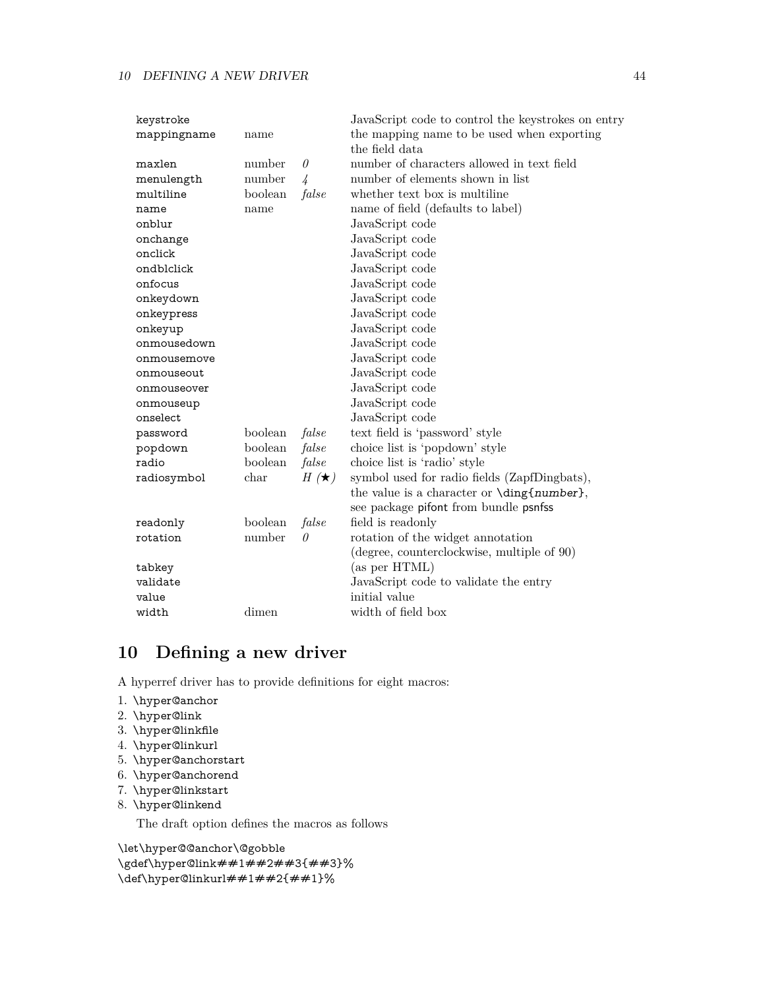| keystroke   |         |               | JavaScript code to control the keystrokes on entry |
|-------------|---------|---------------|----------------------------------------------------|
| mappingname | name    |               | the mapping name to be used when exporting         |
|             |         |               | the field data                                     |
| maxlen      | number  | $\theta$      | number of characters allowed in text field         |
| menulength  | number  | $\frac{1}{4}$ | number of elements shown in list                   |
| multiline   | boolean | false         | whether text box is multiline                      |
| name        | name    |               | name of field (defaults to label)                  |
| onblur      |         |               | JavaScript code                                    |
| onchange    |         |               | JavaScript code                                    |
| onclick     |         |               | JavaScript code                                    |
| ondblclick  |         |               | JavaScript code                                    |
| onfocus     |         |               | JavaScript code                                    |
| onkeydown   |         |               | JavaScript code                                    |
| onkeypress  |         |               | JavaScript code                                    |
| onkeyup     |         |               | JavaScript code                                    |
| onmousedown |         |               | JavaScript code                                    |
| onmousemove |         |               | JavaScript code                                    |
| onmouseout  |         |               | JavaScript code                                    |
| onmouseover |         |               | JavaScript code                                    |
| onmouseup   |         |               | JavaScript code                                    |
| onselect    |         |               | JavaScript code                                    |
| password    | boolean | false         | text field is 'password' style                     |
| popdown     | boolean | false         | choice list is 'popdown' style                     |
| radio       | boolean | false         | choice list is 'radio' style                       |
| radiosymbol | char    | $H(\star)$    | symbol used for radio fields (ZapfDingbats),       |
|             |         |               | the value is a character or \ding{number},         |
|             |         |               | see package pifont from bundle psnfss              |
| readonly    | boolean | false         | field is readonly                                  |
| rotation    | number  | $\theta$      | rotation of the widget annotation                  |
|             |         |               | (degree, counterclockwise, multiple of 90)         |
| tabkey      |         |               | (as per HTML)                                      |
| validate    |         |               | JavaScript code to validate the entry              |
| value       |         |               | initial value                                      |
| width       | dimen   |               | width of field box                                 |

## <span id="page-43-0"></span>**10 Defining a new driver**

A hyperref driver has to provide definitions for eight macros:

- 1. \hyper@anchor
- 2. \hyper@link
- 3. \hyper@linkfile
- 4. \hyper@linkurl
- 5. \hyper@anchorstart
- 6. \hyper@anchorend
- 7. \hyper@linkstart
- 8. \hyper@linkend

The draft option defines the macros as follows

\let\hyper@@anchor\@gobble \gdef\hyper@link##1##2##3{##3}% \def\hyper@linkurl##1##2{##1}%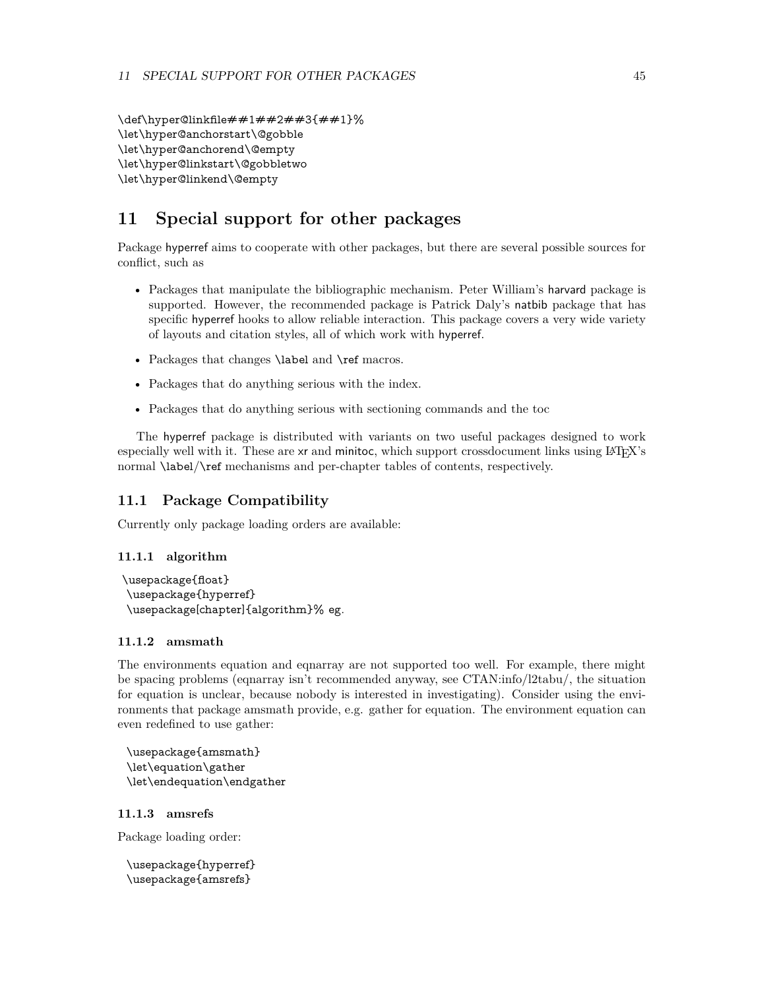\def\hyper@linkfile##1##2##3{##1}% \let\hyper@anchorstart\@gobble \let\hyper@anchorend\@empty \let\hyper@linkstart\@gobbletwo \let\hyper@linkend\@empty

## <span id="page-44-0"></span>**11 Special support for other packages**

Package hyperref aims to cooperate with other packages, but there are several possible sources for conflict, such as

- Packages that manipulate the bibliographic mechanism. Peter William's harvard package is supported. However, the recommended package is Patrick Daly's natbib package that has specific hyperref hooks to allow reliable interaction. This package covers a very wide variety of layouts and citation styles, all of which work with hyperref.
- Packages that changes **\label** and **\ref** macros.
- Packages that do anything serious with the index.
- Packages that do anything serious with sectioning commands and the toc

The hyperref package is distributed with variants on two useful packages designed to work especially well with it. These are xr and minitoc, which support crossdocument links using  $\llbracket A \rrbracket$ . normal \label/\ref mechanisms and per-chapter tables of contents, respectively.

## <span id="page-44-1"></span>**11.1 Package Compatibility**

Currently only package loading orders are available:

#### <span id="page-44-2"></span>**11.1.1 algorithm**

\usepackage{float} \usepackage{hyperref} \usepackage[chapter]{algorithm}% eg.

#### <span id="page-44-3"></span>**11.1.2 amsmath**

The environments equation and eqnarray are not supported too well. For example, there might be spacing problems (eqnarray isn't recommended anyway, see CTAN:info/l2tabu/, the situation for equation is unclear, because nobody is interested in investigating). Consider using the environments that package amsmath provide, e.g. gather for equation. The environment equation can even redefined to use gather:

\usepackage{amsmath} \let\equation\gather \let\endequation\endgather

#### <span id="page-44-4"></span>**11.1.3 amsrefs**

Package loading order:

```
\usepackage{hyperref}
\usepackage{amsrefs}
```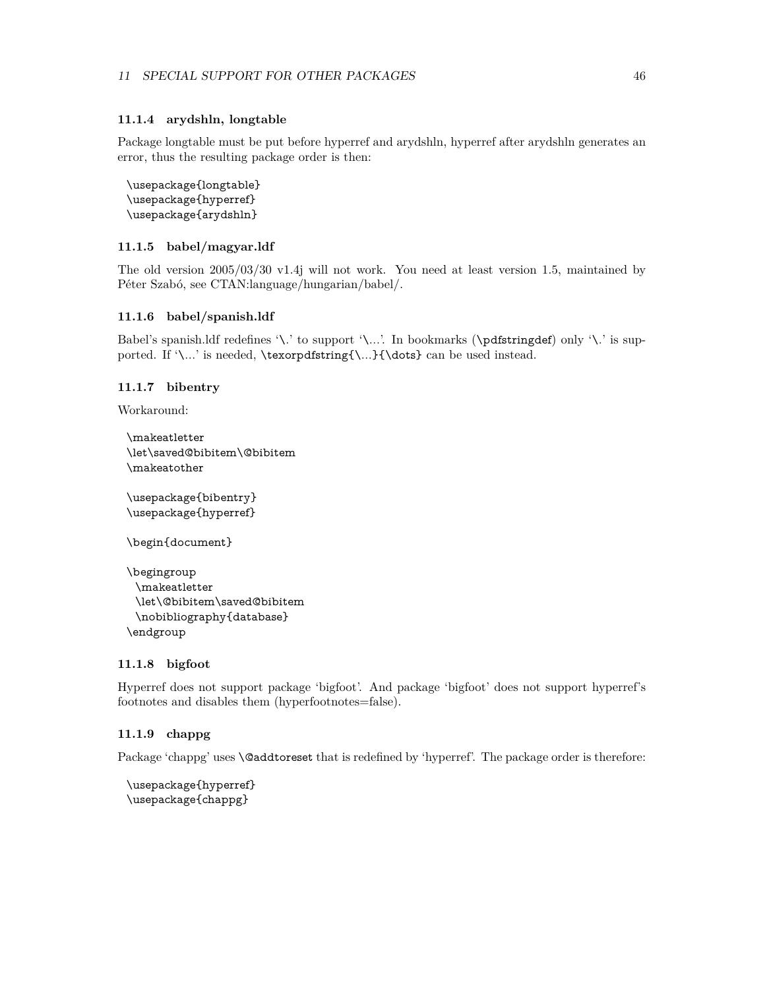#### <span id="page-45-0"></span>**11.1.4 arydshln, longtable**

Package longtable must be put before hyperref and arydshln, hyperref after arydshln generates an error, thus the resulting package order is then:

```
\usepackage{longtable}
\usepackage{hyperref}
\usepackage{arydshln}
```
## <span id="page-45-1"></span>**11.1.5 babel/magyar.ldf**

The old version 2005/03/30 v1.4j will not work. You need at least version 1.5, maintained by Péter Szabó, see CTAN:language/hungarian/babel/.

#### <span id="page-45-2"></span>**11.1.6 babel/spanish.ldf**

Babel's spanish.ldf redefines '\.' to support '\...'. In bookmarks (\pdfstringdef) only '\.' is supported. If '\...' is needed, \texorpdfstring{\...}{\dots} can be used instead.

#### <span id="page-45-3"></span>**11.1.7 bibentry**

Workaround:

```
\makeatletter
\let\saved@bibitem\@bibitem
\makeatother
```
\usepackage{bibentry} \usepackage{hyperref}

\begin{document}

```
\begingroup
 \makeatletter
 \let\@bibitem\saved@bibitem
 \nobibliography{database}
\endgroup
```
#### <span id="page-45-4"></span>**11.1.8 bigfoot**

Hyperref does not support package 'bigfoot'. And package 'bigfoot' does not support hyperref's footnotes and disables them (hyperfootnotes=false).

#### <span id="page-45-5"></span>**11.1.9 chappg**

Package 'chappg' uses **\@addtoreset** that is redefined by 'hyperref'. The package order is therefore:

```
\usepackage{hyperref}
\usepackage{chappg}
```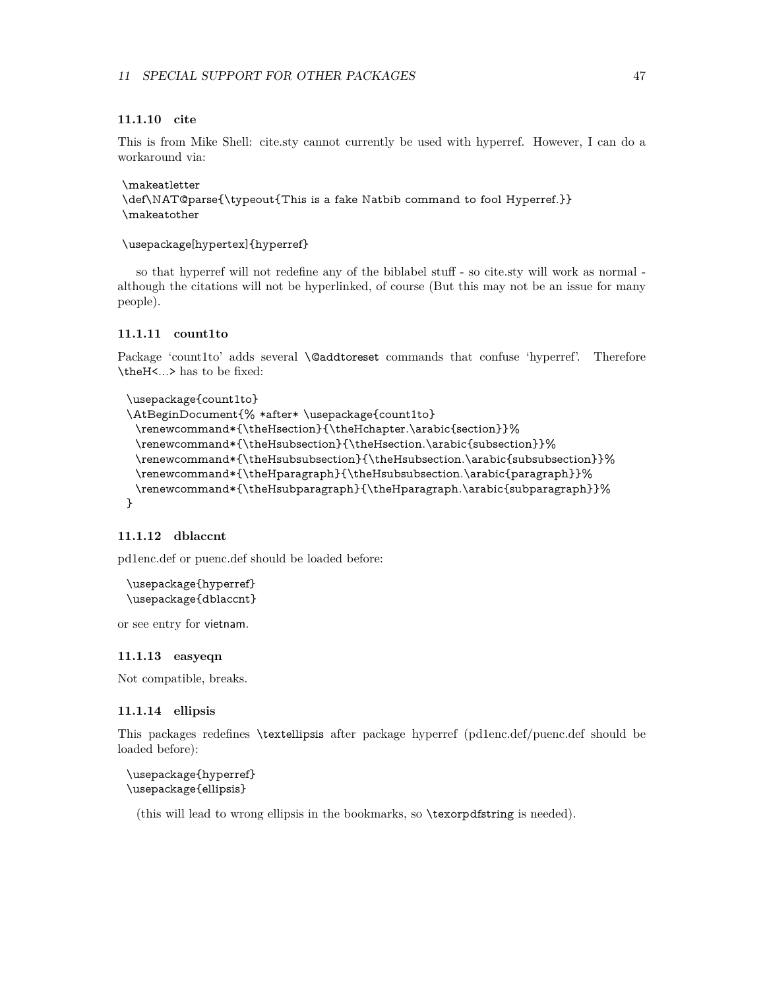#### <span id="page-46-0"></span>**11.1.10 cite**

This is from Mike Shell: cite.sty cannot currently be used with hyperref. However, I can do a workaround via:

\makeatletter \def\NAT@parse{\typeout{This is a fake Natbib command to fool Hyperref.}} \makeatother

\usepackage[hypertex]{hyperref}

so that hyperref will not redefine any of the biblabel stuff - so cite.sty will work as normal although the citations will not be hyperlinked, of course (But this may not be an issue for many people).

#### <span id="page-46-1"></span>**11.1.11 count1to**

Package 'count1to' adds several \@addtoreset commands that confuse 'hyperref'. Therefore \theH<...> has to be fixed:

```
\usepackage{count1to}
```

```
\AtBeginDocument{% *after* \usepackage{count1to}
 \renewcommand*{\theHsection}{\theHchapter.\arabic{section}}%
 \renewcommand*{\theHsubsection}{\theHsection.\arabic{subsection}}%
 \renewcommand*{\theHsubsubsection}{\theHsubsection.\arabic{subsubsection}}%
 \renewcommand*{\theHparagraph}{\theHsubsubsection.\arabic{paragraph}}%
 \renewcommand*{\theHsubparagraph}{\theHparagraph.\arabic{subparagraph}}%
}
```
### <span id="page-46-2"></span>**11.1.12 dblaccnt**

pd1enc.def or puenc.def should be loaded before:

\usepackage{hyperref} \usepackage{dblaccnt}

or see entry for vietnam.

#### <span id="page-46-3"></span>**11.1.13 easyeqn**

Not compatible, breaks.

#### <span id="page-46-4"></span>**11.1.14 ellipsis**

This packages redefines \textellipsis after package hyperref (pd1enc.def/puenc.def should be loaded before):

```
\usepackage{hyperref}
\usepackage{ellipsis}
```
(this will lead to wrong ellipsis in the bookmarks, so \texorpdfstring is needed).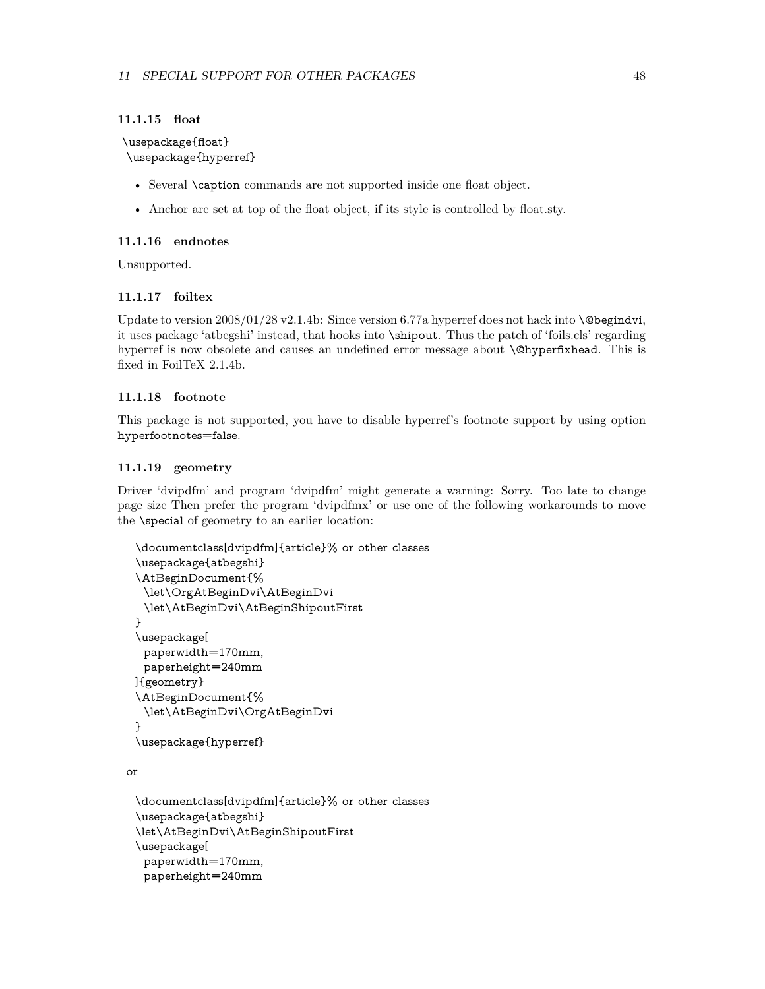#### <span id="page-47-0"></span>**11.1.15 float**

\usepackage{float} \usepackage{hyperref}

- Several \caption commands are not supported inside one float object.
- Anchor are set at top of the float object, if its style is controlled by float.sty.

#### <span id="page-47-1"></span>**11.1.16 endnotes**

Unsupported.

### <span id="page-47-2"></span>**11.1.17 foiltex**

Update to version  $2008/01/28$  v2.1.4b: Since version 6.77a hyperref does not hack into **\@begindvi**, it uses package 'atbegshi' instead, that hooks into \shipout. Thus the patch of 'foils.cls' regarding hyperref is now obsolete and causes an undefined error message about \@hyperfixhead. This is fixed in FoilTeX 2.1.4b.

## <span id="page-47-3"></span>**11.1.18 footnote**

This package is not supported, you have to disable hyperref's footnote support by using option hyperfootnotes=false.

#### <span id="page-47-4"></span>**11.1.19 geometry**

Driver 'dvipdfm' and program 'dvipdfm' might generate a warning: Sorry. Too late to change page size Then prefer the program 'dvipdfmx' or use one of the following workarounds to move the \special of geometry to an earlier location:

```
\documentclass[dvipdfm]{article}% or other classes
\usepackage{atbegshi}
\AtBeginDocument{%
 \let\OrgAtBeginDvi\AtBeginDvi
 \let\AtBeginDvi\AtBeginShipoutFirst
}
\usepackage[
 paperwidth=170mm,
 paperheight=240mm
]{geometry}
\AtBeginDocument{%
 \let\AtBeginDvi\OrgAtBeginDvi
}
\usepackage{hyperref}
```
or

```
\documentclass[dvipdfm]{article}% or other classes
\usepackage{atbegshi}
\let\AtBeginDvi\AtBeginShipoutFirst
\usepackage[
 paperwidth=170mm,
 paperheight=240mm
```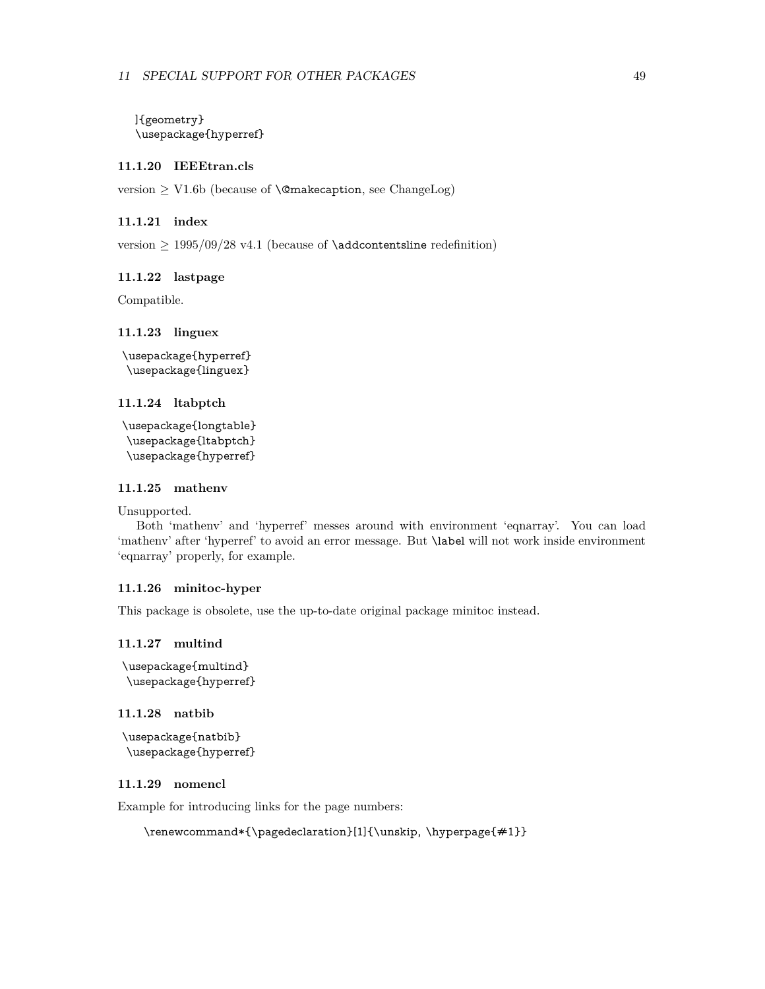]{geometry} \usepackage{hyperref}

#### <span id="page-48-0"></span>**11.1.20 IEEEtran.cls**

version  $\geq$  V1.6b (because of **\@makecaption**, see ChangeLog)

#### <span id="page-48-1"></span>**11.1.21 index**

version  $\geq 1995/09/28$  v4.1 (because of **\addcontentsline** redefinition)

#### <span id="page-48-2"></span>**11.1.22 lastpage**

Compatible.

#### <span id="page-48-3"></span>**11.1.23 linguex**

\usepackage{hyperref} \usepackage{linguex}

#### <span id="page-48-4"></span>**11.1.24 ltabptch**

\usepackage{longtable} \usepackage{ltabptch} \usepackage{hyperref}

## <span id="page-48-5"></span>**11.1.25 mathenv**

Unsupported.

Both 'mathenv' and 'hyperref' messes around with environment 'eqnarray'. You can load 'mathenv' after 'hyperref' to avoid an error message. But \label will not work inside environment 'eqnarray' properly, for example.

#### <span id="page-48-6"></span>**11.1.26 minitoc-hyper**

This package is obsolete, use the up-to-date original package minitoc instead.

#### <span id="page-48-7"></span>**11.1.27 multind**

```
\usepackage{multind}
\usepackage{hyperref}
```
#### <span id="page-48-8"></span>**11.1.28 natbib**

```
\usepackage{natbib}
\usepackage{hyperref}
```
### <span id="page-48-9"></span>**11.1.29 nomencl**

Example for introducing links for the page numbers:

```
\renewcommand*{\pagedeclaration}[1]{\unskip, \hyperpage{#1}}
```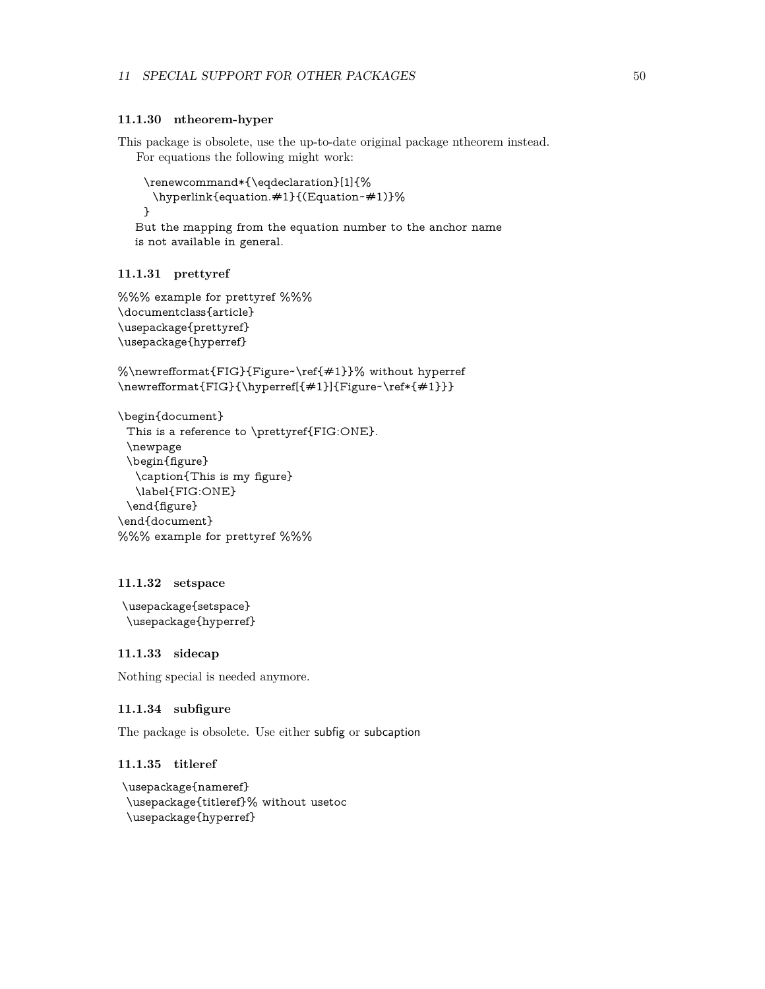#### <span id="page-49-0"></span>**11.1.30 ntheorem-hyper**

This package is obsolete, use the up-to-date original package ntheorem instead. For equations the following might work:

```
\renewcommand*{\eqdeclaration}[1]{%
 \hyperlink{equation.#1}{(Equation~#1)}%
}
```
But the mapping from the equation number to the anchor name is not available in general.

### <span id="page-49-1"></span>**11.1.31 prettyref**

```
%%% example for prettyref %%%
\documentclass{article}
\usepackage{prettyref}
\usepackage{hyperref}
```

```
%\newrefformat{FIG}{Figure~\ref{#1}}% without hyperref
\newrefformat{FIG}{\hyperref[{#1}]{Figure~\ref*{#1}}}
```

```
\begin{document}
 This is a reference to \prettyref{FIG:ONE}.
 \newpage
 \begin{figure}
  \caption{This is my figure}
  \label{FIG:ONE}
 \end{figure}
\end{document}
%%% example for prettyref %%%
```
#### <span id="page-49-2"></span>**11.1.32 setspace**

```
\usepackage{setspace}
\usepackage{hyperref}
```
## <span id="page-49-3"></span>**11.1.33 sidecap**

Nothing special is needed anymore.

#### <span id="page-49-4"></span>**11.1.34 subfigure**

The package is obsolete. Use either subfig or subcaption

## <span id="page-49-5"></span>**11.1.35 titleref**

```
\usepackage{nameref}
\usepackage{titleref}% without usetoc
\usepackage{hyperref}
```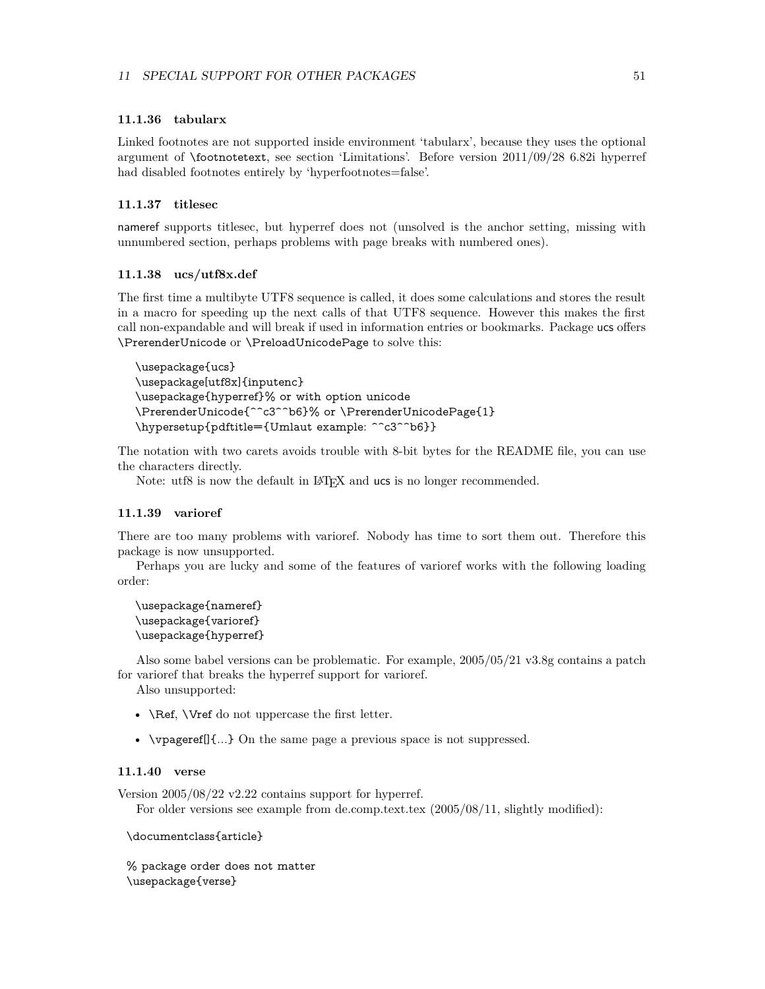#### <span id="page-50-0"></span>**11.1.36 tabularx**

Linked footnotes are not supported inside environment 'tabularx', because they uses the optional argument of \footnotetext, see section 'Limitations'. Before version 2011/09/28 6.82i hyperref had disabled footnotes entirely by 'hyperfootnotes=false'.

### <span id="page-50-1"></span>**11.1.37 titlesec**

nameref supports titlesec, but hyperref does not (unsolved is the anchor setting, missing with unnumbered section, perhaps problems with page breaks with numbered ones).

### <span id="page-50-2"></span>**11.1.38 ucs/utf8x.def**

The first time a multibyte UTF8 sequence is called, it does some calculations and stores the result in a macro for speeding up the next calls of that UTF8 sequence. However this makes the first call non-expandable and will break if used in information entries or bookmarks. Package ucs offers \PrerenderUnicode or \PreloadUnicodePage to solve this:

```
\usepackage{ucs}
\usepackage[utf8x]{inputenc}
\usepackage{hyperref}% or with option unicode
\PrerenderUnicode{^^c3^^b6}% or \PrerenderUnicodePage{1}
\hypersetup{pdftitle={Umlaut example: ^^c3^^b6}}
```
The notation with two carets avoids trouble with 8-bit bytes for the README file, you can use the characters directly.

Note: utf8 is now the default in LAT<sub>E</sub>X and ucs is no longer recommended.

#### <span id="page-50-3"></span>**11.1.39 varioref**

There are too many problems with varioref. Nobody has time to sort them out. Therefore this package is now unsupported.

Perhaps you are lucky and some of the features of varioref works with the following loading order:

\usepackage{nameref} \usepackage{varioref} \usepackage{hyperref}

Also some babel versions can be problematic. For example, 2005/05/21 v3.8g contains a patch for varioref that breaks the hyperref support for varioref.

Also unsupported:

- **\Ref, \Vref** do not uppercase the first letter.
- \vpageref[]{...} On the same page a previous space is not suppressed.

#### <span id="page-50-4"></span>**11.1.40 verse**

Version 2005/08/22 v2.22 contains support for hyperref.

For older versions see example from de.comp.text.tex (2005/08/11, slightly modified):

\documentclass{article}

% package order does not matter \usepackage{verse}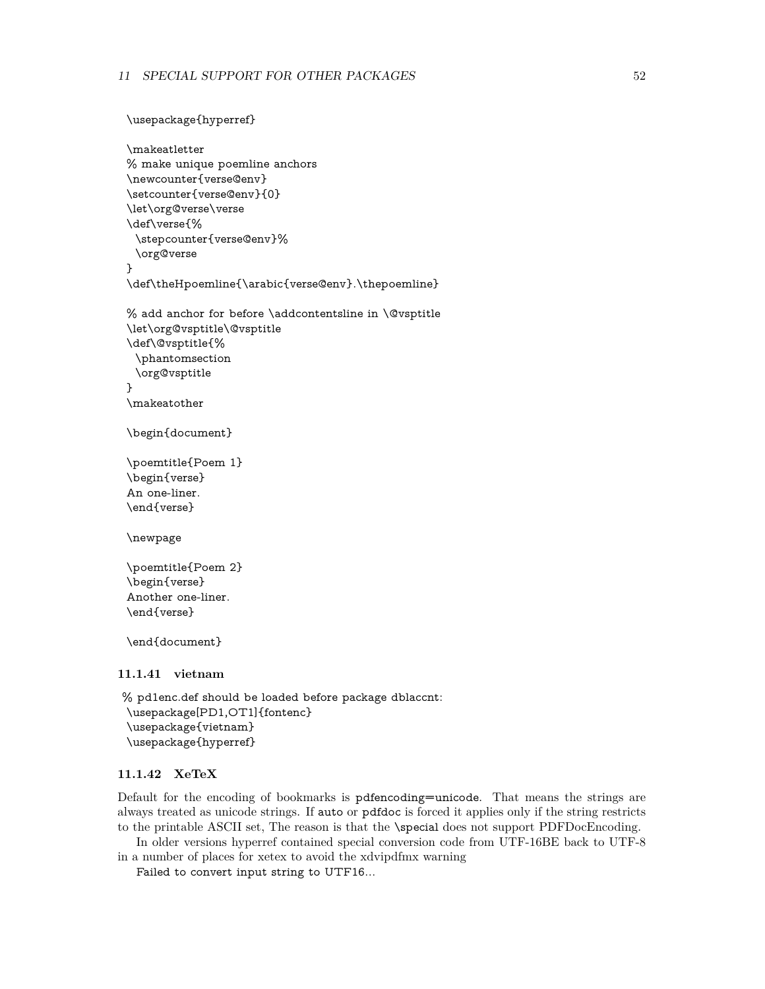```
\usepackage{hyperref}
 \makeatletter
 % make unique poemline anchors
 \newcounter{verse@env}
 \setcounter{verse@env}{0}
 \let\org@verse\verse
 \def\verse{%
  \stepcounter{verse@env}%
  \org@verse
 }
 \def\theHpoemline{\arabic{verse@env}.\thepoemline}
 % add anchor for before \addcontentsline in \@vsptitle
 \let\org@vsptitle\@vsptitle
 \def\@vsptitle{%
  \phantomsection
  \org@vsptitle
 }
 \makeatother
 \begin{document}
 \poemtitle{Poem 1}
 \begin{verse}
 An one-liner.
 \end{verse}
 \newpage
 \poemtitle{Poem 2}
 \begin{verse}
 Another one-liner.
 \end{verse}
 \end{document}
11.1.41 vietnam
% pd1enc.def should be loaded before package dblaccnt:
 \usepackage[PD1,OT1]{fontenc}
 \usepackage{vietnam}
```
<span id="page-51-0"></span>\usepackage{hyperref}

#### <span id="page-51-1"></span>**11.1.42 XeTeX**

Default for the encoding of bookmarks is pdfencoding=unicode. That means the strings are always treated as unicode strings. If auto or pdfdoc is forced it applies only if the string restricts to the printable ASCII set, The reason is that the \special does not support PDFDocEncoding.

In older versions hyperref contained special conversion code from UTF-16BE back to UTF-8 in a number of places for xetex to avoid the xdvipdfmx warning

Failed to convert input string to UTF16...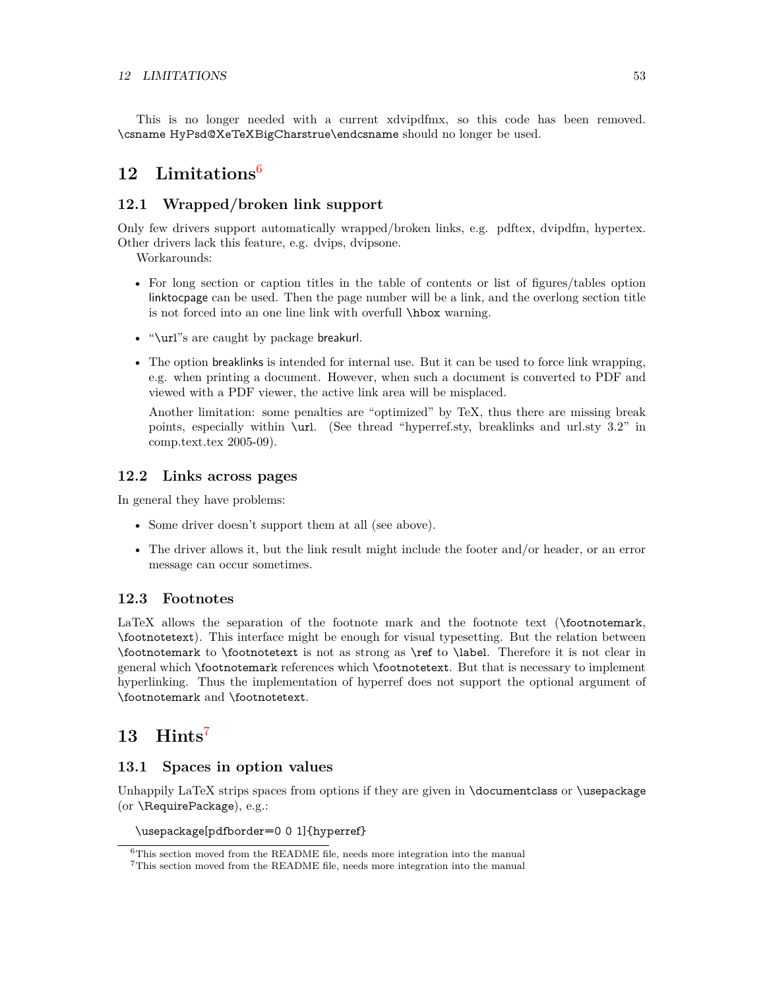This is no longer needed with a current xdvipdfmx, so this code has been removed. \csname HyPsd@XeTeXBigCharstrue\endcsname should no longer be used.

## <span id="page-52-0"></span>**12 Limitations**[6](#page-52-6)

## <span id="page-52-1"></span>**12.1 Wrapped/broken link support**

Only few drivers support automatically wrapped/broken links, e.g. pdftex, dvipdfm, hypertex. Other drivers lack this feature, e.g. dvips, dvipsone.

Workarounds:

- For long section or caption titles in the table of contents or list of figures/tables option linktocpage can be used. Then the page number will be a link, and the overlong section title is not forced into an one line link with overfull \hbox warning.
- "\url"s are caught by package breakurl.
- The option breaklinks is intended for internal use. But it can be used to force link wrapping, e.g. when printing a document. However, when such a document is converted to PDF and viewed with a PDF viewer, the active link area will be misplaced.

Another limitation: some penalties are "optimized" by TeX, thus there are missing break points, especially within \url. (See thread "hyperref.sty, breaklinks and url.sty 3.2" in comp.text.tex 2005-09).

## <span id="page-52-2"></span>**12.2 Links across pages**

In general they have problems:

- Some driver doesn't support them at all (see above).
- The driver allows it, but the link result might include the footer and/or header, or an error message can occur sometimes.

## <span id="page-52-3"></span>**12.3 Footnotes**

LaTeX allows the separation of the footnote mark and the footnote text (\footnotemark, \footnotetext). This interface might be enough for visual typesetting. But the relation between \footnotemark to \footnotetext is not as strong as \ref to \label. Therefore it is not clear in general which \footnotemark references which \footnotetext. But that is necessary to implement hyperlinking. Thus the implementation of hyperref does not support the optional argument of \footnotemark and \footnotetext.

## <span id="page-52-4"></span>**13 Hints**[7](#page-52-7)

## <span id="page-52-5"></span>**13.1 Spaces in option values**

Unhappily LaTeX strips spaces from options if they are given in \documentclass or \usepackage (or \RequirePackage), e.g.:

\usepackage[pdfborder=0 0 1]{hyperref}

<span id="page-52-6"></span> $6$ This section moved from the README file, needs more integration into the manual

<span id="page-52-7"></span><sup>7</sup>This section moved from the README file, needs more integration into the manual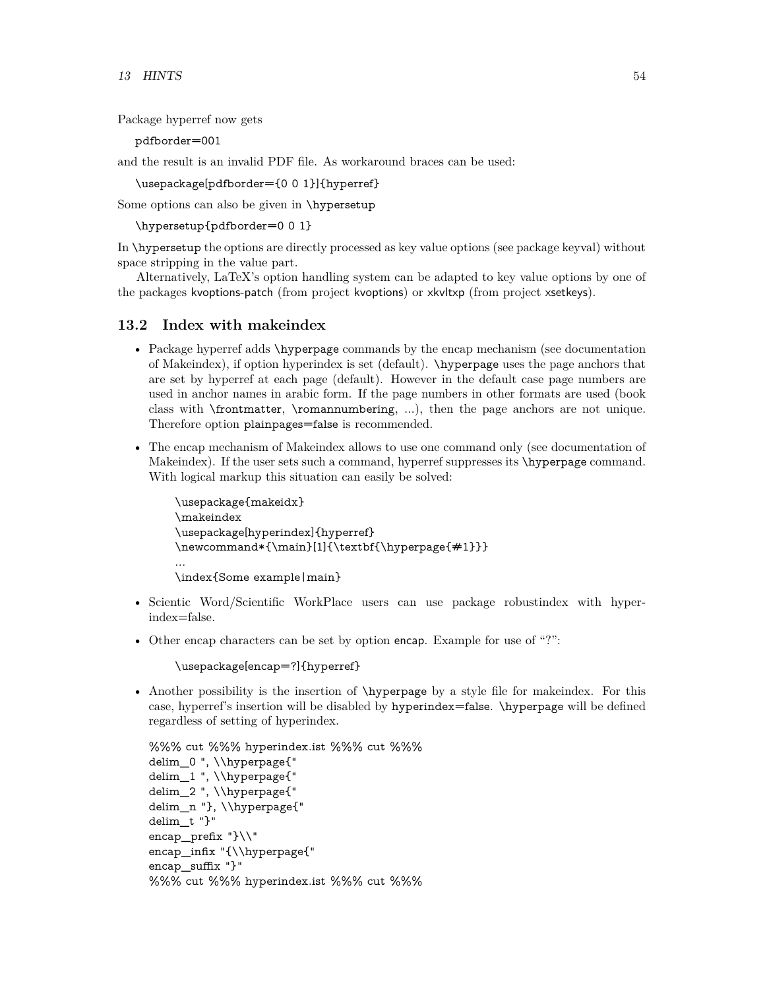Package hyperref now gets

pdfborder=001

and the result is an invalid PDF file. As workaround braces can be used:

\usepackage[pdfborder={0 0 1}]{hyperref}

Some options can also be given in \hypersetup

\hypersetup{pdfborder=0 0 1}

In \hypersetup the options are directly processed as key value options (see package keyval) without space stripping in the value part.

Alternatively, LaTeX's option handling system can be adapted to key value options by one of the packages kvoptions-patch (from project kvoptions) or xkvltxp (from project xsetkeys).

### <span id="page-53-0"></span>**13.2 Index with makeindex**

- Package hyperref adds \hyperpage commands by the encap mechanism (see documentation of Makeindex), if option hyperindex is set (default). \hyperpage uses the page anchors that are set by hyperref at each page (default). However in the default case page numbers are used in anchor names in arabic form. If the page numbers in other formats are used (book class with \frontmatter, \romannumbering, ...), then the page anchors are not unique. Therefore option plainpages=false is recommended.
- The encap mechanism of Makeindex allows to use one command only (see documentation of Makeindex). If the user sets such a command, hyperref suppresses its  $\hbar$ yperpage command. With logical markup this situation can easily be solved:

```
\usepackage{makeidx}
\makeindex
\usepackage[hyperindex]{hyperref}
\newcommand*{\main}[1]{\textbf{\hyperpage{#1}}}
...
\index{Some example|main}
```
- Scientic Word/Scientific WorkPlace users can use package robustindex with hyperindex=false.
- Other encap characters can be set by option encap. Example for use of "?":

\usepackage[encap=?]{hyperref}

• Another possibility is the insertion of  $\hbox{\LARGE\char'4}$  hyperpage by a style file for makeindex. For this case, hyperref's insertion will be disabled by hyperindex=false. \hyperpage will be defined regardless of setting of hyperindex.

```
%%% cut %%% hyperindex.ist %%% cut %%%
delim_0 ", \\hyperpage{"
delim_1 ", \\hyperpage{"
delim_2 ", \\hyperpage{"
delim_n "}, \\hyperpage{"
delim_t "}"
encap_prefix "}\\"
encap_infix "{\\hyperpage{"
encap_suffix "}"
%%% cut %%% hyperindex.ist %%% cut %%%
```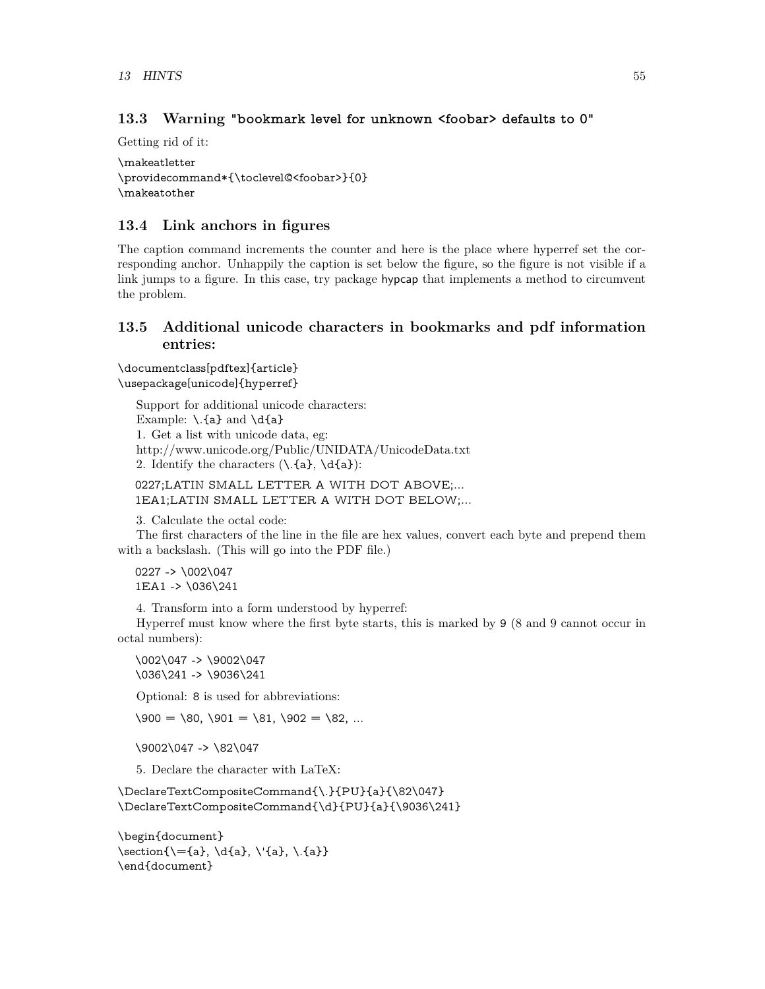## <span id="page-54-0"></span>**13.3 Warning "bookmark level for unknown <foobar> defaults to 0"**

Getting rid of it:

```
\makeatletter
\providecommand*{\toclevel@<foobar>}{0}
\makeatother
```
## <span id="page-54-1"></span>**13.4 Link anchors in figures**

The caption command increments the counter and here is the place where hyperref set the corresponding anchor. Unhappily the caption is set below the figure, so the figure is not visible if a link jumps to a figure. In this case, try package hypcap that implements a method to circumvent the problem.

## <span id="page-54-2"></span>**13.5 Additional unicode characters in bookmarks and pdf information entries:**

### \documentclass[pdftex]{article} \usepackage[unicode]{hyperref}

Support for additional unicode characters: Example:  $\lambda$ . {a} and  $\{a\}$ 1. Get a list with unicode data, eg: http://www.unicode.org/Public/UNIDATA/UnicodeData.txt 2. Identify the characters  $(\lambda, \{a\}, \{a\})$ :

0227;LATIN SMALL LETTER A WITH DOT ABOVE;... 1EA1;LATIN SMALL LETTER A WITH DOT BELOW;...

3. Calculate the octal code:

The first characters of the line in the file are hex values, convert each byte and prepend them with a backslash. (This will go into the PDF file.)

0227 -> \002\047 1EA1 -> \036\241

4. Transform into a form understood by hyperref:

Hyperref must know where the first byte starts, this is marked by 9 (8 and 9 cannot occur in octal numbers):

\002\047 -> \9002\047 \036\241 -> \9036\241

Optional: 8 is used for abbreviations:

 $\setminus 900 = \setminus 80, \setminus 901 = \setminus 81, \setminus 902 = \setminus 82, \dots$ 

\9002\047 -> \82\047

5. Declare the character with LaTeX:

\DeclareTextCompositeCommand{\.}{PU}{a}{\82\047} \DeclareTextCompositeCommand{\d}{PU}{a}{\9036\241}

\begin{document}  $\setminus \mathsf{Set}(\mathsf{a}, \{a\}, \{a\}, \{a\})$ \end{document}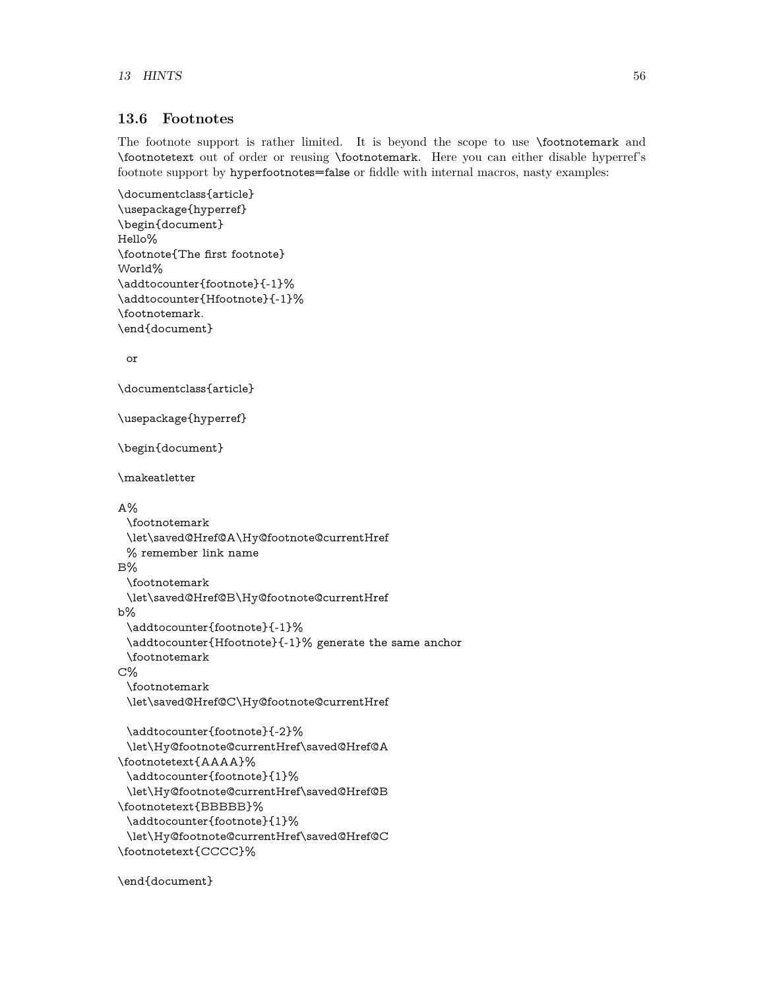## <span id="page-55-0"></span>**13.6 Footnotes**

The footnote support is rather limited. It is beyond the scope to use \footnotemark and \footnotetext out of order or reusing \footnotemark. Here you can either disable hyperref's footnote support by hyperfootnotes=false or fiddle with internal macros, nasty examples:

```
\documentclass{article}
\usepackage{hyperref}
\begin{document}
Hello%
\footnote{The first footnote}
World%
\addtocounter{footnote}{-1}%
\addtocounter{Hfootnote}{-1}%
\footnotemark.
\end{document}
 or
\documentclass{article}
\usepackage{hyperref}
\begin{document}
\makeatletter
A\%\footnotemark
 \let\saved@Href@A\Hy@footnote@currentHref
 % remember link name
B%
 \footnotemark
 \let\saved@Href@B\Hy@footnote@currentHref
b%
 \addtocounter{footnote}{-1}%
 \addtocounter{Hfootnote}{-1}% generate the same anchor
 \footnotemark
C%
 \footnotemark
 \let\saved@Href@C\Hy@footnote@currentHref
 \addtocounter{footnote}{-2}%
 \let\Hy@footnote@currentHref\saved@Href@A
\footnotetext{AAAA}%
 \addtocounter{footnote}{1}%
 \let\Hy@footnote@currentHref\saved@Href@B
\footnotetext{BBBBB}%
 \addtocounter{footnote}{1}%
 \let\Hy@footnote@currentHref\saved@Href@C
\footnotetext{CCCC}%
```
\end{document}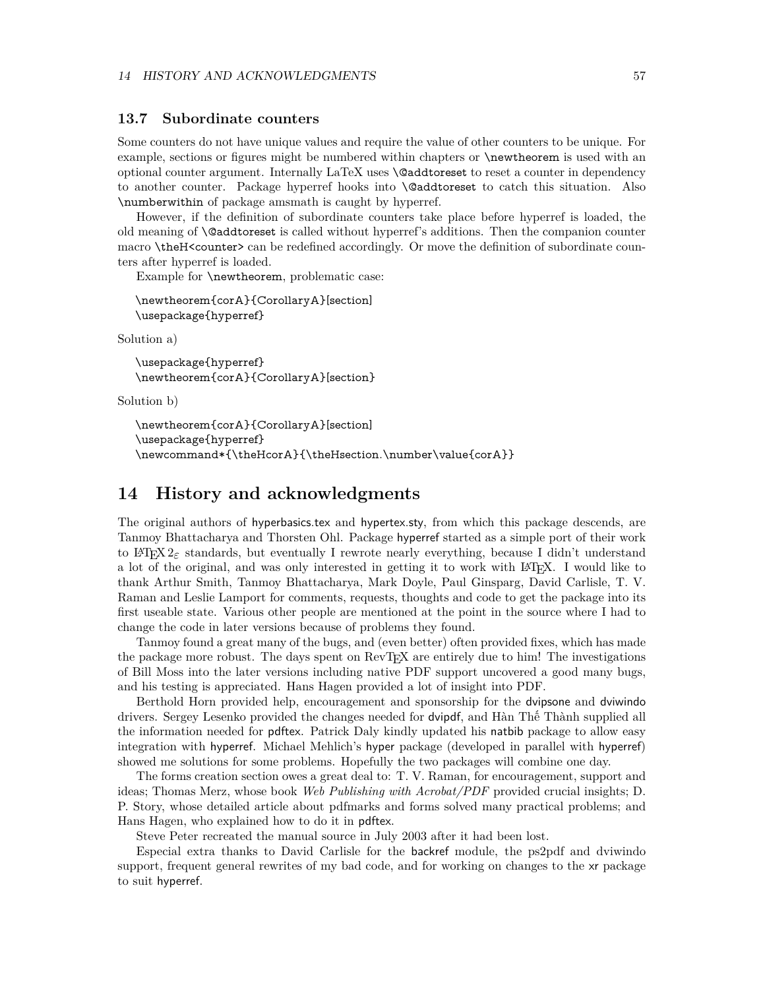#### <span id="page-56-0"></span>**13.7 Subordinate counters**

Some counters do not have unique values and require the value of other counters to be unique. For example, sections or figures might be numbered within chapters or \newtheorem is used with an optional counter argument. Internally LaTeX uses \@addtoreset to reset a counter in dependency to another counter. Package hyperref hooks into \@addtoreset to catch this situation. Also \numberwithin of package amsmath is caught by hyperref.

However, if the definition of subordinate counters take place before hyperref is loaded, the old meaning of \@addtoreset is called without hyperref's additions. Then the companion counter macro \theH<counter> can be redefined accordingly. Or move the definition of subordinate counters after hyperref is loaded.

Example for \newtheorem, problematic case:

```
\newtheorem{corA}{CorollaryA}[section]
\usepackage{hyperref}
```
Solution a)

```
\usepackage{hyperref}
\newtheorem{corA}{CorollaryA}[section}
```
Solution b)

```
\newtheorem{corA}{CorollaryA}[section]
\usepackage{hyperref}
\newcommand*{\theHcorA}{\theHsection.\number\value{corA}}
```
## <span id="page-56-1"></span>**14 History and acknowledgments**

The original authors of hyperbasics.tex and hypertex.sty, from which this package descends, are Tanmoy Bhattacharya and Thorsten Ohl. Package hyperref started as a simple port of their work to LATEX  $2\varepsilon$  standards, but eventually I rewrote nearly everything, because I didn't understand a lot of the original, and was only interested in getting it to work with LATEX. I would like to thank Arthur Smith, Tanmoy Bhattacharya, Mark Doyle, Paul Ginsparg, David Carlisle, T. V. Raman and Leslie Lamport for comments, requests, thoughts and code to get the package into its first useable state. Various other people are mentioned at the point in the source where I had to change the code in later versions because of problems they found.

Tanmoy found a great many of the bugs, and (even better) often provided fixes, which has made the package more robust. The days spent on RevT<sub>EX</sub> are entirely due to him! The investigations of Bill Moss into the later versions including native PDF support uncovered a good many bugs, and his testing is appreciated. Hans Hagen provided a lot of insight into PDF.

Berthold Horn provided help, encouragement and sponsorship for the dvipsone and dviwindo drivers. Sergey Lesenko provided the changes needed for dvipdf, and Hàn Thế Thành supplied all the information needed for pdftex. Patrick Daly kindly updated his natbib package to allow easy integration with hyperref. Michael Mehlich's hyper package (developed in parallel with hyperref) showed me solutions for some problems. Hopefully the two packages will combine one day.

The forms creation section owes a great deal to: T. V. Raman, for encouragement, support and ideas; Thomas Merz, whose book *Web Publishing with Acrobat/PDF* provided crucial insights; D. P. Story, whose detailed article about pdfmarks and forms solved many practical problems; and Hans Hagen, who explained how to do it in pdftex.

Steve Peter recreated the manual source in July 2003 after it had been lost.

Especial extra thanks to David Carlisle for the backref module, the ps2pdf and dviwindo support, frequent general rewrites of my bad code, and for working on changes to the xr package to suit hyperref.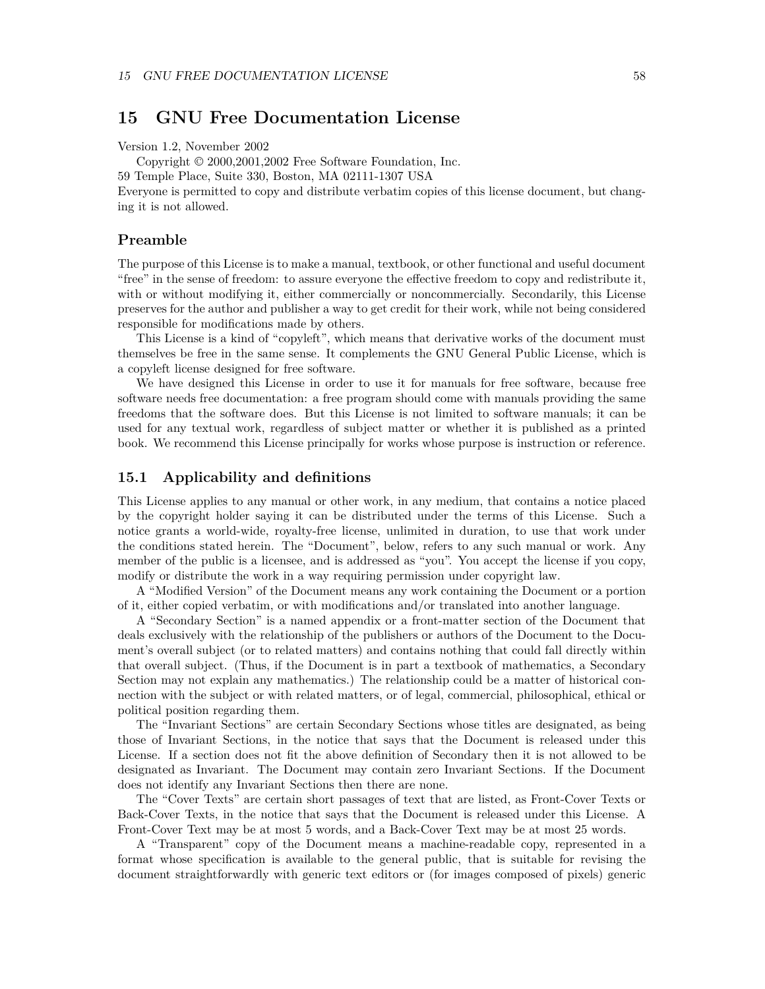## <span id="page-57-0"></span>**15 GNU Free Documentation License**

Version 1.2, November 2002

Copyright © 2000,2001,2002 Free Software Foundation, Inc.

59 Temple Place, Suite 330, Boston, MA 02111-1307 USA

Everyone is permitted to copy and distribute verbatim copies of this license document, but changing it is not allowed.

#### **Preamble**

The purpose of this License is to make a manual, textbook, or other functional and useful document "free" in the sense of freedom: to assure everyone the effective freedom to copy and redistribute it, with or without modifying it, either commercially or noncommercially. Secondarily, this License preserves for the author and publisher a way to get credit for their work, while not being considered responsible for modifications made by others.

This License is a kind of "copyleft", which means that derivative works of the document must themselves be free in the same sense. It complements the GNU General Public License, which is a copyleft license designed for free software.

We have designed this License in order to use it for manuals for free software, because free software needs free documentation: a free program should come with manuals providing the same freedoms that the software does. But this License is not limited to software manuals; it can be used for any textual work, regardless of subject matter or whether it is published as a printed book. We recommend this License principally for works whose purpose is instruction or reference.

#### <span id="page-57-1"></span>**15.1 Applicability and definitions**

This License applies to any manual or other work, in any medium, that contains a notice placed by the copyright holder saying it can be distributed under the terms of this License. Such a notice grants a world-wide, royalty-free license, unlimited in duration, to use that work under the conditions stated herein. The "Document", below, refers to any such manual or work. Any member of the public is a licensee, and is addressed as "you". You accept the license if you copy, modify or distribute the work in a way requiring permission under copyright law.

A "Modified Version" of the Document means any work containing the Document or a portion of it, either copied verbatim, or with modifications and/or translated into another language.

A "Secondary Section" is a named appendix or a front-matter section of the Document that deals exclusively with the relationship of the publishers or authors of the Document to the Document's overall subject (or to related matters) and contains nothing that could fall directly within that overall subject. (Thus, if the Document is in part a textbook of mathematics, a Secondary Section may not explain any mathematics.) The relationship could be a matter of historical connection with the subject or with related matters, or of legal, commercial, philosophical, ethical or political position regarding them.

The "Invariant Sections" are certain Secondary Sections whose titles are designated, as being those of Invariant Sections, in the notice that says that the Document is released under this License. If a section does not fit the above definition of Secondary then it is not allowed to be designated as Invariant. The Document may contain zero Invariant Sections. If the Document does not identify any Invariant Sections then there are none.

The "Cover Texts" are certain short passages of text that are listed, as Front-Cover Texts or Back-Cover Texts, in the notice that says that the Document is released under this License. A Front-Cover Text may be at most 5 words, and a Back-Cover Text may be at most 25 words.

A "Transparent" copy of the Document means a machine-readable copy, represented in a format whose specification is available to the general public, that is suitable for revising the document straightforwardly with generic text editors or (for images composed of pixels) generic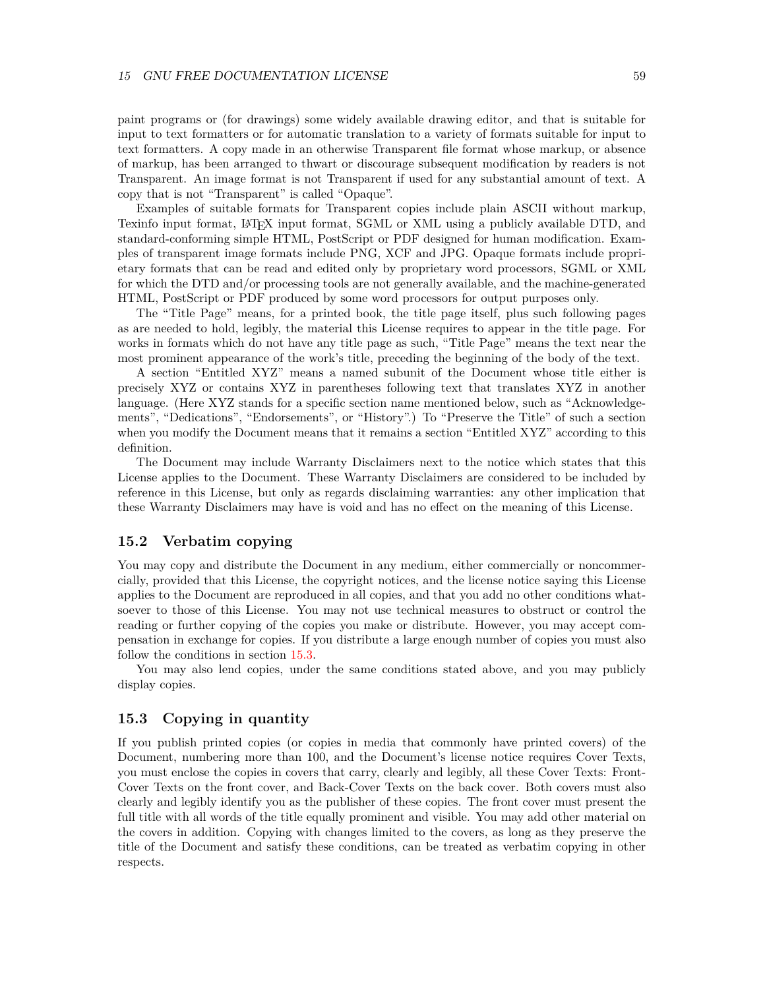paint programs or (for drawings) some widely available drawing editor, and that is suitable for input to text formatters or for automatic translation to a variety of formats suitable for input to text formatters. A copy made in an otherwise Transparent file format whose markup, or absence of markup, has been arranged to thwart or discourage subsequent modification by readers is not Transparent. An image format is not Transparent if used for any substantial amount of text. A copy that is not "Transparent" is called "Opaque".

Examples of suitable formats for Transparent copies include plain ASCII without markup, Texinfo input format, LATEX input format, SGML or XML using a publicly available DTD, and standard-conforming simple HTML, PostScript or PDF designed for human modification. Examples of transparent image formats include PNG, XCF and JPG. Opaque formats include proprietary formats that can be read and edited only by proprietary word processors, SGML or XML for which the DTD and/or processing tools are not generally available, and the machine-generated HTML, PostScript or PDF produced by some word processors for output purposes only.

The "Title Page" means, for a printed book, the title page itself, plus such following pages as are needed to hold, legibly, the material this License requires to appear in the title page. For works in formats which do not have any title page as such, "Title Page" means the text near the most prominent appearance of the work's title, preceding the beginning of the body of the text.

A section "Entitled XYZ" means a named subunit of the Document whose title either is precisely XYZ or contains XYZ in parentheses following text that translates XYZ in another language. (Here XYZ stands for a specific section name mentioned below, such as "Acknowledgements", "Dedications", "Endorsements", or "History".) To "Preserve the Title" of such a section when you modify the Document means that it remains a section "Entitled XYZ" according to this definition.

The Document may include Warranty Disclaimers next to the notice which states that this License applies to the Document. These Warranty Disclaimers are considered to be included by reference in this License, but only as regards disclaiming warranties: any other implication that these Warranty Disclaimers may have is void and has no effect on the meaning of this License.

#### <span id="page-58-1"></span>**15.2 Verbatim copying**

You may copy and distribute the Document in any medium, either commercially or noncommercially, provided that this License, the copyright notices, and the license notice saying this License applies to the Document are reproduced in all copies, and that you add no other conditions whatsoever to those of this License. You may not use technical measures to obstruct or control the reading or further copying of the copies you make or distribute. However, you may accept compensation in exchange for copies. If you distribute a large enough number of copies you must also follow the conditions in section [15.3.](#page-58-0)

You may also lend copies, under the same conditions stated above, and you may publicly display copies.

### <span id="page-58-0"></span>**15.3 Copying in quantity**

If you publish printed copies (or copies in media that commonly have printed covers) of the Document, numbering more than 100, and the Document's license notice requires Cover Texts, you must enclose the copies in covers that carry, clearly and legibly, all these Cover Texts: Front-Cover Texts on the front cover, and Back-Cover Texts on the back cover. Both covers must also clearly and legibly identify you as the publisher of these copies. The front cover must present the full title with all words of the title equally prominent and visible. You may add other material on the covers in addition. Copying with changes limited to the covers, as long as they preserve the title of the Document and satisfy these conditions, can be treated as verbatim copying in other respects.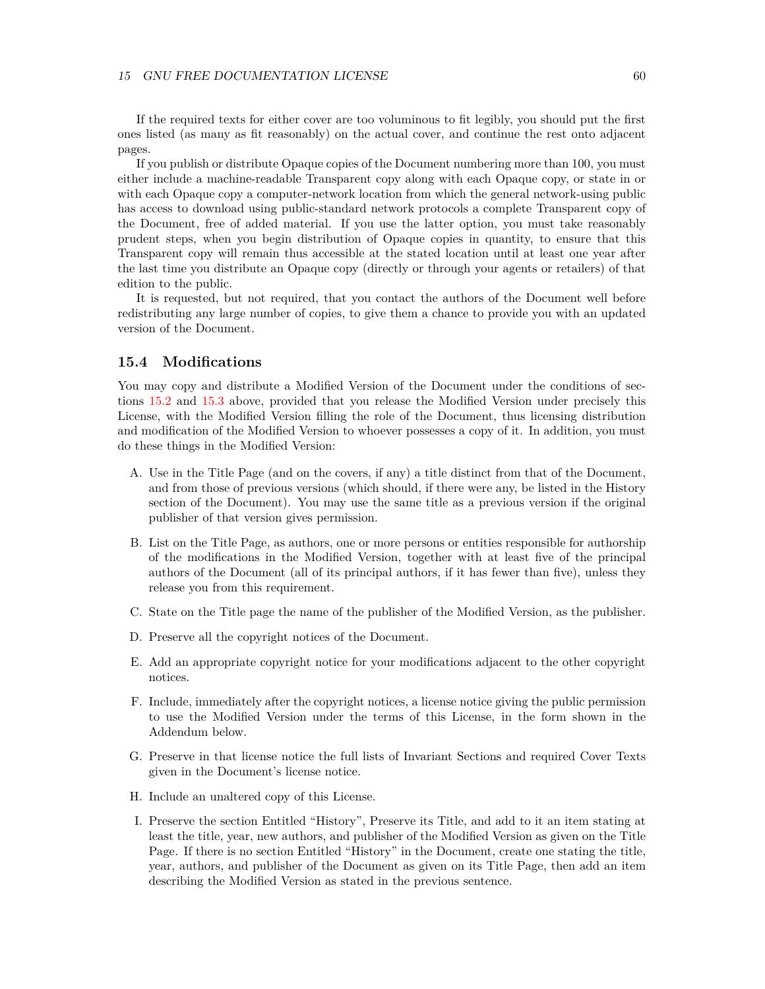If the required texts for either cover are too voluminous to fit legibly, you should put the first ones listed (as many as fit reasonably) on the actual cover, and continue the rest onto adjacent pages.

If you publish or distribute Opaque copies of the Document numbering more than 100, you must either include a machine-readable Transparent copy along with each Opaque copy, or state in or with each Opaque copy a computer-network location from which the general network-using public has access to download using public-standard network protocols a complete Transparent copy of the Document, free of added material. If you use the latter option, you must take reasonably prudent steps, when you begin distribution of Opaque copies in quantity, to ensure that this Transparent copy will remain thus accessible at the stated location until at least one year after the last time you distribute an Opaque copy (directly or through your agents or retailers) of that edition to the public.

It is requested, but not required, that you contact the authors of the Document well before redistributing any large number of copies, to give them a chance to provide you with an updated version of the Document.

### <span id="page-59-0"></span>**15.4 Modifications**

You may copy and distribute a Modified Version of the Document under the conditions of sections [15.2](#page-58-1) and [15.3](#page-58-0) above, provided that you release the Modified Version under precisely this License, with the Modified Version filling the role of the Document, thus licensing distribution and modification of the Modified Version to whoever possesses a copy of it. In addition, you must do these things in the Modified Version:

- A. Use in the Title Page (and on the covers, if any) a title distinct from that of the Document, and from those of previous versions (which should, if there were any, be listed in the History section of the Document). You may use the same title as a previous version if the original publisher of that version gives permission.
- B. List on the Title Page, as authors, one or more persons or entities responsible for authorship of the modifications in the Modified Version, together with at least five of the principal authors of the Document (all of its principal authors, if it has fewer than five), unless they release you from this requirement.
- C. State on the Title page the name of the publisher of the Modified Version, as the publisher.
- D. Preserve all the copyright notices of the Document.
- E. Add an appropriate copyright notice for your modifications adjacent to the other copyright notices.
- F. Include, immediately after the copyright notices, a license notice giving the public permission to use the Modified Version under the terms of this License, in the form shown in the Addendum below.
- G. Preserve in that license notice the full lists of Invariant Sections and required Cover Texts given in the Document's license notice.
- H. Include an unaltered copy of this License.
- I. Preserve the section Entitled "History", Preserve its Title, and add to it an item stating at least the title, year, new authors, and publisher of the Modified Version as given on the Title Page. If there is no section Entitled "History" in the Document, create one stating the title, year, authors, and publisher of the Document as given on its Title Page, then add an item describing the Modified Version as stated in the previous sentence.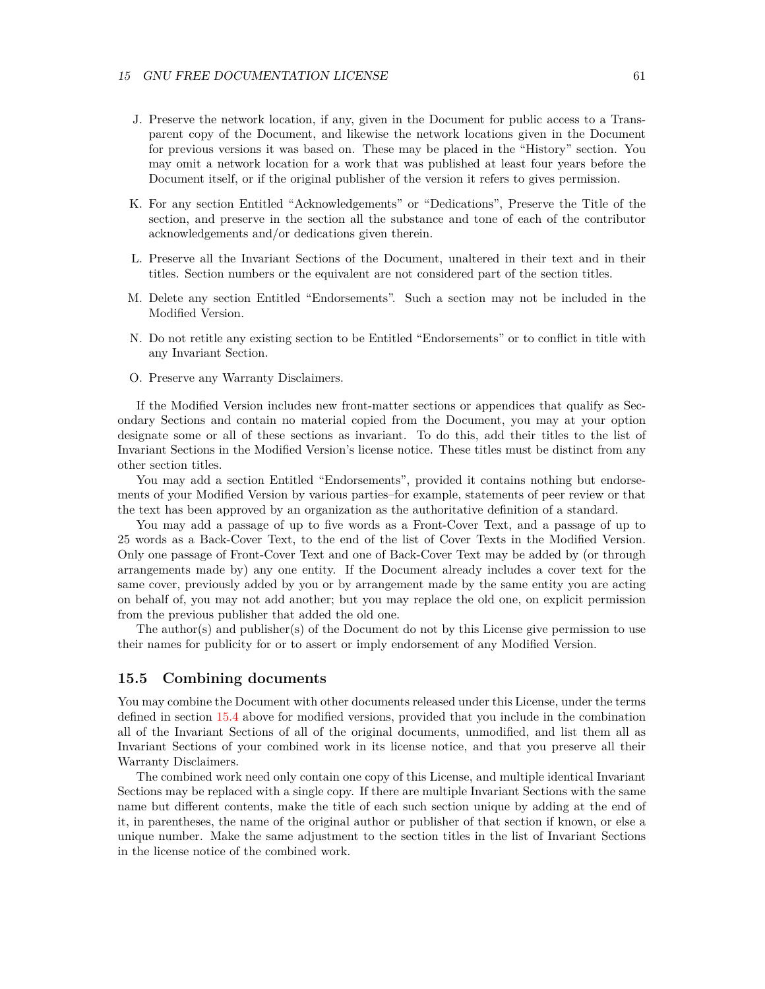- J. Preserve the network location, if any, given in the Document for public access to a Transparent copy of the Document, and likewise the network locations given in the Document for previous versions it was based on. These may be placed in the "History" section. You may omit a network location for a work that was published at least four years before the Document itself, or if the original publisher of the version it refers to gives permission.
- K. For any section Entitled "Acknowledgements" or "Dedications", Preserve the Title of the section, and preserve in the section all the substance and tone of each of the contributor acknowledgements and/or dedications given therein.
- L. Preserve all the Invariant Sections of the Document, unaltered in their text and in their titles. Section numbers or the equivalent are not considered part of the section titles.
- M. Delete any section Entitled "Endorsements". Such a section may not be included in the Modified Version.
- N. Do not retitle any existing section to be Entitled "Endorsements" or to conflict in title with any Invariant Section.
- O. Preserve any Warranty Disclaimers.

If the Modified Version includes new front-matter sections or appendices that qualify as Secondary Sections and contain no material copied from the Document, you may at your option designate some or all of these sections as invariant. To do this, add their titles to the list of Invariant Sections in the Modified Version's license notice. These titles must be distinct from any other section titles.

You may add a section Entitled "Endorsements", provided it contains nothing but endorsements of your Modified Version by various parties–for example, statements of peer review or that the text has been approved by an organization as the authoritative definition of a standard.

You may add a passage of up to five words as a Front-Cover Text, and a passage of up to 25 words as a Back-Cover Text, to the end of the list of Cover Texts in the Modified Version. Only one passage of Front-Cover Text and one of Back-Cover Text may be added by (or through arrangements made by) any one entity. If the Document already includes a cover text for the same cover, previously added by you or by arrangement made by the same entity you are acting on behalf of, you may not add another; but you may replace the old one, on explicit permission from the previous publisher that added the old one.

The author(s) and publisher(s) of the Document do not by this License give permission to use their names for publicity for or to assert or imply endorsement of any Modified Version.

#### **15.5 Combining documents**

You may combine the Document with other documents released under this License, under the terms defined in section [15.4](#page-59-0) above for modified versions, provided that you include in the combination all of the Invariant Sections of all of the original documents, unmodified, and list them all as Invariant Sections of your combined work in its license notice, and that you preserve all their Warranty Disclaimers.

The combined work need only contain one copy of this License, and multiple identical Invariant Sections may be replaced with a single copy. If there are multiple Invariant Sections with the same name but different contents, make the title of each such section unique by adding at the end of it, in parentheses, the name of the original author or publisher of that section if known, or else a unique number. Make the same adjustment to the section titles in the list of Invariant Sections in the license notice of the combined work.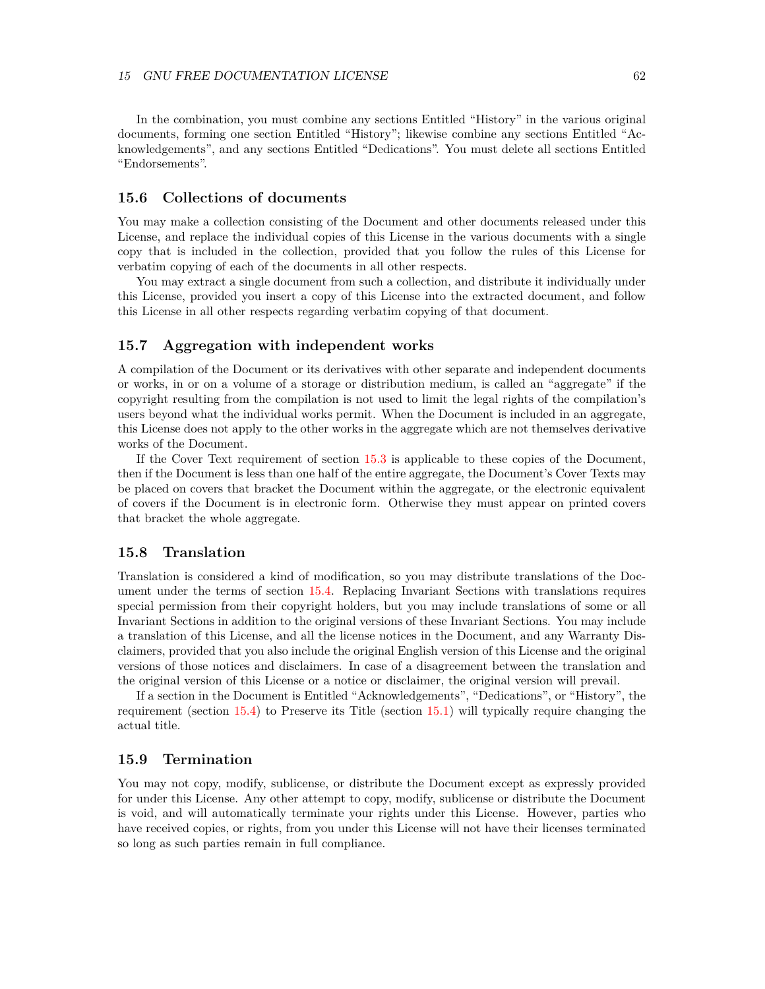In the combination, you must combine any sections Entitled "History" in the various original documents, forming one section Entitled "History"; likewise combine any sections Entitled "Acknowledgements", and any sections Entitled "Dedications". You must delete all sections Entitled "Endorsements".

## **15.6 Collections of documents**

You may make a collection consisting of the Document and other documents released under this License, and replace the individual copies of this License in the various documents with a single copy that is included in the collection, provided that you follow the rules of this License for verbatim copying of each of the documents in all other respects.

You may extract a single document from such a collection, and distribute it individually under this License, provided you insert a copy of this License into the extracted document, and follow this License in all other respects regarding verbatim copying of that document.

#### **15.7 Aggregation with independent works**

A compilation of the Document or its derivatives with other separate and independent documents or works, in or on a volume of a storage or distribution medium, is called an "aggregate" if the copyright resulting from the compilation is not used to limit the legal rights of the compilation's users beyond what the individual works permit. When the Document is included in an aggregate, this License does not apply to the other works in the aggregate which are not themselves derivative works of the Document.

If the Cover Text requirement of section [15.3](#page-58-0) is applicable to these copies of the Document, then if the Document is less than one half of the entire aggregate, the Document's Cover Texts may be placed on covers that bracket the Document within the aggregate, or the electronic equivalent of covers if the Document is in electronic form. Otherwise they must appear on printed covers that bracket the whole aggregate.

#### **15.8 Translation**

Translation is considered a kind of modification, so you may distribute translations of the Document under the terms of section [15.4.](#page-59-0) Replacing Invariant Sections with translations requires special permission from their copyright holders, but you may include translations of some or all Invariant Sections in addition to the original versions of these Invariant Sections. You may include a translation of this License, and all the license notices in the Document, and any Warranty Disclaimers, provided that you also include the original English version of this License and the original versions of those notices and disclaimers. In case of a disagreement between the translation and the original version of this License or a notice or disclaimer, the original version will prevail.

If a section in the Document is Entitled "Acknowledgements", "Dedications", or "History", the requirement (section [15.4\)](#page-59-0) to Preserve its Title (section [15.1\)](#page-57-1) will typically require changing the actual title.

#### **15.9 Termination**

You may not copy, modify, sublicense, or distribute the Document except as expressly provided for under this License. Any other attempt to copy, modify, sublicense or distribute the Document is void, and will automatically terminate your rights under this License. However, parties who have received copies, or rights, from you under this License will not have their licenses terminated so long as such parties remain in full compliance.